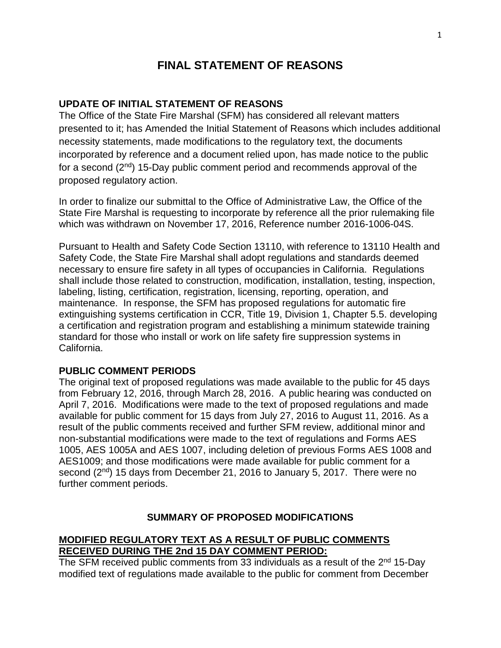# **FINAL STATEMENT OF REASONS**

#### **UPDATE OF INITIAL STATEMENT OF REASONS**

The Office of the State Fire Marshal (SFM) has considered all relevant matters presented to it; has Amended the Initial Statement of Reasons which includes additional necessity statements, made modifications to the regulatory text, the documents incorporated by reference and a document relied upon, has made notice to the public for a second  $(2<sup>nd</sup>)$  15-Day public comment period and recommends approval of the proposed regulatory action.

In order to finalize our submittal to the Office of Administrative Law, the Office of the State Fire Marshal is requesting to incorporate by reference all the prior rulemaking file which was withdrawn on November 17, 2016, Reference number 2016-1006-04S.

Pursuant to Health and Safety Code Section 13110, with reference to 13110 Health and Safety Code, the State Fire Marshal shall adopt regulations and standards deemed necessary to ensure fire safety in all types of occupancies in California. Regulations shall include those related to construction, modification, installation, testing, inspection, labeling, listing, certification, registration, licensing, reporting, operation, and maintenance. In response, the SFM has proposed regulations for automatic fire extinguishing systems certification in CCR, Title 19, Division 1, Chapter 5.5. developing a certification and registration program and establishing a minimum statewide training standard for those who install or work on life safety fire suppression systems in California.

#### **PUBLIC COMMENT PERIODS**

The original text of proposed regulations was made available to the public for 45 days from February 12, 2016, through March 28, 2016. A public hearing was conducted on April 7, 2016. Modifications were made to the text of proposed regulations and made available for public comment for 15 days from July 27, 2016 to August 11, 2016. As a result of the public comments received and further SFM review, additional minor and non-substantial modifications were made to the text of regulations and Forms AES 1005, AES 1005A and AES 1007, including deletion of previous Forms AES 1008 and AES1009; and those modifications were made available for public comment for a second (2<sup>nd</sup>) 15 days from December 21, 2016 to January 5, 2017. There were no further comment periods.

#### **SUMMARY OF PROPOSED MODIFICATIONS**

#### **MODIFIED REGULATORY TEXT AS A RESULT OF PUBLIC COMMENTS RECEIVED DURING THE 2nd 15 DAY COMMENT PERIOD:**

The SFM received public comments from 33 individuals as a result of the 2<sup>nd</sup> 15-Day modified text of regulations made available to the public for comment from December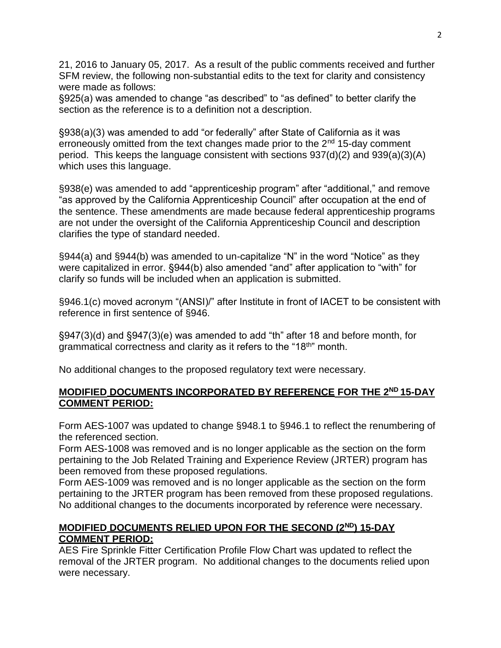21, 2016 to January 05, 2017. As a result of the public comments received and further SFM review, the following non-substantial edits to the text for clarity and consistency were made as follows:

§925(a) was amended to change "as described" to "as defined" to better clarify the section as the reference is to a definition not a description.

§938(a)(3) was amended to add "or federally" after State of California as it was erroneously omitted from the text changes made prior to the  $2<sup>nd</sup> 15$ -day comment period. This keeps the language consistent with sections 937(d)(2) and 939(a)(3)(A) which uses this language.

§938(e) was amended to add "apprenticeship program" after "additional," and remove "as approved by the California Apprenticeship Council" after occupation at the end of the sentence. These amendments are made because federal apprenticeship programs are not under the oversight of the California Apprenticeship Council and description clarifies the type of standard needed.

§944(a) and §944(b) was amended to un-capitalize "N" in the word "Notice" as they were capitalized in error. §944(b) also amended "and" after application to "with" for clarify so funds will be included when an application is submitted.

§946.1(c) moved acronym "(ANSI)/" after Institute in front of IACET to be consistent with reference in first sentence of §946.

§947(3)(d) and §947(3)(e) was amended to add "th" after 18 and before month, for grammatical correctness and clarity as it refers to the "18<sup>th</sup>" month.

No additional changes to the proposed regulatory text were necessary.

#### **MODIFIED DOCUMENTS INCORPORATED BY REFERENCE FOR THE 2 ND 15-DAY COMMENT PERIOD:**

Form AES-1007 was updated to change §948.1 to §946.1 to reflect the renumbering of the referenced section.

Form AES-1008 was removed and is no longer applicable as the section on the form pertaining to the Job Related Training and Experience Review (JRTER) program has been removed from these proposed regulations.

Form AES-1009 was removed and is no longer applicable as the section on the form pertaining to the JRTER program has been removed from these proposed regulations. No additional changes to the documents incorporated by reference were necessary.

#### **MODIFIED DOCUMENTS RELIED UPON FOR THE SECOND (2ND) 15-DAY COMMENT PERIOD:**

AES Fire Sprinkle Fitter Certification Profile Flow Chart was updated to reflect the removal of the JRTER program. No additional changes to the documents relied upon were necessary.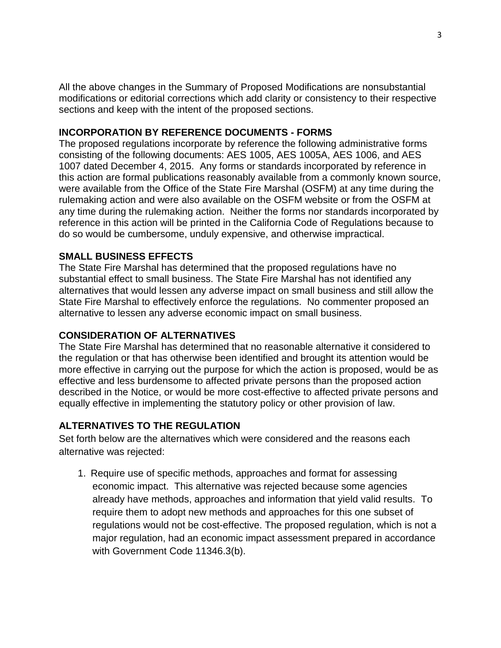All the above changes in the Summary of Proposed Modifications are nonsubstantial modifications or editorial corrections which add clarity or consistency to their respective sections and keep with the intent of the proposed sections.

### **INCORPORATION BY REFERENCE DOCUMENTS - FORMS**

The proposed regulations incorporate by reference the following administrative forms consisting of the following documents: AES 1005, AES 1005A, AES 1006, and AES 1007 dated December 4, 2015. Any forms or standards incorporated by reference in this action are formal publications reasonably available from a commonly known source, were available from the Office of the State Fire Marshal (OSFM) at any time during the rulemaking action and were also available on the OSFM website or from the OSFM at any time during the rulemaking action. Neither the forms nor standards incorporated by reference in this action will be printed in the California Code of Regulations because to do so would be cumbersome, unduly expensive, and otherwise impractical.

#### **SMALL BUSINESS EFFECTS**

The State Fire Marshal has determined that the proposed regulations have no substantial effect to small business. The State Fire Marshal has not identified any alternatives that would lessen any adverse impact on small business and still allow the State Fire Marshal to effectively enforce the regulations. No commenter proposed an alternative to lessen any adverse economic impact on small business.

## **CONSIDERATION OF ALTERNATIVES**

The State Fire Marshal has determined that no reasonable alternative it considered to the regulation or that has otherwise been identified and brought its attention would be more effective in carrying out the purpose for which the action is proposed, would be as effective and less burdensome to affected private persons than the proposed action described in the Notice, or would be more cost-effective to affected private persons and equally effective in implementing the statutory policy or other provision of law.

## **ALTERNATIVES TO THE REGULATION**

Set forth below are the alternatives which were considered and the reasons each alternative was rejected:

1. Require use of specific methods, approaches and format for assessing economic impact. This alternative was rejected because some agencies already have methods, approaches and information that yield valid results. To require them to adopt new methods and approaches for this one subset of regulations would not be cost-effective. The proposed regulation, which is not a major regulation, had an economic impact assessment prepared in accordance with Government Code 11346.3(b).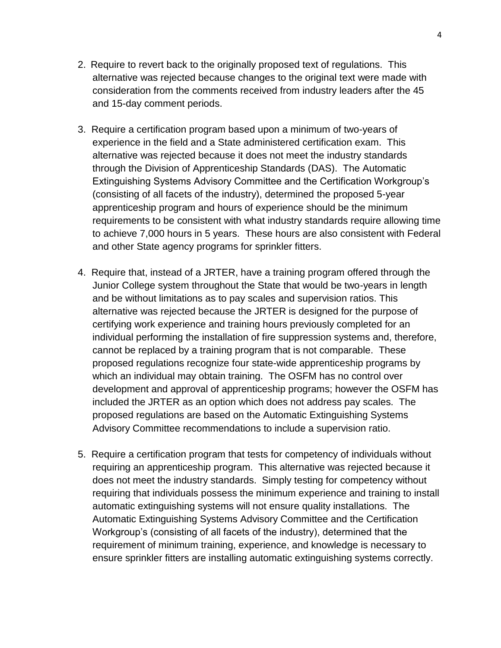- 2. Require to revert back to the originally proposed text of regulations. This alternative was rejected because changes to the original text were made with consideration from the comments received from industry leaders after the 45 and 15-day comment periods.
- 3. Require a certification program based upon a minimum of two-years of experience in the field and a State administered certification exam. This alternative was rejected because it does not meet the industry standards through the Division of Apprenticeship Standards (DAS). The Automatic Extinguishing Systems Advisory Committee and the Certification Workgroup's (consisting of all facets of the industry), determined the proposed 5-year apprenticeship program and hours of experience should be the minimum requirements to be consistent with what industry standards require allowing time to achieve 7,000 hours in 5 years. These hours are also consistent with Federal and other State agency programs for sprinkler fitters.
- 4. Require that, instead of a JRTER, have a training program offered through the Junior College system throughout the State that would be two-years in length and be without limitations as to pay scales and supervision ratios. This alternative was rejected because the JRTER is designed for the purpose of certifying work experience and training hours previously completed for an individual performing the installation of fire suppression systems and, therefore, cannot be replaced by a training program that is not comparable. These proposed regulations recognize four state-wide apprenticeship programs by which an individual may obtain training. The OSFM has no control over development and approval of apprenticeship programs; however the OSFM has included the JRTER as an option which does not address pay scales. The proposed regulations are based on the Automatic Extinguishing Systems Advisory Committee recommendations to include a supervision ratio.
- 5. Require a certification program that tests for competency of individuals without requiring an apprenticeship program. This alternative was rejected because it does not meet the industry standards. Simply testing for competency without requiring that individuals possess the minimum experience and training to install automatic extinguishing systems will not ensure quality installations. The Automatic Extinguishing Systems Advisory Committee and the Certification Workgroup's (consisting of all facets of the industry), determined that the requirement of minimum training, experience, and knowledge is necessary to ensure sprinkler fitters are installing automatic extinguishing systems correctly.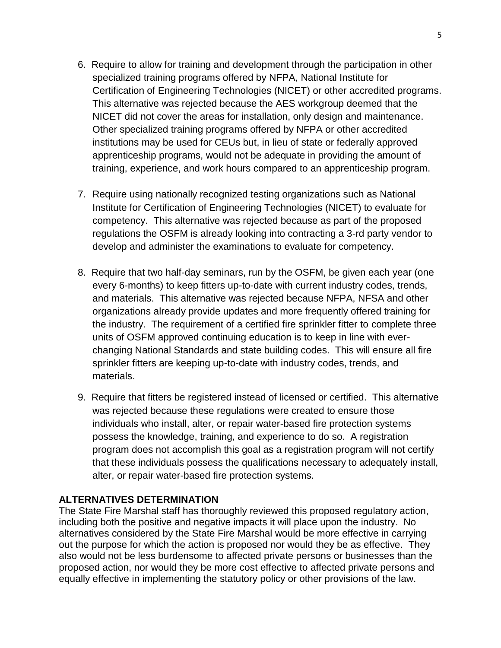- 6. Require to allow for training and development through the participation in other specialized training programs offered by NFPA, National Institute for Certification of Engineering Technologies (NICET) or other accredited programs. This alternative was rejected because the AES workgroup deemed that the NICET did not cover the areas for installation, only design and maintenance. Other specialized training programs offered by NFPA or other accredited institutions may be used for CEUs but, in lieu of state or federally approved apprenticeship programs, would not be adequate in providing the amount of training, experience, and work hours compared to an apprenticeship program.
- 7. Require using nationally recognized testing organizations such as National Institute for Certification of Engineering Technologies (NICET) to evaluate for competency. This alternative was rejected because as part of the proposed regulations the OSFM is already looking into contracting a 3-rd party vendor to develop and administer the examinations to evaluate for competency.
- 8. Require that two half-day seminars, run by the OSFM, be given each year (one every 6-months) to keep fitters up-to-date with current industry codes, trends, and materials. This alternative was rejected because NFPA, NFSA and other organizations already provide updates and more frequently offered training for the industry. The requirement of a certified fire sprinkler fitter to complete three units of OSFM approved continuing education is to keep in line with everchanging National Standards and state building codes. This will ensure all fire sprinkler fitters are keeping up-to-date with industry codes, trends, and materials.
- 9. Require that fitters be registered instead of licensed or certified. This alternative was rejected because these regulations were created to ensure those individuals who install, alter, or repair water-based fire protection systems possess the knowledge, training, and experience to do so. A registration program does not accomplish this goal as a registration program will not certify that these individuals possess the qualifications necessary to adequately install, alter, or repair water-based fire protection systems.

#### **ALTERNATIVES DETERMINATION**

The State Fire Marshal staff has thoroughly reviewed this proposed regulatory action, including both the positive and negative impacts it will place upon the industry. No alternatives considered by the State Fire Marshal would be more effective in carrying out the purpose for which the action is proposed nor would they be as effective. They also would not be less burdensome to affected private persons or businesses than the proposed action, nor would they be more cost effective to affected private persons and equally effective in implementing the statutory policy or other provisions of the law.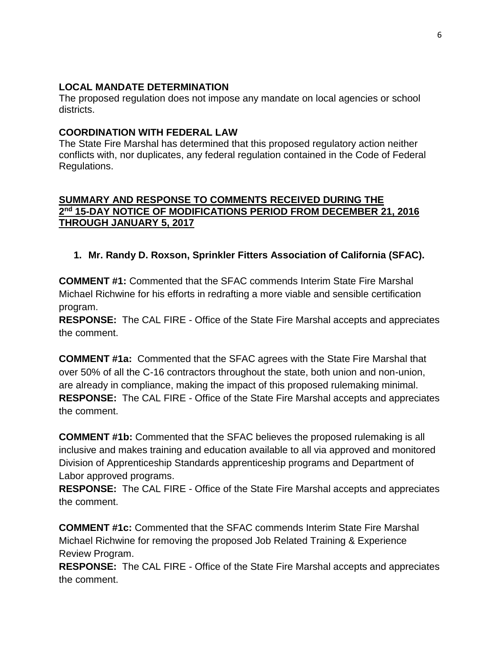### **LOCAL MANDATE DETERMINATION**

The proposed regulation does not impose any mandate on local agencies or school districts.

#### **COORDINATION WITH FEDERAL LAW**

The State Fire Marshal has determined that this proposed regulatory action neither conflicts with, nor duplicates, any federal regulation contained in the Code of Federal Regulations.

#### **SUMMARY AND RESPONSE TO COMMENTS RECEIVED DURING THE 2 nd 15-DAY NOTICE OF MODIFICATIONS PERIOD FROM DECEMBER 21, 2016 THROUGH JANUARY 5, 2017**

# **1. Mr. Randy D. Roxson, Sprinkler Fitters Association of California (SFAC).**

**COMMENT #1:** Commented that the SFAC commends Interim State Fire Marshal Michael Richwine for his efforts in redrafting a more viable and sensible certification program.

**RESPONSE:** The CAL FIRE - Office of the State Fire Marshal accepts and appreciates the comment.

**COMMENT #1a:** Commented that the SFAC agrees with the State Fire Marshal that over 50% of all the C-16 contractors throughout the state, both union and non-union, are already in compliance, making the impact of this proposed rulemaking minimal. **RESPONSE:** The CAL FIRE - Office of the State Fire Marshal accepts and appreciates the comment.

**COMMENT #1b:** Commented that the SFAC believes the proposed rulemaking is all inclusive and makes training and education available to all via approved and monitored Division of Apprenticeship Standards apprenticeship programs and Department of Labor approved programs.

**RESPONSE:** The CAL FIRE - Office of the State Fire Marshal accepts and appreciates the comment.

**COMMENT #1c:** Commented that the SFAC commends Interim State Fire Marshal Michael Richwine for removing the proposed Job Related Training & Experience Review Program.

**RESPONSE:** The CAL FIRE - Office of the State Fire Marshal accepts and appreciates the comment.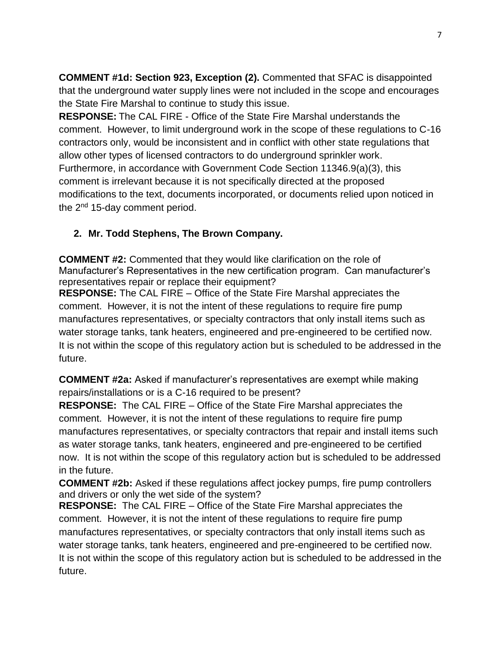**COMMENT #1d: Section 923, Exception (2).** Commented that SFAC is disappointed that the underground water supply lines were not included in the scope and encourages the State Fire Marshal to continue to study this issue.

**RESPONSE:** The CAL FIRE - Office of the State Fire Marshal understands the comment. However, to limit underground work in the scope of these regulations to C-16 contractors only, would be inconsistent and in conflict with other state regulations that allow other types of licensed contractors to do underground sprinkler work. Furthermore, in accordance with Government Code Section 11346.9(a)(3), this comment is irrelevant because it is not specifically directed at the proposed modifications to the text, documents incorporated, or documents relied upon noticed in the 2<sup>nd</sup> 15-day comment period.

## **2. Mr. Todd Stephens, The Brown Company.**

**COMMENT #2:** Commented that they would like clarification on the role of Manufacturer's Representatives in the new certification program. Can manufacturer's representatives repair or replace their equipment?

**RESPONSE:** The CAL FIRE – Office of the State Fire Marshal appreciates the comment. However, it is not the intent of these regulations to require fire pump manufactures representatives, or specialty contractors that only install items such as water storage tanks, tank heaters, engineered and pre-engineered to be certified now. It is not within the scope of this regulatory action but is scheduled to be addressed in the future.

**COMMENT #2a:** Asked if manufacturer's representatives are exempt while making repairs/installations or is a C-16 required to be present?

**RESPONSE:** The CAL FIRE – Office of the State Fire Marshal appreciates the comment. However, it is not the intent of these regulations to require fire pump manufactures representatives, or specialty contractors that repair and install items such as water storage tanks, tank heaters, engineered and pre-engineered to be certified now. It is not within the scope of this regulatory action but is scheduled to be addressed in the future.

**COMMENT #2b:** Asked if these regulations affect jockey pumps, fire pump controllers and drivers or only the wet side of the system?

**RESPONSE:** The CAL FIRE – Office of the State Fire Marshal appreciates the comment. However, it is not the intent of these regulations to require fire pump manufactures representatives, or specialty contractors that only install items such as water storage tanks, tank heaters, engineered and pre-engineered to be certified now. It is not within the scope of this regulatory action but is scheduled to be addressed in the future.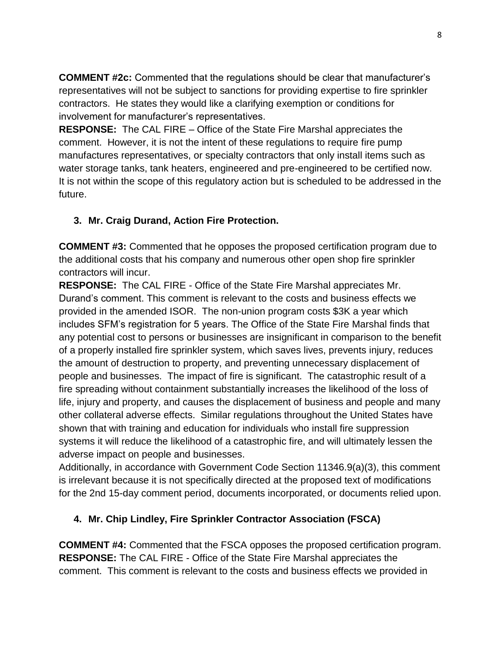**COMMENT #2c:** Commented that the regulations should be clear that manufacturer's representatives will not be subject to sanctions for providing expertise to fire sprinkler contractors. He states they would like a clarifying exemption or conditions for involvement for manufacturer's representatives.

**RESPONSE:** The CAL FIRE – Office of the State Fire Marshal appreciates the comment. However, it is not the intent of these regulations to require fire pump manufactures representatives, or specialty contractors that only install items such as water storage tanks, tank heaters, engineered and pre-engineered to be certified now. It is not within the scope of this regulatory action but is scheduled to be addressed in the future.

# **3. Mr. Craig Durand, Action Fire Protection.**

**COMMENT #3:** Commented that he opposes the proposed certification program due to the additional costs that his company and numerous other open shop fire sprinkler contractors will incur.

**RESPONSE:** The CAL FIRE - Office of the State Fire Marshal appreciates Mr. Durand's comment. This comment is relevant to the costs and business effects we provided in the amended ISOR. The non-union program costs \$3K a year which includes SFM's registration for 5 years. The Office of the State Fire Marshal finds that any potential cost to persons or businesses are insignificant in comparison to the benefit of a properly installed fire sprinkler system, which saves lives, prevents injury, reduces the amount of destruction to property, and preventing unnecessary displacement of people and businesses. The impact of fire is significant. The catastrophic result of a fire spreading without containment substantially increases the likelihood of the loss of life, injury and property, and causes the displacement of business and people and many other collateral adverse effects. Similar regulations throughout the United States have shown that with training and education for individuals who install fire suppression systems it will reduce the likelihood of a catastrophic fire, and will ultimately lessen the adverse impact on people and businesses.

Additionally, in accordance with Government Code Section 11346.9(a)(3), this comment is irrelevant because it is not specifically directed at the proposed text of modifications for the 2nd 15-day comment period, documents incorporated, or documents relied upon.

## **4. Mr. Chip Lindley, Fire Sprinkler Contractor Association (FSCA)**

**COMMENT #4:** Commented that the FSCA opposes the proposed certification program. **RESPONSE:** The CAL FIRE - Office of the State Fire Marshal appreciates the comment. This comment is relevant to the costs and business effects we provided in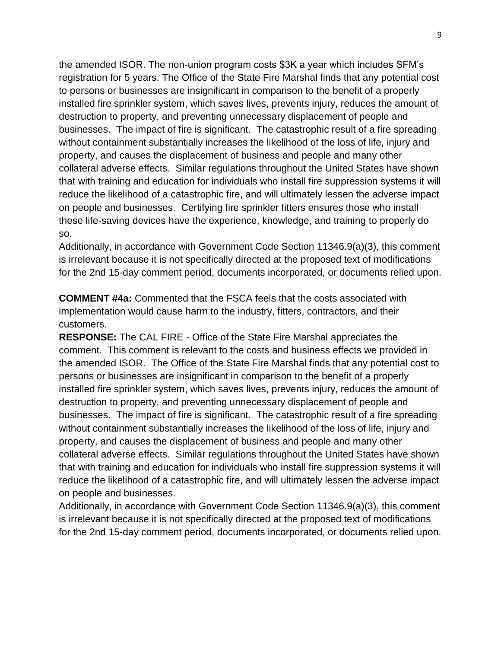the amended ISOR. The non-union program costs \$3K a year which includes SFM's registration for 5 years. The Office of the State Fire Marshal finds that any potential cost to persons or businesses are insignificant in comparison to the benefit of a properly installed fire sprinkler system, which saves lives, prevents injury, reduces the amount of destruction to property, and preventing unnecessary displacement of people and businesses. The impact of fire is significant. The catastrophic result of a fire spreading without containment substantially increases the likelihood of the loss of life, injury and property, and causes the displacement of business and people and many other collateral adverse effects. Similar regulations throughout the United States have shown that with training and education for individuals who install fire suppression systems it will reduce the likelihood of a catastrophic fire, and will ultimately lessen the adverse impact on people and businesses. Certifying fire sprinkler fitters ensures those who install these life-saving devices have the experience, knowledge, and training to properly do so.

Additionally, in accordance with Government Code Section 11346.9(a)(3), this comment is irrelevant because it is not specifically directed at the proposed text of modifications for the 2nd 15-day comment period, documents incorporated, or documents relied upon.

**COMMENT #4a:** Commented that the FSCA feels that the costs associated with implementation would cause harm to the industry, fitters, contractors, and their customers.

**RESPONSE:** The CAL FIRE - Office of the State Fire Marshal appreciates the comment. This comment is relevant to the costs and business effects we provided in the amended ISOR. The Office of the State Fire Marshal finds that any potential cost to persons or businesses are insignificant in comparison to the benefit of a properly installed fire sprinkler system, which saves lives, prevents injury, reduces the amount of destruction to property, and preventing unnecessary displacement of people and businesses. The impact of fire is significant. The catastrophic result of a fire spreading without containment substantially increases the likelihood of the loss of life, injury and property, and causes the displacement of business and people and many other collateral adverse effects. Similar regulations throughout the United States have shown that with training and education for individuals who install fire suppression systems it will reduce the likelihood of a catastrophic fire, and will ultimately lessen the adverse impact on people and businesses.

Additionally, in accordance with Government Code Section 11346.9(a)(3), this comment is irrelevant because it is not specifically directed at the proposed text of modifications for the 2nd 15-day comment period, documents incorporated, or documents relied upon.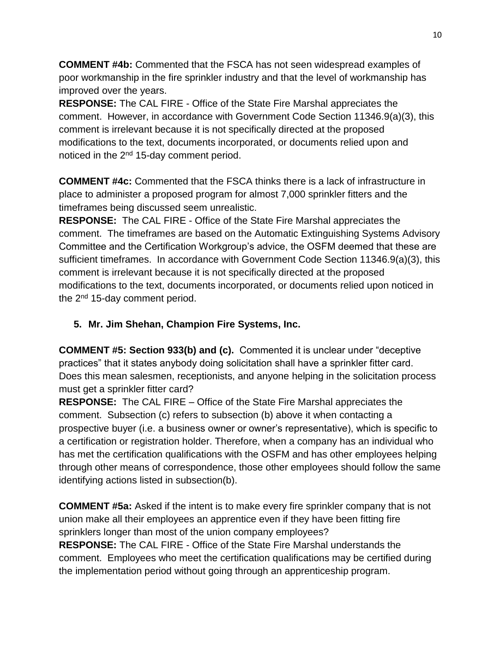**COMMENT #4b:** Commented that the FSCA has not seen widespread examples of poor workmanship in the fire sprinkler industry and that the level of workmanship has improved over the years.

**RESPONSE:** The CAL FIRE - Office of the State Fire Marshal appreciates the comment. However, in accordance with Government Code Section 11346.9(a)(3), this comment is irrelevant because it is not specifically directed at the proposed modifications to the text, documents incorporated, or documents relied upon and noticed in the 2<sup>nd</sup> 15-day comment period.

**COMMENT #4c:** Commented that the FSCA thinks there is a lack of infrastructure in place to administer a proposed program for almost 7,000 sprinkler fitters and the timeframes being discussed seem unrealistic.

**RESPONSE:** The CAL FIRE - Office of the State Fire Marshal appreciates the comment. The timeframes are based on the Automatic Extinguishing Systems Advisory Committee and the Certification Workgroup's advice, the OSFM deemed that these are sufficient timeframes. In accordance with Government Code Section 11346.9(a)(3), this comment is irrelevant because it is not specifically directed at the proposed modifications to the text, documents incorporated, or documents relied upon noticed in the  $2<sup>nd</sup>$  15-day comment period.

# **5. Mr. Jim Shehan, Champion Fire Systems, Inc.**

**COMMENT #5: Section 933(b) and (c).** Commented it is unclear under "deceptive practices" that it states anybody doing solicitation shall have a sprinkler fitter card. Does this mean salesmen, receptionists, and anyone helping in the solicitation process must get a sprinkler fitter card?

**RESPONSE:** The CAL FIRE – Office of the State Fire Marshal appreciates the comment. Subsection (c) refers to subsection (b) above it when contacting a prospective buyer (i.e. a business owner or owner's representative), which is specific to a certification or registration holder. Therefore, when a company has an individual who has met the certification qualifications with the OSFM and has other employees helping through other means of correspondence, those other employees should follow the same identifying actions listed in subsection(b).

**COMMENT #5a:** Asked if the intent is to make every fire sprinkler company that is not union make all their employees an apprentice even if they have been fitting fire sprinklers longer than most of the union company employees? **RESPONSE:** The CAL FIRE - Office of the State Fire Marshal understands the comment. Employees who meet the certification qualifications may be certified during the implementation period without going through an apprenticeship program.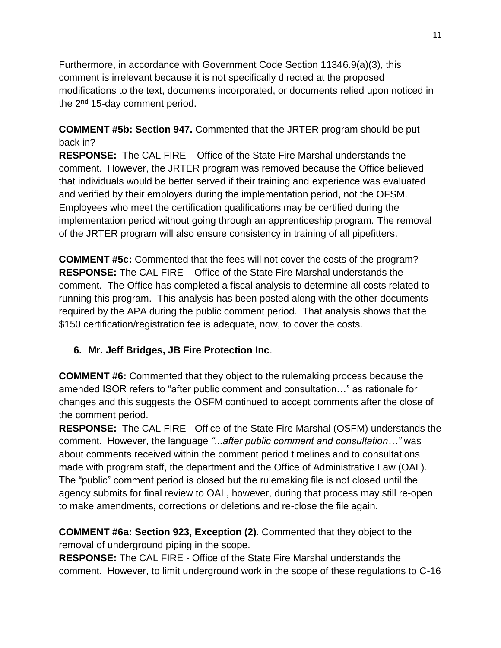Furthermore, in accordance with Government Code Section 11346.9(a)(3), this comment is irrelevant because it is not specifically directed at the proposed modifications to the text, documents incorporated, or documents relied upon noticed in the  $2<sup>nd</sup>$  15-day comment period.

**COMMENT #5b: Section 947.** Commented that the JRTER program should be put back in?

**RESPONSE:** The CAL FIRE – Office of the State Fire Marshal understands the comment. However, the JRTER program was removed because the Office believed that individuals would be better served if their training and experience was evaluated and verified by their employers during the implementation period, not the OFSM. Employees who meet the certification qualifications may be certified during the implementation period without going through an apprenticeship program. The removal of the JRTER program will also ensure consistency in training of all pipefitters.

**COMMENT #5c:** Commented that the fees will not cover the costs of the program? **RESPONSE:** The CAL FIRE – Office of the State Fire Marshal understands the comment. The Office has completed a fiscal analysis to determine all costs related to running this program. This analysis has been posted along with the other documents required by the APA during the public comment period. That analysis shows that the \$150 certification/registration fee is adequate, now, to cover the costs.

# **6. Mr. Jeff Bridges, JB Fire Protection Inc**.

**COMMENT #6:** Commented that they object to the rulemaking process because the amended ISOR refers to "after public comment and consultation…" as rationale for changes and this suggests the OSFM continued to accept comments after the close of the comment period.

**RESPONSE:** The CAL FIRE - Office of the State Fire Marshal (OSFM) understands the comment. However, the language *"...after public comment and consultation…"* was about comments received within the comment period timelines and to consultations made with program staff, the department and the Office of Administrative Law (OAL). The "public" comment period is closed but the rulemaking file is not closed until the agency submits for final review to OAL, however, during that process may still re-open to make amendments, corrections or deletions and re-close the file again.

**COMMENT #6a: Section 923, Exception (2).** Commented that they object to the removal of underground piping in the scope.

**RESPONSE:** The CAL FIRE - Office of the State Fire Marshal understands the comment. However, to limit underground work in the scope of these regulations to C-16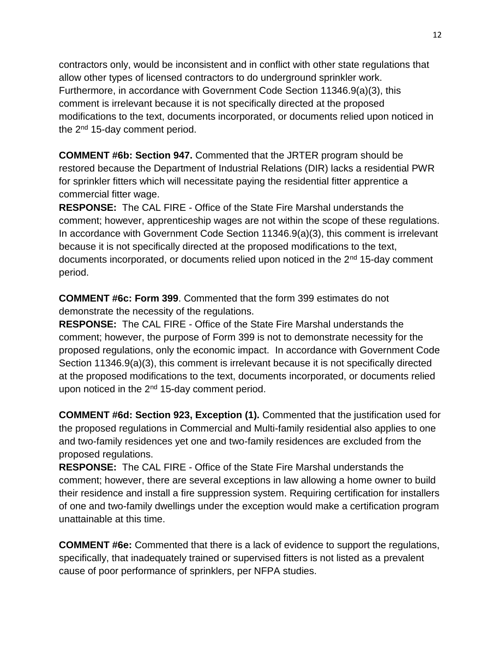contractors only, would be inconsistent and in conflict with other state regulations that allow other types of licensed contractors to do underground sprinkler work. Furthermore, in accordance with Government Code Section 11346.9(a)(3), this comment is irrelevant because it is not specifically directed at the proposed modifications to the text, documents incorporated, or documents relied upon noticed in the 2<sup>nd</sup> 15-day comment period.

**COMMENT #6b: Section 947.** Commented that the JRTER program should be restored because the Department of Industrial Relations (DIR) lacks a residential PWR for sprinkler fitters which will necessitate paying the residential fitter apprentice a commercial fitter wage.

**RESPONSE:** The CAL FIRE - Office of the State Fire Marshal understands the comment; however, apprenticeship wages are not within the scope of these regulations. In accordance with Government Code Section 11346.9(a)(3), this comment is irrelevant because it is not specifically directed at the proposed modifications to the text, documents incorporated, or documents relied upon noticed in the 2<sup>nd</sup> 15-day comment period.

**COMMENT #6c: Form 399**. Commented that the form 399 estimates do not demonstrate the necessity of the regulations.

**RESPONSE:** The CAL FIRE - Office of the State Fire Marshal understands the comment; however, the purpose of Form 399 is not to demonstrate necessity for the proposed regulations, only the economic impact. In accordance with Government Code Section 11346.9(a)(3), this comment is irrelevant because it is not specifically directed at the proposed modifications to the text, documents incorporated, or documents relied upon noticed in the  $2^{nd}$  15-day comment period.

**COMMENT #6d: Section 923, Exception (1).** Commented that the justification used for the proposed regulations in Commercial and Multi-family residential also applies to one and two-family residences yet one and two-family residences are excluded from the proposed regulations.

**RESPONSE:** The CAL FIRE - Office of the State Fire Marshal understands the comment; however, there are several exceptions in law allowing a home owner to build their residence and install a fire suppression system. Requiring certification for installers of one and two-family dwellings under the exception would make a certification program unattainable at this time.

**COMMENT #6e:** Commented that there is a lack of evidence to support the regulations, specifically, that inadequately trained or supervised fitters is not listed as a prevalent cause of poor performance of sprinklers, per NFPA studies.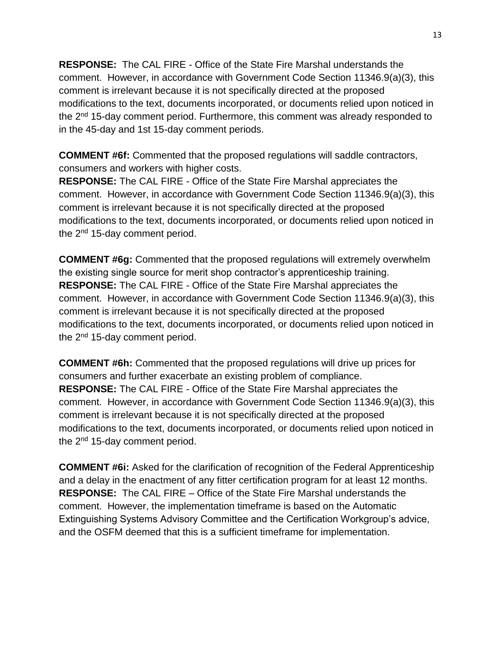**RESPONSE:** The CAL FIRE - Office of the State Fire Marshal understands the comment. However, in accordance with Government Code Section 11346.9(a)(3), this comment is irrelevant because it is not specifically directed at the proposed modifications to the text, documents incorporated, or documents relied upon noticed in the 2nd 15-day comment period. Furthermore, this comment was already responded to in the 45-day and 1st 15-day comment periods.

**COMMENT #6f:** Commented that the proposed regulations will saddle contractors, consumers and workers with higher costs.

**RESPONSE:** The CAL FIRE - Office of the State Fire Marshal appreciates the comment. However, in accordance with Government Code Section 11346.9(a)(3), this comment is irrelevant because it is not specifically directed at the proposed modifications to the text, documents incorporated, or documents relied upon noticed in the  $2<sup>nd</sup>$  15-day comment period.

**COMMENT #6g:** Commented that the proposed regulations will extremely overwhelm the existing single source for merit shop contractor's apprenticeship training. **RESPONSE:** The CAL FIRE - Office of the State Fire Marshal appreciates the comment. However, in accordance with Government Code Section 11346.9(a)(3), this comment is irrelevant because it is not specifically directed at the proposed modifications to the text, documents incorporated, or documents relied upon noticed in the  $2<sup>nd</sup>$  15-day comment period.

**COMMENT #6h:** Commented that the proposed regulations will drive up prices for consumers and further exacerbate an existing problem of compliance. **RESPONSE:** The CAL FIRE - Office of the State Fire Marshal appreciates the comment. However, in accordance with Government Code Section 11346.9(a)(3), this comment is irrelevant because it is not specifically directed at the proposed modifications to the text, documents incorporated, or documents relied upon noticed in the  $2<sup>nd</sup>$  15-day comment period.

**COMMENT #6i:** Asked for the clarification of recognition of the Federal Apprenticeship and a delay in the enactment of any fitter certification program for at least 12 months. **RESPONSE:** The CAL FIRE – Office of the State Fire Marshal understands the comment. However, the implementation timeframe is based on the Automatic Extinguishing Systems Advisory Committee and the Certification Workgroup's advice, and the OSFM deemed that this is a sufficient timeframe for implementation.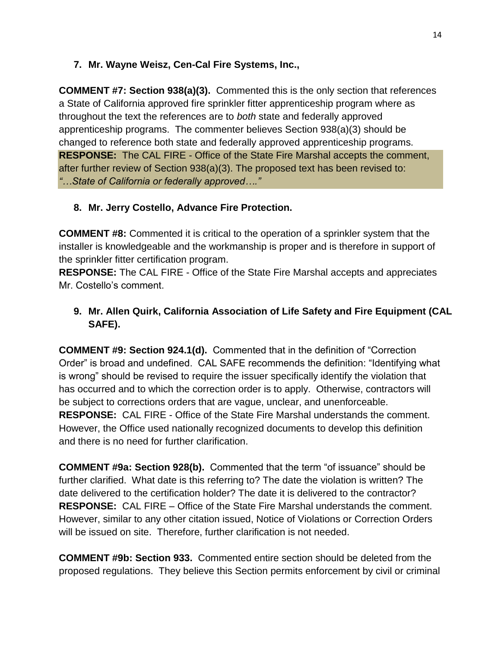### **7. Mr. Wayne Weisz, Cen-Cal Fire Systems, Inc.,**

**COMMENT #7: Section 938(a)(3).** Commented this is the only section that references a State of California approved fire sprinkler fitter apprenticeship program where as throughout the text the references are to *both* state and federally approved apprenticeship programs. The commenter believes Section 938(a)(3) should be changed to reference both state and federally approved apprenticeship programs. **RESPONSE:** The CAL FIRE - Office of the State Fire Marshal accepts the comment, after further review of Section 938(a)(3). The proposed text has been revised to: *"…State of California or federally approved…."*

# **8. Mr. Jerry Costello, Advance Fire Protection.**

**COMMENT #8:** Commented it is critical to the operation of a sprinkler system that the installer is knowledgeable and the workmanship is proper and is therefore in support of the sprinkler fitter certification program.

**RESPONSE:** The CAL FIRE - Office of the State Fire Marshal accepts and appreciates Mr. Costello's comment.

# **9. Mr. Allen Quirk, California Association of Life Safety and Fire Equipment (CAL SAFE).**

**COMMENT #9: Section 924.1(d).** Commented that in the definition of "Correction Order" is broad and undefined. CAL SAFE recommends the definition: "Identifying what is wrong" should be revised to require the issuer specifically identify the violation that has occurred and to which the correction order is to apply. Otherwise, contractors will be subject to corrections orders that are vague, unclear, and unenforceable. **RESPONSE:** CAL FIRE - Office of the State Fire Marshal understands the comment. However, the Office used nationally recognized documents to develop this definition and there is no need for further clarification.

**COMMENT #9a: Section 928(b).** Commented that the term "of issuance" should be further clarified. What date is this referring to? The date the violation is written? The date delivered to the certification holder? The date it is delivered to the contractor? **RESPONSE:** CAL FIRE – Office of the State Fire Marshal understands the comment. However, similar to any other citation issued, Notice of Violations or Correction Orders will be issued on site. Therefore, further clarification is not needed.

**COMMENT #9b: Section 933.** Commented entire section should be deleted from the proposed regulations. They believe this Section permits enforcement by civil or criminal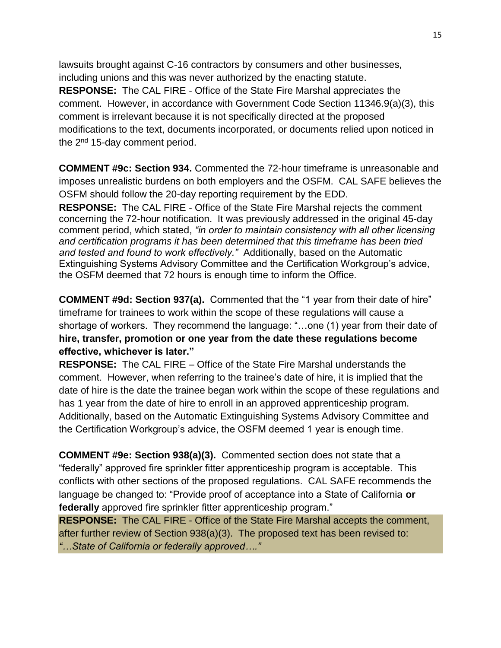lawsuits brought against C-16 contractors by consumers and other businesses, including unions and this was never authorized by the enacting statute. **RESPONSE:** The CAL FIRE - Office of the State Fire Marshal appreciates the comment. However, in accordance with Government Code Section 11346.9(a)(3), this comment is irrelevant because it is not specifically directed at the proposed modifications to the text, documents incorporated, or documents relied upon noticed in the 2<sup>nd</sup> 15-day comment period.

**COMMENT #9c: Section 934.** Commented the 72-hour timeframe is unreasonable and imposes unrealistic burdens on both employers and the OSFM. CAL SAFE believes the OSFM should follow the 20-day reporting requirement by the EDD.

**RESPONSE:** The CAL FIRE - Office of the State Fire Marshal rejects the comment concerning the 72-hour notification. It was previously addressed in the original 45-day comment period, which stated, *"in order to maintain consistency with all other licensing and certification programs it has been determined that this timeframe has been tried and tested and found to work effectively."* Additionally, based on the Automatic Extinguishing Systems Advisory Committee and the Certification Workgroup's advice, the OSFM deemed that 72 hours is enough time to inform the Office.

**COMMENT #9d: Section 937(a).** Commented that the "1 year from their date of hire" timeframe for trainees to work within the scope of these regulations will cause a shortage of workers. They recommend the language: "…one (1) year from their date of **hire, transfer, promotion or one year from the date these regulations become effective, whichever is later."** 

**RESPONSE:** The CAL FIRE – Office of the State Fire Marshal understands the comment. However, when referring to the trainee's date of hire, it is implied that the date of hire is the date the trainee began work within the scope of these regulations and has 1 year from the date of hire to enroll in an approved apprenticeship program. Additionally, based on the Automatic Extinguishing Systems Advisory Committee and the Certification Workgroup's advice, the OSFM deemed 1 year is enough time.

**COMMENT #9e: Section 938(a)(3).** Commented section does not state that a "federally" approved fire sprinkler fitter apprenticeship program is acceptable. This conflicts with other sections of the proposed regulations. CAL SAFE recommends the language be changed to: "Provide proof of acceptance into a State of California **or federally** approved fire sprinkler fitter apprenticeship program."

**RESPONSE:** The CAL FIRE - Office of the State Fire Marshal accepts the comment, after further review of Section 938(a)(3). The proposed text has been revised to: *"…State of California or federally approved…."*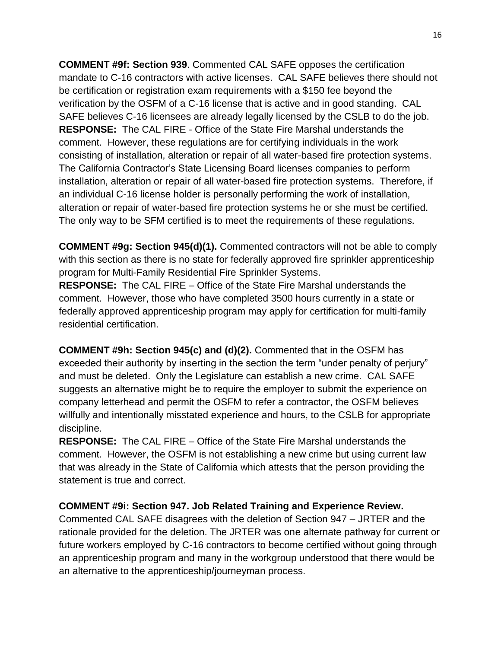**COMMENT #9f: Section 939**. Commented CAL SAFE opposes the certification mandate to C-16 contractors with active licenses. CAL SAFE believes there should not be certification or registration exam requirements with a \$150 fee beyond the verification by the OSFM of a C-16 license that is active and in good standing. CAL SAFE believes C-16 licensees are already legally licensed by the CSLB to do the job. **RESPONSE:** The CAL FIRE - Office of the State Fire Marshal understands the comment. However, these regulations are for certifying individuals in the work consisting of installation, alteration or repair of all water-based fire protection systems. The California Contractor's State Licensing Board licenses companies to perform installation, alteration or repair of all water-based fire protection systems. Therefore, if an individual C-16 license holder is personally performing the work of installation, alteration or repair of water-based fire protection systems he or she must be certified. The only way to be SFM certified is to meet the requirements of these regulations.

**COMMENT #9g: Section 945(d)(1).** Commented contractors will not be able to comply with this section as there is no state for federally approved fire sprinkler apprenticeship program for Multi-Family Residential Fire Sprinkler Systems.

**RESPONSE:** The CAL FIRE – Office of the State Fire Marshal understands the comment. However, those who have completed 3500 hours currently in a state or federally approved apprenticeship program may apply for certification for multi-family residential certification.

**COMMENT #9h: Section 945(c) and (d)(2).** Commented that in the OSFM has exceeded their authority by inserting in the section the term "under penalty of perjury" and must be deleted. Only the Legislature can establish a new crime. CAL SAFE suggests an alternative might be to require the employer to submit the experience on company letterhead and permit the OSFM to refer a contractor, the OSFM believes willfully and intentionally misstated experience and hours, to the CSLB for appropriate discipline.

**RESPONSE:** The CAL FIRE – Office of the State Fire Marshal understands the comment. However, the OSFM is not establishing a new crime but using current law that was already in the State of California which attests that the person providing the statement is true and correct.

## **COMMENT #9i: Section 947. Job Related Training and Experience Review.**

Commented CAL SAFE disagrees with the deletion of Section 947 – JRTER and the rationale provided for the deletion. The JRTER was one alternate pathway for current or future workers employed by C-16 contractors to become certified without going through an apprenticeship program and many in the workgroup understood that there would be an alternative to the apprenticeship/journeyman process.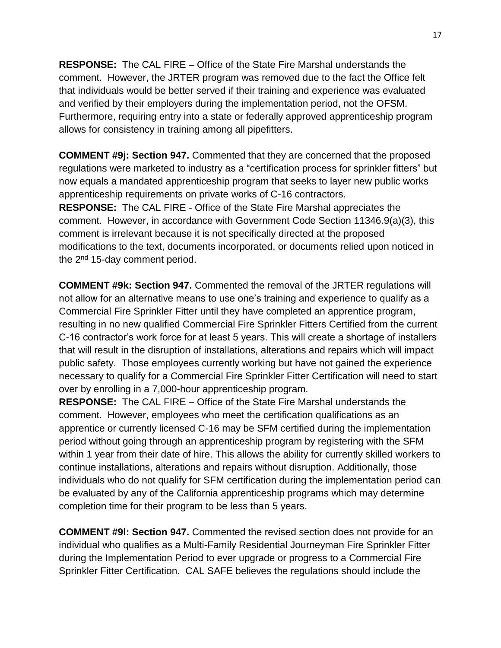**RESPONSE:** The CAL FIRE – Office of the State Fire Marshal understands the comment. However, the JRTER program was removed due to the fact the Office felt that individuals would be better served if their training and experience was evaluated and verified by their employers during the implementation period, not the OFSM. Furthermore, requiring entry into a state or federally approved apprenticeship program allows for consistency in training among all pipefitters.

**COMMENT #9j: Section 947.** Commented that they are concerned that the proposed regulations were marketed to industry as a "certification process for sprinkler fitters" but now equals a mandated apprenticeship program that seeks to layer new public works apprenticeship requirements on private works of C-16 contractors.

**RESPONSE:** The CAL FIRE - Office of the State Fire Marshal appreciates the comment. However, in accordance with Government Code Section 11346.9(a)(3), this comment is irrelevant because it is not specifically directed at the proposed modifications to the text, documents incorporated, or documents relied upon noticed in the  $2<sup>nd</sup>$  15-day comment period.

**COMMENT #9k: Section 947.** Commented the removal of the JRTER regulations will not allow for an alternative means to use one's training and experience to qualify as a Commercial Fire Sprinkler Fitter until they have completed an apprentice program, resulting in no new qualified Commercial Fire Sprinkler Fitters Certified from the current C-16 contractor's work force for at least 5 years. This will create a shortage of installers that will result in the disruption of installations, alterations and repairs which will impact public safety. Those employees currently working but have not gained the experience necessary to qualify for a Commercial Fire Sprinkler Fitter Certification will need to start over by enrolling in a 7,000-hour apprenticeship program.

**RESPONSE:** The CAL FIRE – Office of the State Fire Marshal understands the comment. However, employees who meet the certification qualifications as an apprentice or currently licensed C-16 may be SFM certified during the implementation period without going through an apprenticeship program by registering with the SFM within 1 year from their date of hire. This allows the ability for currently skilled workers to continue installations, alterations and repairs without disruption. Additionally, those individuals who do not qualify for SFM certification during the implementation period can be evaluated by any of the California apprenticeship programs which may determine completion time for their program to be less than 5 years.

**COMMENT #9l: Section 947.** Commented the revised section does not provide for an individual who qualifies as a Multi-Family Residential Journeyman Fire Sprinkler Fitter during the Implementation Period to ever upgrade or progress to a Commercial Fire Sprinkler Fitter Certification. CAL SAFE believes the regulations should include the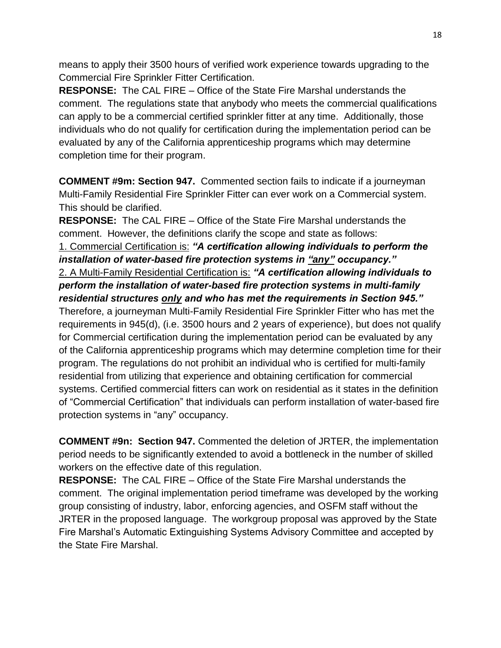means to apply their 3500 hours of verified work experience towards upgrading to the Commercial Fire Sprinkler Fitter Certification.

**RESPONSE:** The CAL FIRE – Office of the State Fire Marshal understands the comment. The regulations state that anybody who meets the commercial qualifications can apply to be a commercial certified sprinkler fitter at any time. Additionally, those individuals who do not qualify for certification during the implementation period can be evaluated by any of the California apprenticeship programs which may determine completion time for their program.

**COMMENT #9m: Section 947.** Commented section fails to indicate if a journeyman Multi-Family Residential Fire Sprinkler Fitter can ever work on a Commercial system. This should be clarified.

**RESPONSE:** The CAL FIRE – Office of the State Fire Marshal understands the comment. However, the definitions clarify the scope and state as follows: 1. Commercial Certification is: *"A certification allowing individuals to perform the installation of water-based fire protection systems in "any" occupancy."* 2. A Multi-Family Residential Certification is: *"A certification allowing individuals to perform the installation of water-based fire protection systems in multi-family residential structures only and who has met the requirements in Section 945."*  Therefore, a journeyman Multi-Family Residential Fire Sprinkler Fitter who has met the requirements in 945(d), (i.e. 3500 hours and 2 years of experience), but does not qualify for Commercial certification during the implementation period can be evaluated by any of the California apprenticeship programs which may determine completion time for their program. The regulations do not prohibit an individual who is certified for multi-family residential from utilizing that experience and obtaining certification for commercial systems. Certified commercial fitters can work on residential as it states in the definition of "Commercial Certification" that individuals can perform installation of water-based fire protection systems in "any" occupancy.

**COMMENT #9n: Section 947.** Commented the deletion of JRTER, the implementation period needs to be significantly extended to avoid a bottleneck in the number of skilled workers on the effective date of this regulation.

**RESPONSE:** The CAL FIRE – Office of the State Fire Marshal understands the comment. The original implementation period timeframe was developed by the working group consisting of industry, labor, enforcing agencies, and OSFM staff without the JRTER in the proposed language. The workgroup proposal was approved by the State Fire Marshal's Automatic Extinguishing Systems Advisory Committee and accepted by the State Fire Marshal.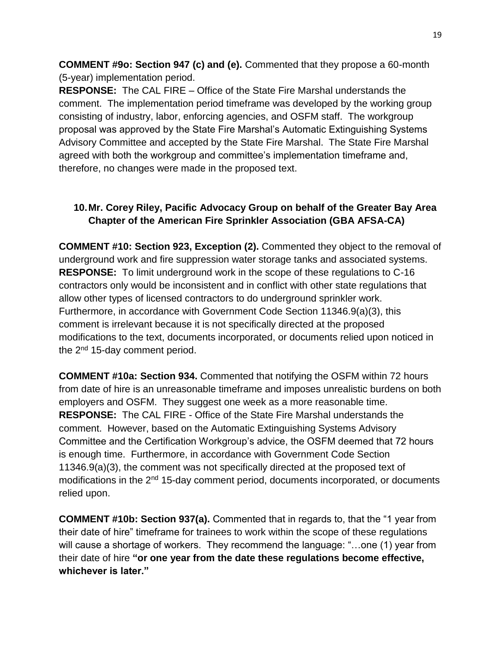**COMMENT #9o: Section 947 (c) and (e).** Commented that they propose a 60-month (5-year) implementation period.

**RESPONSE:** The CAL FIRE – Office of the State Fire Marshal understands the comment. The implementation period timeframe was developed by the working group consisting of industry, labor, enforcing agencies, and OSFM staff. The workgroup proposal was approved by the State Fire Marshal's Automatic Extinguishing Systems Advisory Committee and accepted by the State Fire Marshal. The State Fire Marshal agreed with both the workgroup and committee's implementation timeframe and, therefore, no changes were made in the proposed text.

# **10.Mr. Corey Riley, Pacific Advocacy Group on behalf of the Greater Bay Area Chapter of the American Fire Sprinkler Association (GBA AFSA-CA)**

**COMMENT #10: Section 923, Exception (2).** Commented they object to the removal of underground work and fire suppression water storage tanks and associated systems. **RESPONSE:** To limit underground work in the scope of these regulations to C-16 contractors only would be inconsistent and in conflict with other state regulations that allow other types of licensed contractors to do underground sprinkler work. Furthermore, in accordance with Government Code Section 11346.9(a)(3), this comment is irrelevant because it is not specifically directed at the proposed modifications to the text, documents incorporated, or documents relied upon noticed in the  $2<sup>nd</sup>$  15-day comment period.

**COMMENT #10a: Section 934.** Commented that notifying the OSFM within 72 hours from date of hire is an unreasonable timeframe and imposes unrealistic burdens on both employers and OSFM. They suggest one week as a more reasonable time. **RESPONSE:** The CAL FIRE - Office of the State Fire Marshal understands the comment. However, based on the Automatic Extinguishing Systems Advisory Committee and the Certification Workgroup's advice, the OSFM deemed that 72 hours is enough time. Furthermore, in accordance with Government Code Section 11346.9(a)(3), the comment was not specifically directed at the proposed text of modifications in the 2<sup>nd</sup> 15-day comment period, documents incorporated, or documents relied upon.

**COMMENT #10b: Section 937(a).** Commented that in regards to, that the "1 year from their date of hire" timeframe for trainees to work within the scope of these regulations will cause a shortage of workers. They recommend the language: "…one (1) year from their date of hire **"or one year from the date these regulations become effective, whichever is later."**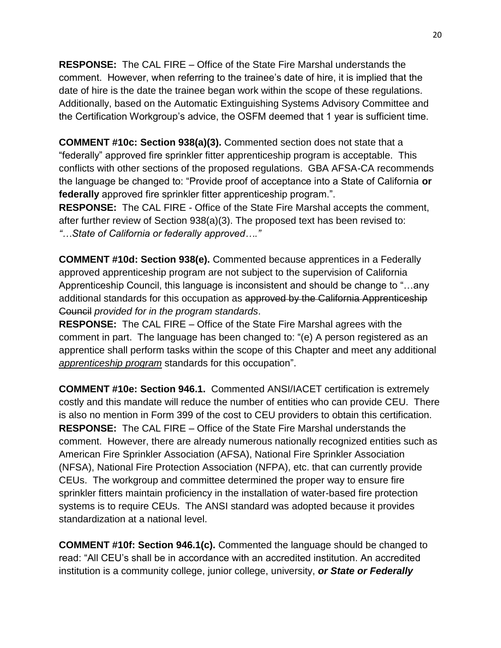**RESPONSE:** The CAL FIRE – Office of the State Fire Marshal understands the comment. However, when referring to the trainee's date of hire, it is implied that the date of hire is the date the trainee began work within the scope of these regulations. Additionally, based on the Automatic Extinguishing Systems Advisory Committee and the Certification Workgroup's advice, the OSFM deemed that 1 year is sufficient time.

**COMMENT #10c: Section 938(a)(3).** Commented section does not state that a "federally" approved fire sprinkler fitter apprenticeship program is acceptable. This conflicts with other sections of the proposed regulations. GBA AFSA-CA recommends the language be changed to: "Provide proof of acceptance into a State of California **or federally** approved fire sprinkler fitter apprenticeship program.".

**RESPONSE:** The CAL FIRE - Office of the State Fire Marshal accepts the comment, after further review of Section 938(a)(3). The proposed text has been revised to: *"…State of California or federally approved…."*

**COMMENT #10d: Section 938(e).** Commented because apprentices in a Federally approved apprenticeship program are not subject to the supervision of California Apprenticeship Council, this language is inconsistent and should be change to "…any additional standards for this occupation as approved by the California Apprenticeship Council *provided for in the program standards*.

**RESPONSE:** The CAL FIRE – Office of the State Fire Marshal agrees with the comment in part. The language has been changed to: "(e) A person registered as an apprentice shall perform tasks within the scope of this Chapter and meet any additional *apprenticeship program* standards for this occupation".

**COMMENT #10e: Section 946.1.** Commented ANSI/IACET certification is extremely costly and this mandate will reduce the number of entities who can provide CEU. There is also no mention in Form 399 of the cost to CEU providers to obtain this certification. **RESPONSE:** The CAL FIRE – Office of the State Fire Marshal understands the comment.However, there are already numerous nationally recognized entities such as American Fire Sprinkler Association (AFSA), National Fire Sprinkler Association (NFSA), National Fire Protection Association (NFPA), etc. that can currently provide CEUs.The workgroup and committee determined the proper way to ensure fire sprinkler fitters maintain proficiency in the installation of water-based fire protection systems is to require CEUs. The ANSI standard was adopted because it provides standardization at a national level.

**COMMENT #10f: Section 946.1(c).** Commented the language should be changed to read: "All CEU's shall be in accordance with an accredited institution. An accredited institution is a community college, junior college, university, *or State or Federally*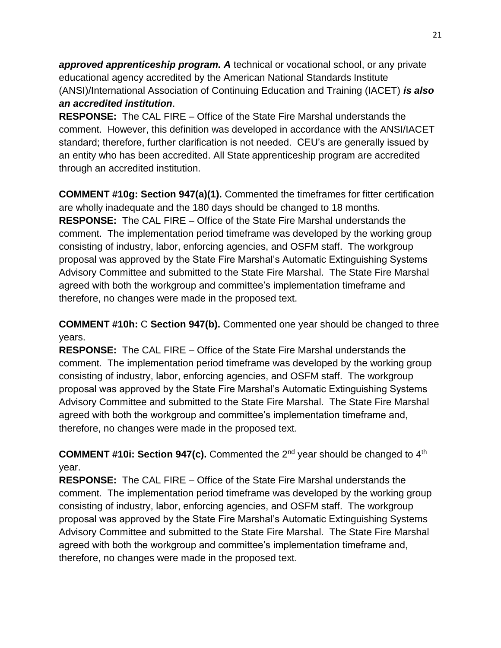*approved apprenticeship program. A* technical or vocational school, or any private educational agency accredited by the American National Standards Institute (ANSI)/International Association of Continuing Education and Training (IACET) *is also an accredited institution*.

**RESPONSE:** The CAL FIRE – Office of the State Fire Marshal understands the comment. However, this definition was developed in accordance with the ANSI/IACET standard; therefore, further clarification is not needed. CEU's are generally issued by an entity who has been accredited. All State apprenticeship program are accredited through an accredited institution.

**COMMENT #10g: Section 947(a)(1).** Commented the timeframes for fitter certification are wholly inadequate and the 180 days should be changed to 18 months. **RESPONSE:** The CAL FIRE – Office of the State Fire Marshal understands the comment. The implementation period timeframe was developed by the working group consisting of industry, labor, enforcing agencies, and OSFM staff. The workgroup proposal was approved by the State Fire Marshal's Automatic Extinguishing Systems Advisory Committee and submitted to the State Fire Marshal. The State Fire Marshal agreed with both the workgroup and committee's implementation timeframe and therefore, no changes were made in the proposed text.

**COMMENT #10h:** C **Section 947(b).** Commented one year should be changed to three years.

**RESPONSE:** The CAL FIRE – Office of the State Fire Marshal understands the comment. The implementation period timeframe was developed by the working group consisting of industry, labor, enforcing agencies, and OSFM staff. The workgroup proposal was approved by the State Fire Marshal's Automatic Extinguishing Systems Advisory Committee and submitted to the State Fire Marshal. The State Fire Marshal agreed with both the workgroup and committee's implementation timeframe and, therefore, no changes were made in the proposed text.

**COMMENT #10i: Section 947(c).** Commented the 2<sup>nd</sup> year should be changed to 4<sup>th</sup> year.

**RESPONSE:** The CAL FIRE – Office of the State Fire Marshal understands the comment. The implementation period timeframe was developed by the working group consisting of industry, labor, enforcing agencies, and OSFM staff. The workgroup proposal was approved by the State Fire Marshal's Automatic Extinguishing Systems Advisory Committee and submitted to the State Fire Marshal. The State Fire Marshal agreed with both the workgroup and committee's implementation timeframe and, therefore, no changes were made in the proposed text.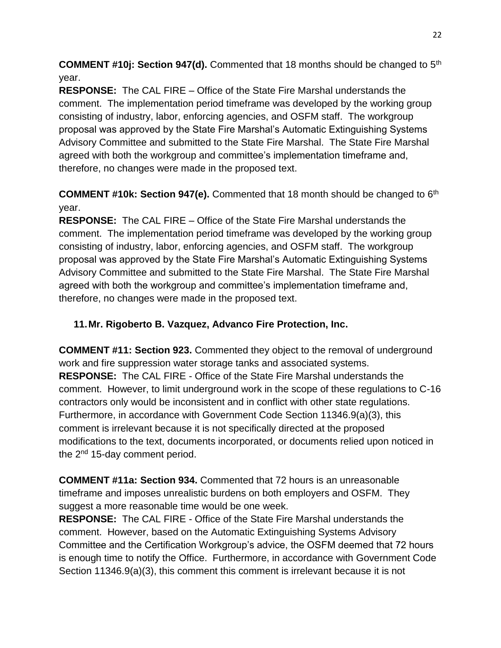**COMMENT #10j: Section 947(d).** Commented that 18 months should be changed to 5<sup>th</sup> year.

**RESPONSE:** The CAL FIRE – Office of the State Fire Marshal understands the comment. The implementation period timeframe was developed by the working group consisting of industry, labor, enforcing agencies, and OSFM staff. The workgroup proposal was approved by the State Fire Marshal's Automatic Extinguishing Systems Advisory Committee and submitted to the State Fire Marshal. The State Fire Marshal agreed with both the workgroup and committee's implementation timeframe and, therefore, no changes were made in the proposed text.

**COMMENT #10k: Section 947(e).** Commented that 18 month should be changed to 6<sup>th</sup> year.

**RESPONSE:** The CAL FIRE – Office of the State Fire Marshal understands the comment. The implementation period timeframe was developed by the working group consisting of industry, labor, enforcing agencies, and OSFM staff. The workgroup proposal was approved by the State Fire Marshal's Automatic Extinguishing Systems Advisory Committee and submitted to the State Fire Marshal. The State Fire Marshal agreed with both the workgroup and committee's implementation timeframe and, therefore, no changes were made in the proposed text.

# **11.Mr. Rigoberto B. Vazquez, Advanco Fire Protection, Inc.**

**COMMENT #11: Section 923.** Commented they object to the removal of underground work and fire suppression water storage tanks and associated systems. **RESPONSE:** The CAL FIRE - Office of the State Fire Marshal understands the comment. However, to limit underground work in the scope of these regulations to C-16 contractors only would be inconsistent and in conflict with other state regulations. Furthermore, in accordance with Government Code Section 11346.9(a)(3), this comment is irrelevant because it is not specifically directed at the proposed modifications to the text, documents incorporated, or documents relied upon noticed in the 2<sup>nd</sup> 15-day comment period.

**COMMENT #11a: Section 934.** Commented that 72 hours is an unreasonable timeframe and imposes unrealistic burdens on both employers and OSFM. They suggest a more reasonable time would be one week.

**RESPONSE:** The CAL FIRE - Office of the State Fire Marshal understands the comment. However, based on the Automatic Extinguishing Systems Advisory Committee and the Certification Workgroup's advice, the OSFM deemed that 72 hours is enough time to notify the Office. Furthermore, in accordance with Government Code Section 11346.9(a)(3), this comment this comment is irrelevant because it is not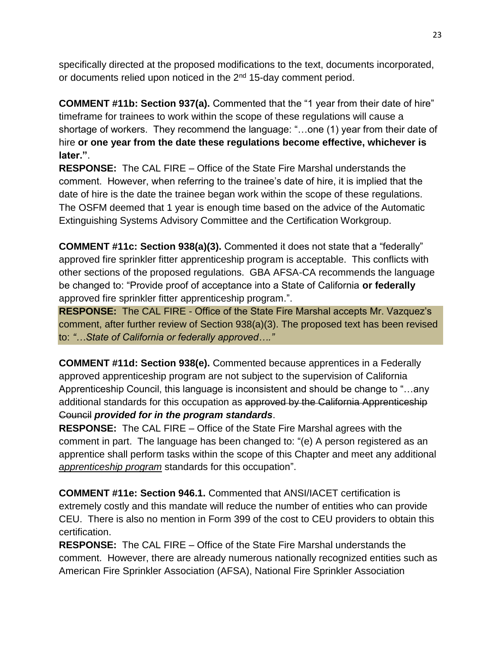specifically directed at the proposed modifications to the text, documents incorporated, or documents relied upon noticed in the 2<sup>nd</sup> 15-day comment period.

**COMMENT #11b: Section 937(a).** Commented that the "1 year from their date of hire" timeframe for trainees to work within the scope of these regulations will cause a shortage of workers. They recommend the language: "…one (1) year from their date of hire **or one year from the date these regulations become effective, whichever is later."**.

**RESPONSE:** The CAL FIRE – Office of the State Fire Marshal understands the comment. However, when referring to the trainee's date of hire, it is implied that the date of hire is the date the trainee began work within the scope of these regulations. The OSFM deemed that 1 year is enough time based on the advice of the Automatic Extinguishing Systems Advisory Committee and the Certification Workgroup.

**COMMENT #11c: Section 938(a)(3).** Commented it does not state that a "federally" approved fire sprinkler fitter apprenticeship program is acceptable. This conflicts with other sections of the proposed regulations. GBA AFSA-CA recommends the language be changed to: "Provide proof of acceptance into a State of California **or federally** approved fire sprinkler fitter apprenticeship program.".

**RESPONSE:** The CAL FIRE - Office of the State Fire Marshal accepts Mr. Vazquez's comment, after further review of Section 938(a)(3). The proposed text has been revised to: *"…State of California or federally approved…."*

**COMMENT #11d: Section 938(e).** Commented because apprentices in a Federally approved apprenticeship program are not subject to the supervision of California Apprenticeship Council, this language is inconsistent and should be change to "…any additional standards for this occupation as approved by the California Apprenticeship Council *provided for in the program standards*.

**RESPONSE:** The CAL FIRE – Office of the State Fire Marshal agrees with the comment in part. The language has been changed to: "(e) A person registered as an apprentice shall perform tasks within the scope of this Chapter and meet any additional *apprenticeship program* standards for this occupation".

**COMMENT #11e: Section 946.1.** Commented that ANSI/IACET certification is extremely costly and this mandate will reduce the number of entities who can provide CEU. There is also no mention in Form 399 of the cost to CEU providers to obtain this certification.

**RESPONSE:** The CAL FIRE – Office of the State Fire Marshal understands the comment.However, there are already numerous nationally recognized entities such as American Fire Sprinkler Association (AFSA), National Fire Sprinkler Association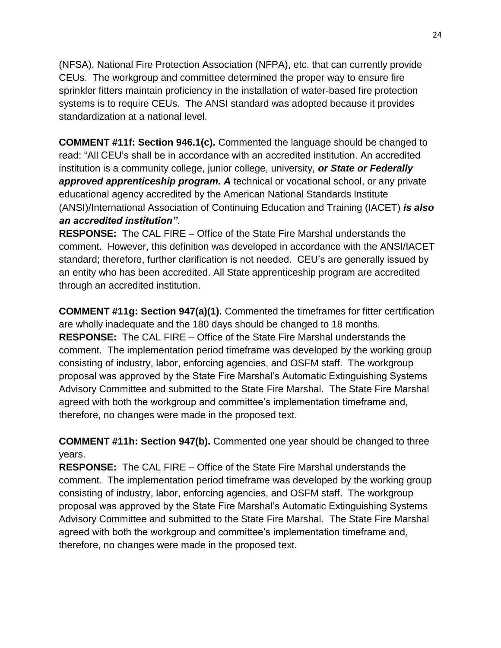(NFSA), National Fire Protection Association (NFPA), etc. that can currently provide CEUs.The workgroup and committee determined the proper way to ensure fire sprinkler fitters maintain proficiency in the installation of water-based fire protection systems is to require CEUs. The ANSI standard was adopted because it provides standardization at a national level.

**COMMENT #11f: Section 946.1(c).** Commented the language should be changed to read: "All CEU's shall be in accordance with an accredited institution. An accredited institution is a community college, junior college, university, *or State or Federally approved apprenticeship program. A* technical or vocational school, or any private educational agency accredited by the American National Standards Institute (ANSI)/International Association of Continuing Education and Training (IACET) *is also an accredited institution"*.

**RESPONSE:** The CAL FIRE – Office of the State Fire Marshal understands the comment. However, this definition was developed in accordance with the ANSI/IACET standard; therefore, further clarification is not needed. CEU's are generally issued by an entity who has been accredited. All State apprenticeship program are accredited through an accredited institution.

**COMMENT #11g: Section 947(a)(1).** Commented the timeframes for fitter certification are wholly inadequate and the 180 days should be changed to 18 months. **RESPONSE:** The CAL FIRE – Office of the State Fire Marshal understands the comment. The implementation period timeframe was developed by the working group consisting of industry, labor, enforcing agencies, and OSFM staff. The workgroup proposal was approved by the State Fire Marshal's Automatic Extinguishing Systems Advisory Committee and submitted to the State Fire Marshal. The State Fire Marshal agreed with both the workgroup and committee's implementation timeframe and, therefore, no changes were made in the proposed text.

**COMMENT #11h: Section 947(b).** Commented one year should be changed to three years.

**RESPONSE:** The CAL FIRE – Office of the State Fire Marshal understands the comment. The implementation period timeframe was developed by the working group consisting of industry, labor, enforcing agencies, and OSFM staff. The workgroup proposal was approved by the State Fire Marshal's Automatic Extinguishing Systems Advisory Committee and submitted to the State Fire Marshal. The State Fire Marshal agreed with both the workgroup and committee's implementation timeframe and, therefore, no changes were made in the proposed text.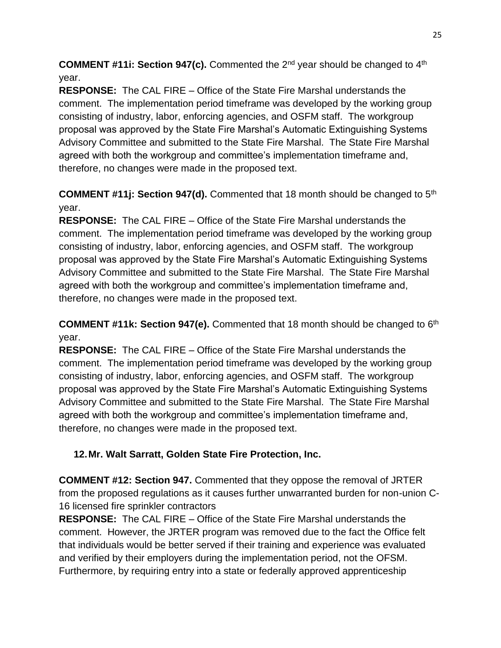**COMMENT #11i: Section 947(c).** Commented the 2<sup>nd</sup> year should be changed to 4<sup>th</sup> year.

**RESPONSE:** The CAL FIRE – Office of the State Fire Marshal understands the comment. The implementation period timeframe was developed by the working group consisting of industry, labor, enforcing agencies, and OSFM staff. The workgroup proposal was approved by the State Fire Marshal's Automatic Extinguishing Systems Advisory Committee and submitted to the State Fire Marshal. The State Fire Marshal agreed with both the workgroup and committee's implementation timeframe and, therefore, no changes were made in the proposed text.

**COMMENT #11j: Section 947(d).** Commented that 18 month should be changed to 5<sup>th</sup> year.

**RESPONSE:** The CAL FIRE – Office of the State Fire Marshal understands the comment. The implementation period timeframe was developed by the working group consisting of industry, labor, enforcing agencies, and OSFM staff. The workgroup proposal was approved by the State Fire Marshal's Automatic Extinguishing Systems Advisory Committee and submitted to the State Fire Marshal. The State Fire Marshal agreed with both the workgroup and committee's implementation timeframe and, therefore, no changes were made in the proposed text.

**COMMENT #11k: Section 947(e).** Commented that 18 month should be changed to 6<sup>th</sup> year.

**RESPONSE:** The CAL FIRE – Office of the State Fire Marshal understands the comment. The implementation period timeframe was developed by the working group consisting of industry, labor, enforcing agencies, and OSFM staff. The workgroup proposal was approved by the State Fire Marshal's Automatic Extinguishing Systems Advisory Committee and submitted to the State Fire Marshal. The State Fire Marshal agreed with both the workgroup and committee's implementation timeframe and, therefore, no changes were made in the proposed text.

# **12.Mr. Walt Sarratt, Golden State Fire Protection, Inc.**

**COMMENT #12: Section 947.** Commented that they oppose the removal of JRTER from the proposed regulations as it causes further unwarranted burden for non-union C-16 licensed fire sprinkler contractors

**RESPONSE:** The CAL FIRE – Office of the State Fire Marshal understands the comment. However, the JRTER program was removed due to the fact the Office felt that individuals would be better served if their training and experience was evaluated and verified by their employers during the implementation period, not the OFSM. Furthermore, by requiring entry into a state or federally approved apprenticeship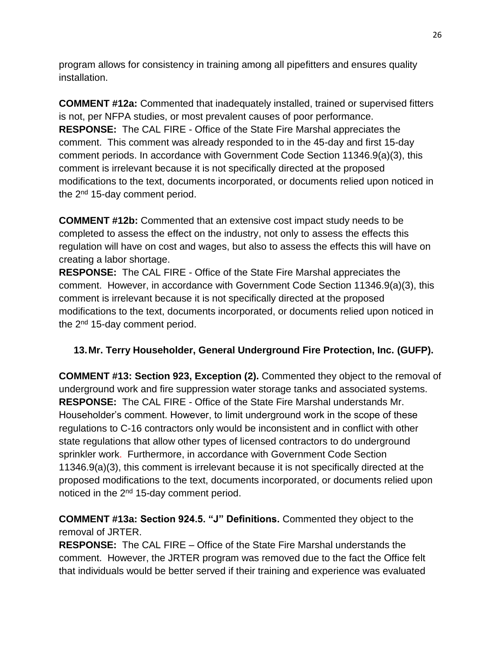program allows for consistency in training among all pipefitters and ensures quality installation.

**COMMENT #12a:** Commented that inadequately installed, trained or supervised fitters is not, per NFPA studies, or most prevalent causes of poor performance. **RESPONSE:** The CAL FIRE - Office of the State Fire Marshal appreciates the comment. This comment was already responded to in the 45-day and first 15-day comment periods. In accordance with Government Code Section 11346.9(a)(3), this comment is irrelevant because it is not specifically directed at the proposed modifications to the text, documents incorporated, or documents relied upon noticed in the 2<sup>nd</sup> 15-day comment period.

**COMMENT #12b:** Commented that an extensive cost impact study needs to be completed to assess the effect on the industry, not only to assess the effects this regulation will have on cost and wages, but also to assess the effects this will have on creating a labor shortage.

**RESPONSE:** The CAL FIRE - Office of the State Fire Marshal appreciates the comment. However, in accordance with Government Code Section 11346.9(a)(3), this comment is irrelevant because it is not specifically directed at the proposed modifications to the text, documents incorporated, or documents relied upon noticed in the 2<sup>nd</sup> 15-day comment period.

# **13.Mr. Terry Householder, General Underground Fire Protection, Inc. (GUFP).**

**COMMENT #13: Section 923, Exception (2).** Commented they object to the removal of underground work and fire suppression water storage tanks and associated systems. **RESPONSE:** The CAL FIRE - Office of the State Fire Marshal understands Mr. Householder's comment. However, to limit underground work in the scope of these regulations to C-16 contractors only would be inconsistent and in conflict with other state regulations that allow other types of licensed contractors to do underground sprinkler work. Furthermore, in accordance with Government Code Section 11346.9(a)(3), this comment is irrelevant because it is not specifically directed at the proposed modifications to the text, documents incorporated, or documents relied upon noticed in the 2<sup>nd</sup> 15-day comment period.

**COMMENT #13a: Section 924.5. "J" Definitions.** Commented they object to the removal of JRTER.

**RESPONSE:** The CAL FIRE – Office of the State Fire Marshal understands the comment. However, the JRTER program was removed due to the fact the Office felt that individuals would be better served if their training and experience was evaluated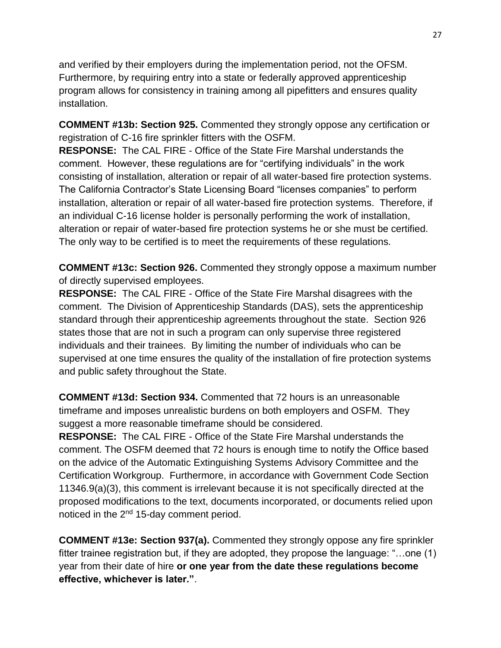and verified by their employers during the implementation period, not the OFSM. Furthermore, by requiring entry into a state or federally approved apprenticeship program allows for consistency in training among all pipefitters and ensures quality installation.

**COMMENT #13b: Section 925.** Commented they strongly oppose any certification or registration of C-16 fire sprinkler fitters with the OSFM.

**RESPONSE:** The CAL FIRE - Office of the State Fire Marshal understands the comment. However, these regulations are for "certifying individuals" in the work consisting of installation, alteration or repair of all water-based fire protection systems. The California Contractor's State Licensing Board "licenses companies" to perform installation, alteration or repair of all water-based fire protection systems. Therefore, if an individual C-16 license holder is personally performing the work of installation, alteration or repair of water-based fire protection systems he or she must be certified. The only way to be certified is to meet the requirements of these regulations.

**COMMENT #13c: Section 926.** Commented they strongly oppose a maximum number of directly supervised employees.

**RESPONSE:** The CAL FIRE - Office of the State Fire Marshal disagrees with the comment. The Division of Apprenticeship Standards (DAS), sets the apprenticeship standard through their apprenticeship agreements throughout the state. Section 926 states those that are not in such a program can only supervise three registered individuals and their trainees. By limiting the number of individuals who can be supervised at one time ensures the quality of the installation of fire protection systems and public safety throughout the State.

**COMMENT #13d: Section 934.** Commented that 72 hours is an unreasonable timeframe and imposes unrealistic burdens on both employers and OSFM. They suggest a more reasonable timeframe should be considered.

**RESPONSE:** The CAL FIRE - Office of the State Fire Marshal understands the comment. The OSFM deemed that 72 hours is enough time to notify the Office based on the advice of the Automatic Extinguishing Systems Advisory Committee and the Certification Workgroup. Furthermore, in accordance with Government Code Section 11346.9(a)(3), this comment is irrelevant because it is not specifically directed at the proposed modifications to the text, documents incorporated, or documents relied upon noticed in the 2nd 15-day comment period.

**COMMENT #13e: Section 937(a).** Commented they strongly oppose any fire sprinkler fitter trainee registration but, if they are adopted, they propose the language: "…one (1) year from their date of hire **or one year from the date these regulations become effective, whichever is later."**.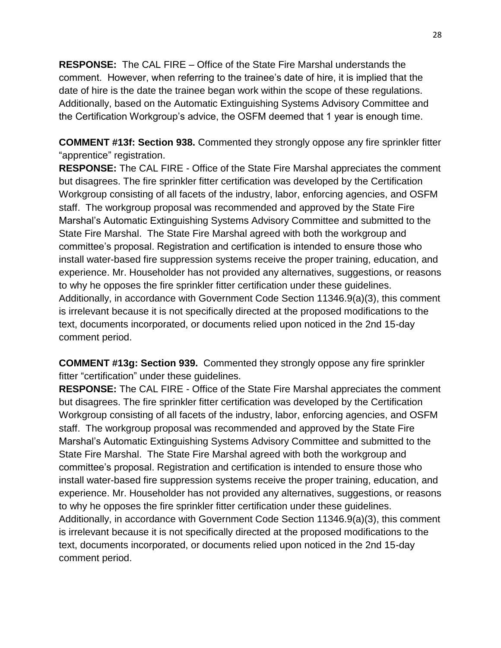**RESPONSE:** The CAL FIRE – Office of the State Fire Marshal understands the comment. However, when referring to the trainee's date of hire, it is implied that the date of hire is the date the trainee began work within the scope of these regulations. Additionally, based on the Automatic Extinguishing Systems Advisory Committee and the Certification Workgroup's advice, the OSFM deemed that 1 year is enough time.

**COMMENT #13f: Section 938.** Commented they strongly oppose any fire sprinkler fitter "apprentice" registration.

**RESPONSE:** The CAL FIRE - Office of the State Fire Marshal appreciates the comment but disagrees. The fire sprinkler fitter certification was developed by the Certification Workgroup consisting of all facets of the industry, labor, enforcing agencies, and OSFM staff. The workgroup proposal was recommended and approved by the State Fire Marshal's Automatic Extinguishing Systems Advisory Committee and submitted to the State Fire Marshal. The State Fire Marshal agreed with both the workgroup and committee's proposal. Registration and certification is intended to ensure those who install water-based fire suppression systems receive the proper training, education, and experience. Mr. Householder has not provided any alternatives, suggestions, or reasons to why he opposes the fire sprinkler fitter certification under these guidelines. Additionally, in accordance with Government Code Section 11346.9(a)(3), this comment is irrelevant because it is not specifically directed at the proposed modifications to the text, documents incorporated, or documents relied upon noticed in the 2nd 15-day comment period.

**COMMENT #13g: Section 939.** Commented they strongly oppose any fire sprinkler fitter "certification" under these guidelines.

**RESPONSE:** The CAL FIRE - Office of the State Fire Marshal appreciates the comment but disagrees. The fire sprinkler fitter certification was developed by the Certification Workgroup consisting of all facets of the industry, labor, enforcing agencies, and OSFM staff. The workgroup proposal was recommended and approved by the State Fire Marshal's Automatic Extinguishing Systems Advisory Committee and submitted to the State Fire Marshal. The State Fire Marshal agreed with both the workgroup and committee's proposal. Registration and certification is intended to ensure those who install water-based fire suppression systems receive the proper training, education, and experience. Mr. Householder has not provided any alternatives, suggestions, or reasons to why he opposes the fire sprinkler fitter certification under these guidelines. Additionally, in accordance with Government Code Section 11346.9(a)(3), this comment is irrelevant because it is not specifically directed at the proposed modifications to the text, documents incorporated, or documents relied upon noticed in the 2nd 15-day comment period.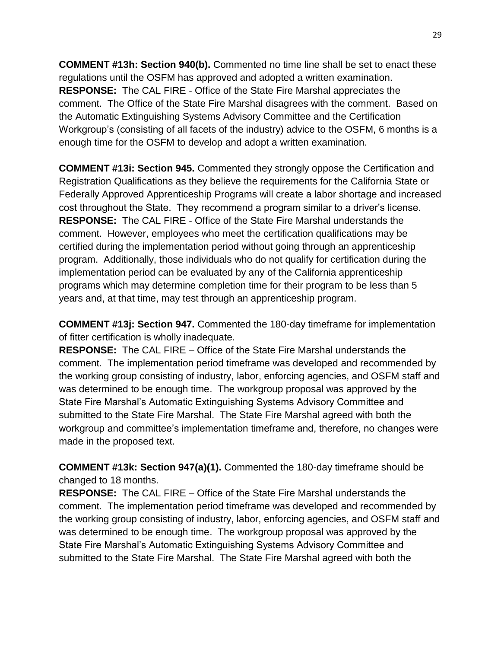**COMMENT #13h: Section 940(b).** Commented no time line shall be set to enact these regulations until the OSFM has approved and adopted a written examination. **RESPONSE:** The CAL FIRE - Office of the State Fire Marshal appreciates the comment. The Office of the State Fire Marshal disagrees with the comment. Based on the Automatic Extinguishing Systems Advisory Committee and the Certification Workgroup's (consisting of all facets of the industry) advice to the OSFM, 6 months is a enough time for the OSFM to develop and adopt a written examination.

**COMMENT #13i: Section 945.** Commented they strongly oppose the Certification and Registration Qualifications as they believe the requirements for the California State or Federally Approved Apprenticeship Programs will create a labor shortage and increased cost throughout the State. They recommend a program similar to a driver's license. **RESPONSE:** The CAL FIRE - Office of the State Fire Marshal understands the comment. However, employees who meet the certification qualifications may be certified during the implementation period without going through an apprenticeship program. Additionally, those individuals who do not qualify for certification during the implementation period can be evaluated by any of the California apprenticeship programs which may determine completion time for their program to be less than 5 years and, at that time, may test through an apprenticeship program.

**COMMENT #13j: Section 947.** Commented the 180-day timeframe for implementation of fitter certification is wholly inadequate.

**RESPONSE:** The CAL FIRE – Office of the State Fire Marshal understands the comment. The implementation period timeframe was developed and recommended by the working group consisting of industry, labor, enforcing agencies, and OSFM staff and was determined to be enough time. The workgroup proposal was approved by the State Fire Marshal's Automatic Extinguishing Systems Advisory Committee and submitted to the State Fire Marshal. The State Fire Marshal agreed with both the workgroup and committee's implementation timeframe and, therefore, no changes were made in the proposed text.

**COMMENT #13k: Section 947(a)(1).** Commented the 180-day timeframe should be changed to 18 months.

**RESPONSE:** The CAL FIRE – Office of the State Fire Marshal understands the comment. The implementation period timeframe was developed and recommended by the working group consisting of industry, labor, enforcing agencies, and OSFM staff and was determined to be enough time. The workgroup proposal was approved by the State Fire Marshal's Automatic Extinguishing Systems Advisory Committee and submitted to the State Fire Marshal. The State Fire Marshal agreed with both the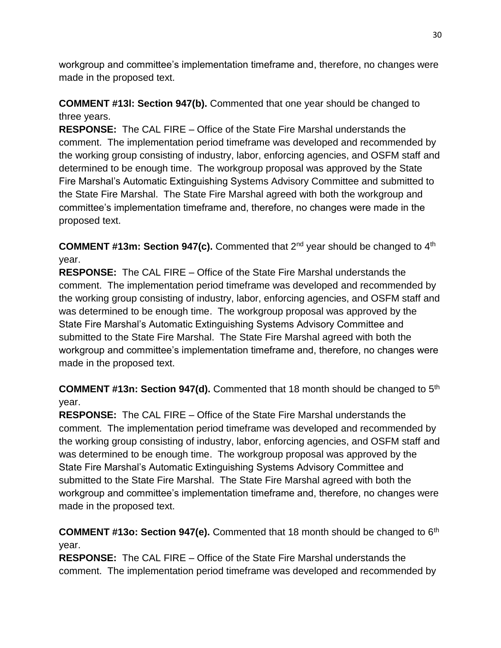workgroup and committee's implementation timeframe and, therefore, no changes were made in the proposed text.

**COMMENT #13l: Section 947(b).** Commented that one year should be changed to three years.

**RESPONSE:** The CAL FIRE – Office of the State Fire Marshal understands the comment. The implementation period timeframe was developed and recommended by the working group consisting of industry, labor, enforcing agencies, and OSFM staff and determined to be enough time. The workgroup proposal was approved by the State Fire Marshal's Automatic Extinguishing Systems Advisory Committee and submitted to the State Fire Marshal. The State Fire Marshal agreed with both the workgroup and committee's implementation timeframe and, therefore, no changes were made in the proposed text.

**COMMENT #13m: Section 947(c).** Commented that 2nd year should be changed to 4th year.

**RESPONSE:** The CAL FIRE – Office of the State Fire Marshal understands the comment. The implementation period timeframe was developed and recommended by the working group consisting of industry, labor, enforcing agencies, and OSFM staff and was determined to be enough time. The workgroup proposal was approved by the State Fire Marshal's Automatic Extinguishing Systems Advisory Committee and submitted to the State Fire Marshal. The State Fire Marshal agreed with both the workgroup and committee's implementation timeframe and, therefore, no changes were made in the proposed text.

**COMMENT #13n: Section 947(d).** Commented that 18 month should be changed to 5th year.

**RESPONSE:** The CAL FIRE – Office of the State Fire Marshal understands the comment. The implementation period timeframe was developed and recommended by the working group consisting of industry, labor, enforcing agencies, and OSFM staff and was determined to be enough time. The workgroup proposal was approved by the State Fire Marshal's Automatic Extinguishing Systems Advisory Committee and submitted to the State Fire Marshal. The State Fire Marshal agreed with both the workgroup and committee's implementation timeframe and, therefore, no changes were made in the proposed text.

**COMMENT #13o: Section 947(e).** Commented that 18 month should be changed to 6th year.

**RESPONSE:** The CAL FIRE – Office of the State Fire Marshal understands the comment. The implementation period timeframe was developed and recommended by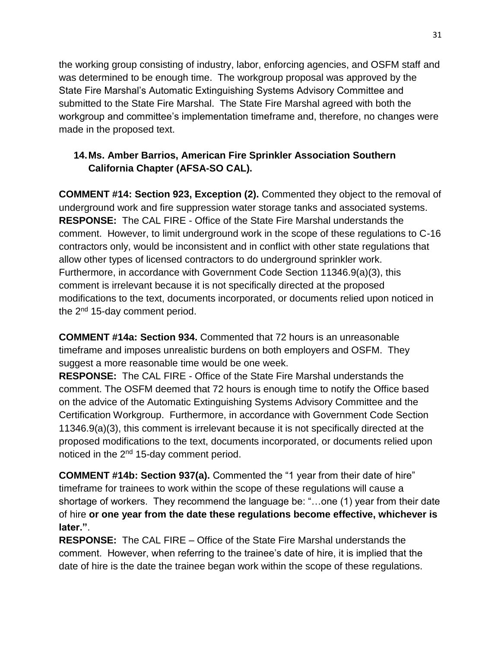the working group consisting of industry, labor, enforcing agencies, and OSFM staff and was determined to be enough time. The workgroup proposal was approved by the State Fire Marshal's Automatic Extinguishing Systems Advisory Committee and submitted to the State Fire Marshal. The State Fire Marshal agreed with both the workgroup and committee's implementation timeframe and, therefore, no changes were made in the proposed text.

# **14.Ms. Amber Barrios, American Fire Sprinkler Association Southern California Chapter (AFSA-SO CAL).**

**COMMENT #14: Section 923, Exception (2).** Commented they object to the removal of underground work and fire suppression water storage tanks and associated systems. **RESPONSE:** The CAL FIRE - Office of the State Fire Marshal understands the comment. However, to limit underground work in the scope of these regulations to C-16 contractors only, would be inconsistent and in conflict with other state regulations that allow other types of licensed contractors to do underground sprinkler work. Furthermore, in accordance with Government Code Section 11346.9(a)(3), this comment is irrelevant because it is not specifically directed at the proposed modifications to the text, documents incorporated, or documents relied upon noticed in the  $2<sup>nd</sup>$  15-day comment period.

**COMMENT #14a: Section 934.** Commented that 72 hours is an unreasonable timeframe and imposes unrealistic burdens on both employers and OSFM. They suggest a more reasonable time would be one week.

**RESPONSE:** The CAL FIRE - Office of the State Fire Marshal understands the comment. The OSFM deemed that 72 hours is enough time to notify the Office based on the advice of the Automatic Extinguishing Systems Advisory Committee and the Certification Workgroup. Furthermore, in accordance with Government Code Section 11346.9(a)(3), this comment is irrelevant because it is not specifically directed at the proposed modifications to the text, documents incorporated, or documents relied upon noticed in the 2nd 15-day comment period.

**COMMENT #14b: Section 937(a).** Commented the "1 year from their date of hire" timeframe for trainees to work within the scope of these regulations will cause a shortage of workers. They recommend the language be: "…one (1) year from their date of hire **or one year from the date these regulations become effective, whichever is later."**.

**RESPONSE:** The CAL FIRE – Office of the State Fire Marshal understands the comment. However, when referring to the trainee's date of hire, it is implied that the date of hire is the date the trainee began work within the scope of these regulations.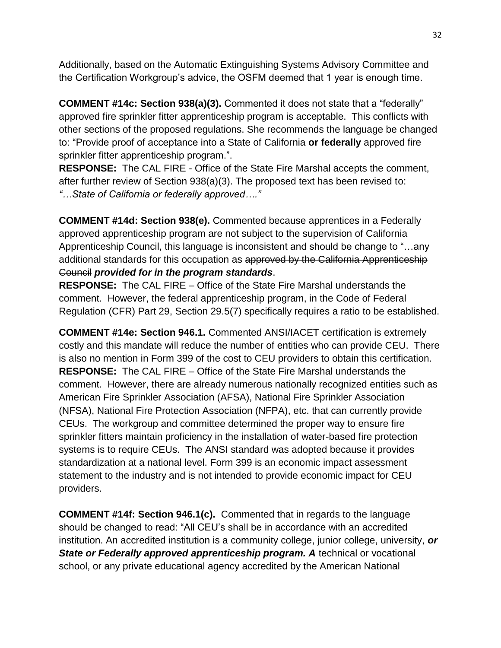Additionally, based on the Automatic Extinguishing Systems Advisory Committee and the Certification Workgroup's advice, the OSFM deemed that 1 year is enough time.

**COMMENT #14c: Section 938(a)(3).** Commented it does not state that a "federally" approved fire sprinkler fitter apprenticeship program is acceptable. This conflicts with other sections of the proposed regulations. She recommends the language be changed to: "Provide proof of acceptance into a State of California **or federally** approved fire sprinkler fitter apprenticeship program.".

**RESPONSE:** The CAL FIRE - Office of the State Fire Marshal accepts the comment, after further review of Section 938(a)(3). The proposed text has been revised to: *"…State of California or federally approved…."*

**COMMENT #14d: Section 938(e).** Commented because apprentices in a Federally approved apprenticeship program are not subject to the supervision of California Apprenticeship Council, this language is inconsistent and should be change to "…any additional standards for this occupation as approved by the California Apprenticeship Council *provided for in the program standards*.

**RESPONSE:** The CAL FIRE – Office of the State Fire Marshal understands the comment. However, the federal apprenticeship program, in the Code of Federal Regulation (CFR) Part 29, Section 29.5(7) specifically requires a ratio to be established.

**COMMENT #14e: Section 946.1.** Commented ANSI/IACET certification is extremely costly and this mandate will reduce the number of entities who can provide CEU. There is also no mention in Form 399 of the cost to CEU providers to obtain this certification. **RESPONSE:** The CAL FIRE – Office of the State Fire Marshal understands the comment.However, there are already numerous nationally recognized entities such as American Fire Sprinkler Association (AFSA), National Fire Sprinkler Association (NFSA), National Fire Protection Association (NFPA), etc. that can currently provide CEUs.The workgroup and committee determined the proper way to ensure fire sprinkler fitters maintain proficiency in the installation of water-based fire protection systems is to require CEUs. The ANSI standard was adopted because it provides standardization at a national level. Form 399 is an economic impact assessment statement to the industry and is not intended to provide economic impact for CEU providers.

**COMMENT #14f: Section 946.1(c).** Commented that in regards to the language should be changed to read: "All CEU's shall be in accordance with an accredited institution. An accredited institution is a community college, junior college, university, *or*  **State or Federally approved apprenticeship program. A technical or vocational** school, or any private educational agency accredited by the American National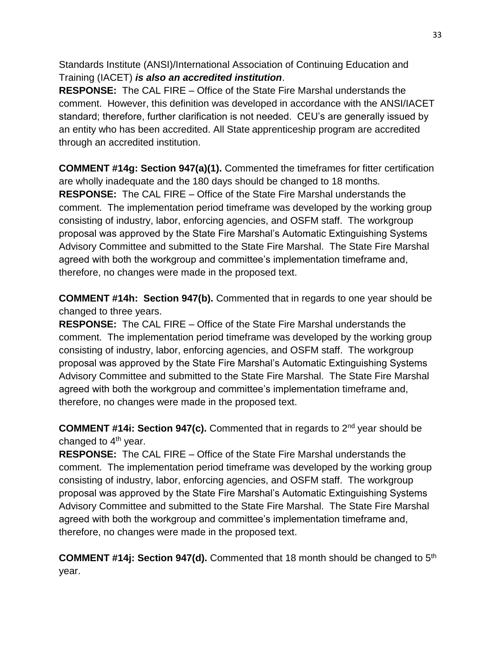Standards Institute (ANSI)/International Association of Continuing Education and Training (IACET) *is also an accredited institution*.

**RESPONSE:** The CAL FIRE – Office of the State Fire Marshal understands the comment. However, this definition was developed in accordance with the ANSI/IACET standard; therefore, further clarification is not needed. CEU's are generally issued by an entity who has been accredited. All State apprenticeship program are accredited through an accredited institution.

**COMMENT #14g: Section 947(a)(1).** Commented the timeframes for fitter certification are wholly inadequate and the 180 days should be changed to 18 months. **RESPONSE:** The CAL FIRE – Office of the State Fire Marshal understands the comment. The implementation period timeframe was developed by the working group consisting of industry, labor, enforcing agencies, and OSFM staff. The workgroup proposal was approved by the State Fire Marshal's Automatic Extinguishing Systems Advisory Committee and submitted to the State Fire Marshal. The State Fire Marshal agreed with both the workgroup and committee's implementation timeframe and, therefore, no changes were made in the proposed text.

**COMMENT #14h: Section 947(b).** Commented that in regards to one year should be changed to three years.

**RESPONSE:** The CAL FIRE – Office of the State Fire Marshal understands the comment. The implementation period timeframe was developed by the working group consisting of industry, labor, enforcing agencies, and OSFM staff. The workgroup proposal was approved by the State Fire Marshal's Automatic Extinguishing Systems Advisory Committee and submitted to the State Fire Marshal. The State Fire Marshal agreed with both the workgroup and committee's implementation timeframe and, therefore, no changes were made in the proposed text.

**COMMENT #14i: Section 947(c).** Commented that in regards to 2nd year should be changed to  $4<sup>th</sup>$  year.

**RESPONSE:** The CAL FIRE – Office of the State Fire Marshal understands the comment. The implementation period timeframe was developed by the working group consisting of industry, labor, enforcing agencies, and OSFM staff. The workgroup proposal was approved by the State Fire Marshal's Automatic Extinguishing Systems Advisory Committee and submitted to the State Fire Marshal. The State Fire Marshal agreed with both the workgroup and committee's implementation timeframe and, therefore, no changes were made in the proposed text.

**COMMENT #14j: Section 947(d).** Commented that 18 month should be changed to 5th year.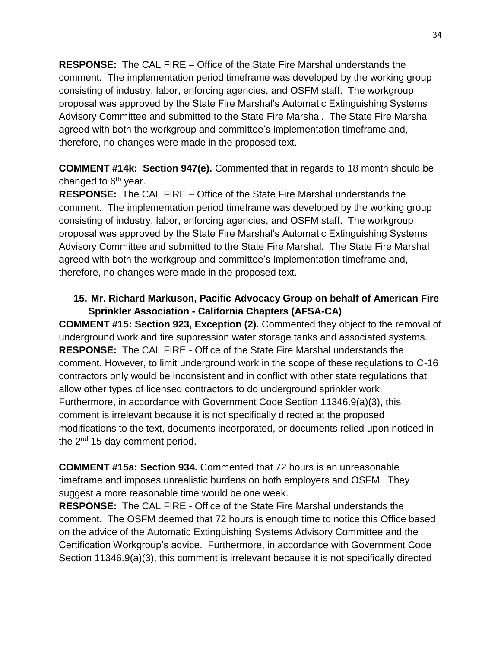**RESPONSE:** The CAL FIRE – Office of the State Fire Marshal understands the comment. The implementation period timeframe was developed by the working group consisting of industry, labor, enforcing agencies, and OSFM staff. The workgroup proposal was approved by the State Fire Marshal's Automatic Extinguishing Systems Advisory Committee and submitted to the State Fire Marshal. The State Fire Marshal agreed with both the workgroup and committee's implementation timeframe and, therefore, no changes were made in the proposed text.

**COMMENT #14k: Section 947(e).** Commented that in regards to 18 month should be changed to  $6<sup>th</sup>$  year.

**RESPONSE:** The CAL FIRE – Office of the State Fire Marshal understands the comment. The implementation period timeframe was developed by the working group consisting of industry, labor, enforcing agencies, and OSFM staff. The workgroup proposal was approved by the State Fire Marshal's Automatic Extinguishing Systems Advisory Committee and submitted to the State Fire Marshal. The State Fire Marshal agreed with both the workgroup and committee's implementation timeframe and, therefore, no changes were made in the proposed text.

### **15. Mr. Richard Markuson, Pacific Advocacy Group on behalf of American Fire Sprinkler Association - California Chapters (AFSA-CA)**

**COMMENT #15: Section 923, Exception (2).** Commented they object to the removal of underground work and fire suppression water storage tanks and associated systems. **RESPONSE:** The CAL FIRE - Office of the State Fire Marshal understands the comment. However, to limit underground work in the scope of these regulations to C-16 contractors only would be inconsistent and in conflict with other state regulations that allow other types of licensed contractors to do underground sprinkler work. Furthermore, in accordance with Government Code Section 11346.9(a)(3), this comment is irrelevant because it is not specifically directed at the proposed modifications to the text, documents incorporated, or documents relied upon noticed in the  $2<sup>nd</sup>$  15-day comment period.

**COMMENT #15a: Section 934.** Commented that 72 hours is an unreasonable timeframe and imposes unrealistic burdens on both employers and OSFM. They suggest a more reasonable time would be one week.

**RESPONSE:** The CAL FIRE - Office of the State Fire Marshal understands the comment. The OSFM deemed that 72 hours is enough time to notice this Office based on the advice of the Automatic Extinguishing Systems Advisory Committee and the Certification Workgroup's advice. Furthermore, in accordance with Government Code Section 11346.9(a)(3), this comment is irrelevant because it is not specifically directed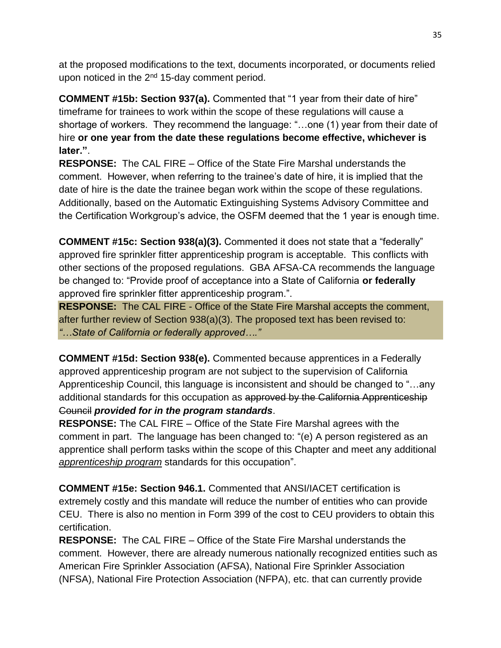at the proposed modifications to the text, documents incorporated, or documents relied upon noticed in the 2<sup>nd</sup> 15-day comment period.

**COMMENT #15b: Section 937(a).** Commented that "1 year from their date of hire" timeframe for trainees to work within the scope of these regulations will cause a shortage of workers. They recommend the language: "…one (1) year from their date of hire **or one year from the date these regulations become effective, whichever is later."**.

**RESPONSE:** The CAL FIRE – Office of the State Fire Marshal understands the comment. However, when referring to the trainee's date of hire, it is implied that the date of hire is the date the trainee began work within the scope of these regulations. Additionally, based on the Automatic Extinguishing Systems Advisory Committee and the Certification Workgroup's advice, the OSFM deemed that the 1 year is enough time.

**COMMENT #15c: Section 938(a)(3).** Commented it does not state that a "federally" approved fire sprinkler fitter apprenticeship program is acceptable. This conflicts with other sections of the proposed regulations. GBA AFSA-CA recommends the language be changed to: "Provide proof of acceptance into a State of California **or federally** approved fire sprinkler fitter apprenticeship program.".

**RESPONSE:** The CAL FIRE - Office of the State Fire Marshal accepts the comment, after further review of Section 938(a)(3). The proposed text has been revised to: *"…State of California or federally approved…."*

**COMMENT #15d: Section 938(e).** Commented because apprentices in a Federally approved apprenticeship program are not subject to the supervision of California Apprenticeship Council, this language is inconsistent and should be changed to "…any additional standards for this occupation as approved by the California Apprenticeship Council *provided for in the program standards*.

**RESPONSE:** The CAL FIRE – Office of the State Fire Marshal agrees with the comment in part. The language has been changed to: "(e) A person registered as an apprentice shall perform tasks within the scope of this Chapter and meet any additional *apprenticeship program* standards for this occupation".

**COMMENT #15e: Section 946.1.** Commented that ANSI/IACET certification is extremely costly and this mandate will reduce the number of entities who can provide CEU. There is also no mention in Form 399 of the cost to CEU providers to obtain this certification.

**RESPONSE:** The CAL FIRE – Office of the State Fire Marshal understands the comment.However, there are already numerous nationally recognized entities such as American Fire Sprinkler Association (AFSA), National Fire Sprinkler Association (NFSA), National Fire Protection Association (NFPA), etc. that can currently provide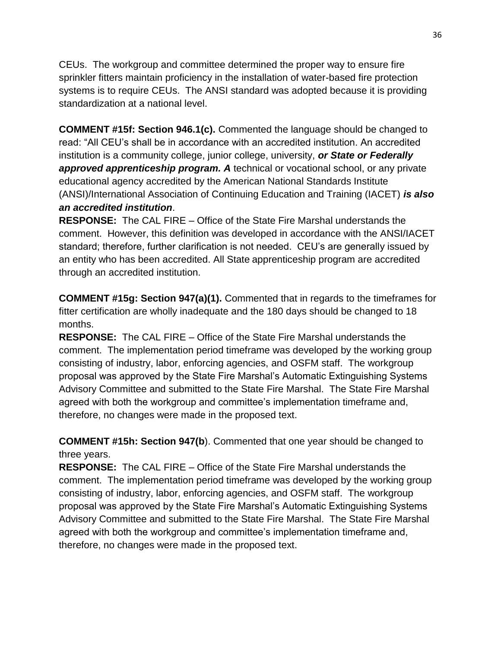CEUs.The workgroup and committee determined the proper way to ensure fire sprinkler fitters maintain proficiency in the installation of water-based fire protection systems is to require CEUs. The ANSI standard was adopted because it is providing standardization at a national level.

**COMMENT #15f: Section 946.1(c).** Commented the language should be changed to read: "All CEU's shall be in accordance with an accredited institution. An accredited institution is a community college, junior college, university, *or State or Federally approved apprenticeship program. A* technical or vocational school, or any private educational agency accredited by the American National Standards Institute (ANSI)/International Association of Continuing Education and Training (IACET) *is also an accredited institution*.

**RESPONSE:** The CAL FIRE – Office of the State Fire Marshal understands the comment. However, this definition was developed in accordance with the ANSI/IACET standard; therefore, further clarification is not needed. CEU's are generally issued by an entity who has been accredited. All State apprenticeship program are accredited through an accredited institution.

**COMMENT #15g: Section 947(a)(1).** Commented that in regards to the timeframes for fitter certification are wholly inadequate and the 180 days should be changed to 18 months.

**RESPONSE:** The CAL FIRE – Office of the State Fire Marshal understands the comment. The implementation period timeframe was developed by the working group consisting of industry, labor, enforcing agencies, and OSFM staff. The workgroup proposal was approved by the State Fire Marshal's Automatic Extinguishing Systems Advisory Committee and submitted to the State Fire Marshal. The State Fire Marshal agreed with both the workgroup and committee's implementation timeframe and, therefore, no changes were made in the proposed text.

**COMMENT #15h: Section 947(b**). Commented that one year should be changed to three years.

**RESPONSE:** The CAL FIRE – Office of the State Fire Marshal understands the comment. The implementation period timeframe was developed by the working group consisting of industry, labor, enforcing agencies, and OSFM staff. The workgroup proposal was approved by the State Fire Marshal's Automatic Extinguishing Systems Advisory Committee and submitted to the State Fire Marshal. The State Fire Marshal agreed with both the workgroup and committee's implementation timeframe and, therefore, no changes were made in the proposed text.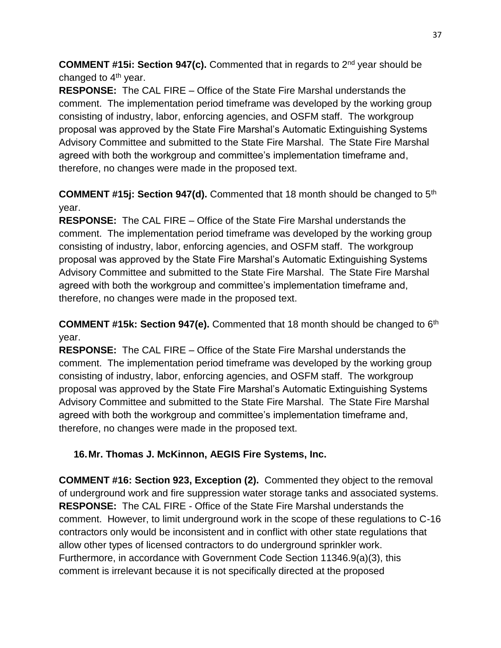**COMMENT #15i: Section 947(c).** Commented that in regards to 2nd year should be changed to  $4<sup>th</sup>$  year.

**RESPONSE:** The CAL FIRE – Office of the State Fire Marshal understands the comment. The implementation period timeframe was developed by the working group consisting of industry, labor, enforcing agencies, and OSFM staff. The workgroup proposal was approved by the State Fire Marshal's Automatic Extinguishing Systems Advisory Committee and submitted to the State Fire Marshal. The State Fire Marshal agreed with both the workgroup and committee's implementation timeframe and, therefore, no changes were made in the proposed text.

**COMMENT #15j: Section 947(d).** Commented that 18 month should be changed to 5<sup>th</sup> year.

**RESPONSE:** The CAL FIRE – Office of the State Fire Marshal understands the comment. The implementation period timeframe was developed by the working group consisting of industry, labor, enforcing agencies, and OSFM staff. The workgroup proposal was approved by the State Fire Marshal's Automatic Extinguishing Systems Advisory Committee and submitted to the State Fire Marshal. The State Fire Marshal agreed with both the workgroup and committee's implementation timeframe and, therefore, no changes were made in the proposed text.

**COMMENT #15k: Section 947(e).** Commented that 18 month should be changed to 6<sup>th</sup> year.

**RESPONSE:** The CAL FIRE – Office of the State Fire Marshal understands the comment. The implementation period timeframe was developed by the working group consisting of industry, labor, enforcing agencies, and OSFM staff. The workgroup proposal was approved by the State Fire Marshal's Automatic Extinguishing Systems Advisory Committee and submitted to the State Fire Marshal. The State Fire Marshal agreed with both the workgroup and committee's implementation timeframe and, therefore, no changes were made in the proposed text.

# **16.Mr. Thomas J. McKinnon, AEGIS Fire Systems, Inc.**

**COMMENT #16: Section 923, Exception (2).** Commented they object to the removal of underground work and fire suppression water storage tanks and associated systems. **RESPONSE:** The CAL FIRE - Office of the State Fire Marshal understands the comment. However, to limit underground work in the scope of these regulations to C-16 contractors only would be inconsistent and in conflict with other state regulations that allow other types of licensed contractors to do underground sprinkler work. Furthermore, in accordance with Government Code Section 11346.9(a)(3), this comment is irrelevant because it is not specifically directed at the proposed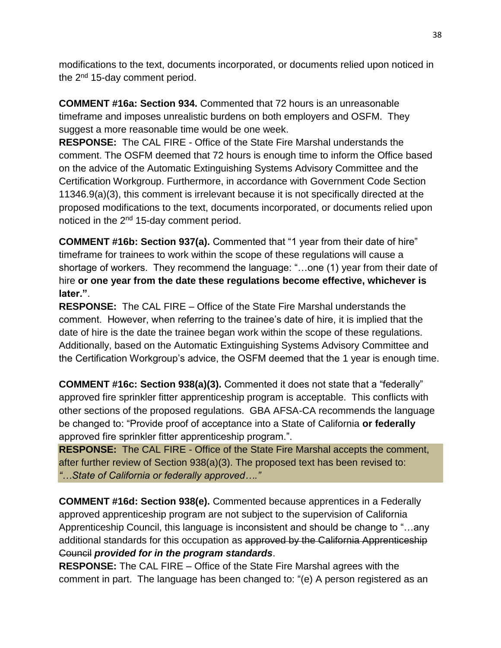modifications to the text, documents incorporated, or documents relied upon noticed in the 2<sup>nd</sup> 15-day comment period.

**COMMENT #16a: Section 934.** Commented that 72 hours is an unreasonable timeframe and imposes unrealistic burdens on both employers and OSFM. They suggest a more reasonable time would be one week.

**RESPONSE:** The CAL FIRE - Office of the State Fire Marshal understands the comment. The OSFM deemed that 72 hours is enough time to inform the Office based on the advice of the Automatic Extinguishing Systems Advisory Committee and the Certification Workgroup. Furthermore, in accordance with Government Code Section 11346.9(a)(3), this comment is irrelevant because it is not specifically directed at the proposed modifications to the text, documents incorporated, or documents relied upon noticed in the  $2<sup>nd</sup>$  15-day comment period.

**COMMENT #16b: Section 937(a).** Commented that "1 year from their date of hire" timeframe for trainees to work within the scope of these regulations will cause a shortage of workers. They recommend the language: "…one (1) year from their date of hire **or one year from the date these regulations become effective, whichever is later."**.

**RESPONSE:** The CAL FIRE – Office of the State Fire Marshal understands the comment. However, when referring to the trainee's date of hire, it is implied that the date of hire is the date the trainee began work within the scope of these regulations. Additionally, based on the Automatic Extinguishing Systems Advisory Committee and the Certification Workgroup's advice, the OSFM deemed that the 1 year is enough time.

**COMMENT #16c: Section 938(a)(3).** Commented it does not state that a "federally" approved fire sprinkler fitter apprenticeship program is acceptable. This conflicts with other sections of the proposed regulations. GBA AFSA-CA recommends the language be changed to: "Provide proof of acceptance into a State of California **or federally** approved fire sprinkler fitter apprenticeship program.".

**RESPONSE:** The CAL FIRE - Office of the State Fire Marshal accepts the comment, after further review of Section 938(a)(3). The proposed text has been revised to: *"…State of California or federally approved…."*

**COMMENT #16d: Section 938(e).** Commented because apprentices in a Federally approved apprenticeship program are not subject to the supervision of California Apprenticeship Council, this language is inconsistent and should be change to "…any additional standards for this occupation as approved by the California Apprenticeship Council *provided for in the program standards*.

**RESPONSE:** The CAL FIRE – Office of the State Fire Marshal agrees with the comment in part. The language has been changed to: "(e) A person registered as an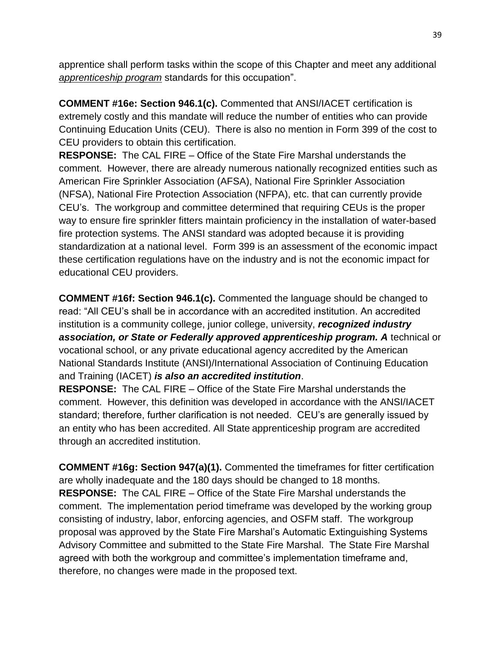apprentice shall perform tasks within the scope of this Chapter and meet any additional *apprenticeship program* standards for this occupation".

**COMMENT #16e: Section 946.1(c).** Commented that ANSI/IACET certification is extremely costly and this mandate will reduce the number of entities who can provide Continuing Education Units (CEU). There is also no mention in Form 399 of the cost to CEU providers to obtain this certification.

**RESPONSE:** The CAL FIRE – Office of the State Fire Marshal understands the comment.However, there are already numerous nationally recognized entities such as American Fire Sprinkler Association (AFSA), National Fire Sprinkler Association (NFSA), National Fire Protection Association (NFPA), etc. that can currently provide CEU's.The workgroup and committee determined that requiring CEUs is the proper way to ensure fire sprinkler fitters maintain proficiency in the installation of water-based fire protection systems. The ANSI standard was adopted because it is providing standardization at a national level. Form 399 is an assessment of the economic impact these certification regulations have on the industry and is not the economic impact for educational CEU providers.

**COMMENT #16f: Section 946.1(c).** Commented the language should be changed to read: "All CEU's shall be in accordance with an accredited institution. An accredited institution is a community college, junior college, university, *recognized industry association, or State or Federally approved apprenticeship program. A* technical or vocational school, or any private educational agency accredited by the American National Standards Institute (ANSI)/International Association of Continuing Education and Training (IACET) *is also an accredited institution*.

**RESPONSE:** The CAL FIRE – Office of the State Fire Marshal understands the comment. However, this definition was developed in accordance with the ANSI/IACET standard; therefore, further clarification is not needed. CEU's are generally issued by an entity who has been accredited. All State apprenticeship program are accredited through an accredited institution.

**COMMENT #16g: Section 947(a)(1).** Commented the timeframes for fitter certification are wholly inadequate and the 180 days should be changed to 18 months. **RESPONSE:** The CAL FIRE – Office of the State Fire Marshal understands the comment. The implementation period timeframe was developed by the working group consisting of industry, labor, enforcing agencies, and OSFM staff. The workgroup proposal was approved by the State Fire Marshal's Automatic Extinguishing Systems Advisory Committee and submitted to the State Fire Marshal. The State Fire Marshal agreed with both the workgroup and committee's implementation timeframe and, therefore, no changes were made in the proposed text.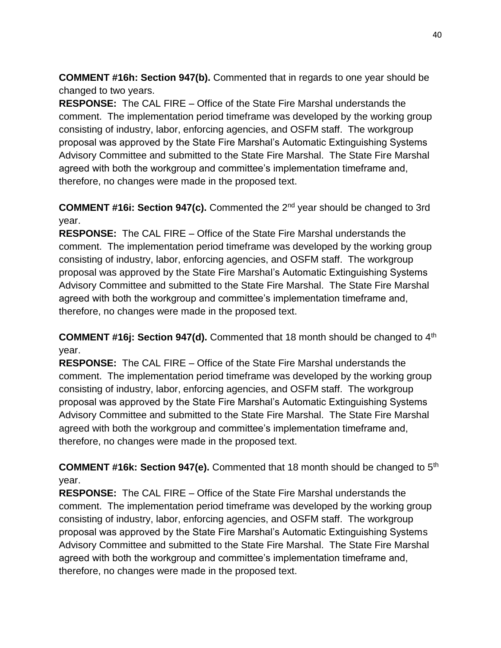**COMMENT #16h: Section 947(b).** Commented that in regards to one year should be changed to two years.

**RESPONSE:** The CAL FIRE – Office of the State Fire Marshal understands the comment. The implementation period timeframe was developed by the working group consisting of industry, labor, enforcing agencies, and OSFM staff. The workgroup proposal was approved by the State Fire Marshal's Automatic Extinguishing Systems Advisory Committee and submitted to the State Fire Marshal. The State Fire Marshal agreed with both the workgroup and committee's implementation timeframe and, therefore, no changes were made in the proposed text.

**COMMENT #16i: Section 947(c).** Commented the 2nd year should be changed to 3rd year.

**RESPONSE:** The CAL FIRE – Office of the State Fire Marshal understands the comment. The implementation period timeframe was developed by the working group consisting of industry, labor, enforcing agencies, and OSFM staff. The workgroup proposal was approved by the State Fire Marshal's Automatic Extinguishing Systems Advisory Committee and submitted to the State Fire Marshal. The State Fire Marshal agreed with both the workgroup and committee's implementation timeframe and, therefore, no changes were made in the proposed text.

**COMMENT #16j: Section 947(d).** Commented that 18 month should be changed to 4<sup>th</sup> year.

**RESPONSE:** The CAL FIRE – Office of the State Fire Marshal understands the comment. The implementation period timeframe was developed by the working group consisting of industry, labor, enforcing agencies, and OSFM staff. The workgroup proposal was approved by the State Fire Marshal's Automatic Extinguishing Systems Advisory Committee and submitted to the State Fire Marshal. The State Fire Marshal agreed with both the workgroup and committee's implementation timeframe and, therefore, no changes were made in the proposed text.

**COMMENT #16k: Section 947(e).** Commented that 18 month should be changed to 5th year.

**RESPONSE:** The CAL FIRE – Office of the State Fire Marshal understands the comment. The implementation period timeframe was developed by the working group consisting of industry, labor, enforcing agencies, and OSFM staff. The workgroup proposal was approved by the State Fire Marshal's Automatic Extinguishing Systems Advisory Committee and submitted to the State Fire Marshal. The State Fire Marshal agreed with both the workgroup and committee's implementation timeframe and, therefore, no changes were made in the proposed text.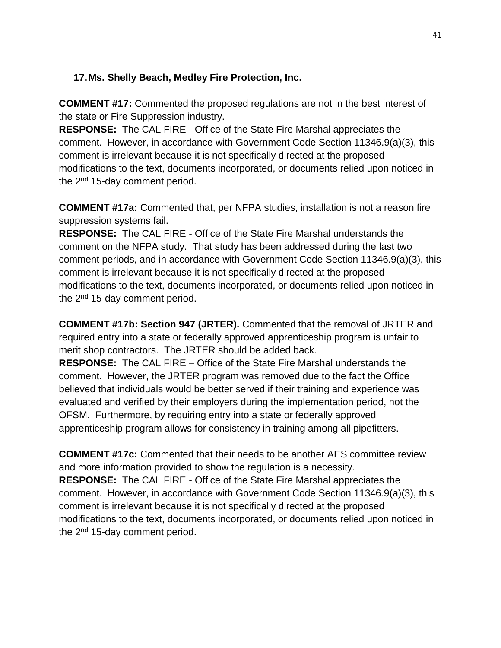## **17.Ms. Shelly Beach, Medley Fire Protection, Inc.**

**COMMENT #17:** Commented the proposed regulations are not in the best interest of the state or Fire Suppression industry.

**RESPONSE:** The CAL FIRE - Office of the State Fire Marshal appreciates the comment. However, in accordance with Government Code Section 11346.9(a)(3), this comment is irrelevant because it is not specifically directed at the proposed modifications to the text, documents incorporated, or documents relied upon noticed in the 2<sup>nd</sup> 15-day comment period.

**COMMENT #17a:** Commented that, per NFPA studies, installation is not a reason fire suppression systems fail.

**RESPONSE:** The CAL FIRE - Office of the State Fire Marshal understands the comment on the NFPA study. That study has been addressed during the last two comment periods, and in accordance with Government Code Section 11346.9(a)(3), this comment is irrelevant because it is not specifically directed at the proposed modifications to the text, documents incorporated, or documents relied upon noticed in the  $2<sup>nd</sup>$  15-day comment period.

**COMMENT #17b: Section 947 (JRTER).** Commented that the removal of JRTER and required entry into a state or federally approved apprenticeship program is unfair to merit shop contractors. The JRTER should be added back.

**RESPONSE:** The CAL FIRE – Office of the State Fire Marshal understands the comment. However, the JRTER program was removed due to the fact the Office believed that individuals would be better served if their training and experience was evaluated and verified by their employers during the implementation period, not the OFSM. Furthermore, by requiring entry into a state or federally approved apprenticeship program allows for consistency in training among all pipefitters.

**COMMENT #17c:** Commented that their needs to be another AES committee review and more information provided to show the regulation is a necessity. **RESPONSE:** The CAL FIRE - Office of the State Fire Marshal appreciates the comment. However, in accordance with Government Code Section 11346.9(a)(3), this comment is irrelevant because it is not specifically directed at the proposed modifications to the text, documents incorporated, or documents relied upon noticed in the 2<sup>nd</sup> 15-day comment period.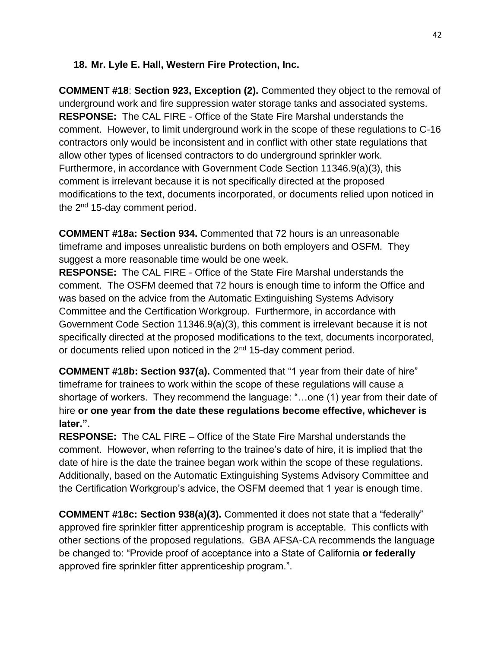#### **18. Mr. Lyle E. Hall, Western Fire Protection, Inc.**

**COMMENT #18**: **Section 923, Exception (2).** Commented they object to the removal of underground work and fire suppression water storage tanks and associated systems. **RESPONSE:** The CAL FIRE - Office of the State Fire Marshal understands the comment. However, to limit underground work in the scope of these regulations to C-16 contractors only would be inconsistent and in conflict with other state regulations that allow other types of licensed contractors to do underground sprinkler work. Furthermore, in accordance with Government Code Section 11346.9(a)(3), this comment is irrelevant because it is not specifically directed at the proposed modifications to the text, documents incorporated, or documents relied upon noticed in the  $2<sup>nd</sup>$  15-day comment period.

**COMMENT #18a: Section 934.** Commented that 72 hours is an unreasonable timeframe and imposes unrealistic burdens on both employers and OSFM. They suggest a more reasonable time would be one week.

**RESPONSE:** The CAL FIRE - Office of the State Fire Marshal understands the comment. The OSFM deemed that 72 hours is enough time to inform the Office and was based on the advice from the Automatic Extinguishing Systems Advisory Committee and the Certification Workgroup. Furthermore, in accordance with Government Code Section 11346.9(a)(3), this comment is irrelevant because it is not specifically directed at the proposed modifications to the text, documents incorporated, or documents relied upon noticed in the  $2<sup>nd</sup>$  15-day comment period.

**COMMENT #18b: Section 937(a).** Commented that "1 year from their date of hire" timeframe for trainees to work within the scope of these regulations will cause a shortage of workers. They recommend the language: "…one (1) year from their date of hire **or one year from the date these regulations become effective, whichever is later."**.

**RESPONSE:** The CAL FIRE – Office of the State Fire Marshal understands the comment. However, when referring to the trainee's date of hire, it is implied that the date of hire is the date the trainee began work within the scope of these regulations. Additionally, based on the Automatic Extinguishing Systems Advisory Committee and the Certification Workgroup's advice, the OSFM deemed that 1 year is enough time.

**COMMENT #18c: Section 938(a)(3).** Commented it does not state that a "federally" approved fire sprinkler fitter apprenticeship program is acceptable. This conflicts with other sections of the proposed regulations. GBA AFSA-CA recommends the language be changed to: "Provide proof of acceptance into a State of California **or federally** approved fire sprinkler fitter apprenticeship program.".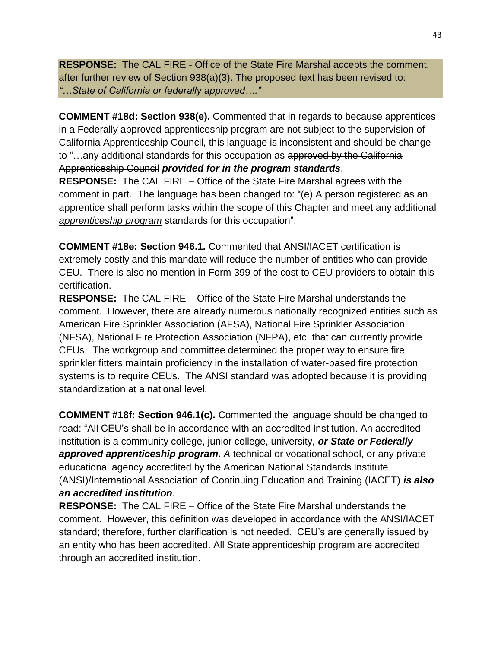**RESPONSE:** The CAL FIRE - Office of the State Fire Marshal accepts the comment, after further review of Section 938(a)(3). The proposed text has been revised to: *"…State of California or federally approved…."*

**COMMENT #18d: Section 938(e).** Commented that in regards to because apprentices in a Federally approved apprenticeship program are not subject to the supervision of California Apprenticeship Council, this language is inconsistent and should be change to "...any additional standards for this occupation as approved by the California Apprenticeship Council *provided for in the program standards*.

**RESPONSE:** The CAL FIRE – Office of the State Fire Marshal agrees with the comment in part. The language has been changed to: "(e) A person registered as an apprentice shall perform tasks within the scope of this Chapter and meet any additional *apprenticeship program* standards for this occupation".

**COMMENT #18e: Section 946.1.** Commented that ANSI/IACET certification is extremely costly and this mandate will reduce the number of entities who can provide CEU. There is also no mention in Form 399 of the cost to CEU providers to obtain this certification.

**RESPONSE:** The CAL FIRE – Office of the State Fire Marshal understands the comment.However, there are already numerous nationally recognized entities such as American Fire Sprinkler Association (AFSA), National Fire Sprinkler Association (NFSA), National Fire Protection Association (NFPA), etc. that can currently provide CEUs.The workgroup and committee determined the proper way to ensure fire sprinkler fitters maintain proficiency in the installation of water-based fire protection systems is to require CEUs. The ANSI standard was adopted because it is providing standardization at a national level.

**COMMENT #18f: Section 946.1(c).** Commented the language should be changed to read: "All CEU's shall be in accordance with an accredited institution. An accredited institution is a community college, junior college, university, *or State or Federally approved apprenticeship program. A* technical or vocational school, or any private educational agency accredited by the American National Standards Institute (ANSI)/International Association of Continuing Education and Training (IACET) *is also an accredited institution*.

**RESPONSE:** The CAL FIRE – Office of the State Fire Marshal understands the comment. However, this definition was developed in accordance with the ANSI/IACET standard; therefore, further clarification is not needed. CEU's are generally issued by an entity who has been accredited. All State apprenticeship program are accredited through an accredited institution.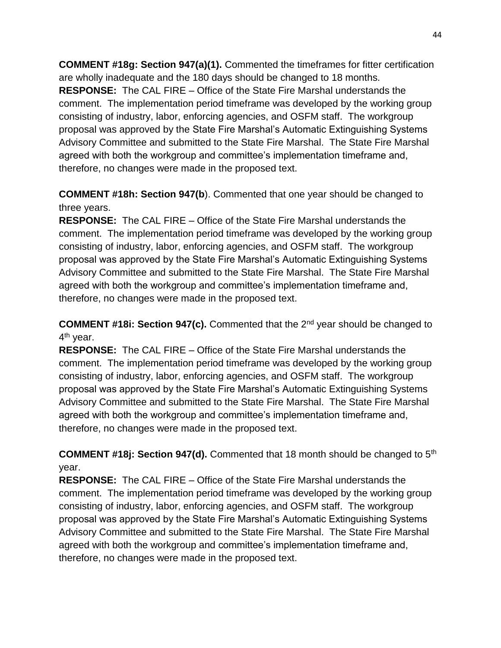**COMMENT #18g: Section 947(a)(1).** Commented the timeframes for fitter certification are wholly inadequate and the 180 days should be changed to 18 months. **RESPONSE:** The CAL FIRE – Office of the State Fire Marshal understands the comment. The implementation period timeframe was developed by the working group consisting of industry, labor, enforcing agencies, and OSFM staff. The workgroup proposal was approved by the State Fire Marshal's Automatic Extinguishing Systems Advisory Committee and submitted to the State Fire Marshal. The State Fire Marshal agreed with both the workgroup and committee's implementation timeframe and, therefore, no changes were made in the proposed text.

**COMMENT #18h: Section 947(b**). Commented that one year should be changed to three years.

**RESPONSE:** The CAL FIRE – Office of the State Fire Marshal understands the comment. The implementation period timeframe was developed by the working group consisting of industry, labor, enforcing agencies, and OSFM staff. The workgroup proposal was approved by the State Fire Marshal's Automatic Extinguishing Systems Advisory Committee and submitted to the State Fire Marshal. The State Fire Marshal agreed with both the workgroup and committee's implementation timeframe and, therefore, no changes were made in the proposed text.

**COMMENT #18i: Section 947(c).** Commented that the 2nd year should be changed to 4<sup>th</sup> year.

**RESPONSE:** The CAL FIRE – Office of the State Fire Marshal understands the comment. The implementation period timeframe was developed by the working group consisting of industry, labor, enforcing agencies, and OSFM staff. The workgroup proposal was approved by the State Fire Marshal's Automatic Extinguishing Systems Advisory Committee and submitted to the State Fire Marshal. The State Fire Marshal agreed with both the workgroup and committee's implementation timeframe and, therefore, no changes were made in the proposed text.

**COMMENT #18j: Section 947(d).** Commented that 18 month should be changed to 5th year.

**RESPONSE:** The CAL FIRE – Office of the State Fire Marshal understands the comment. The implementation period timeframe was developed by the working group consisting of industry, labor, enforcing agencies, and OSFM staff. The workgroup proposal was approved by the State Fire Marshal's Automatic Extinguishing Systems Advisory Committee and submitted to the State Fire Marshal. The State Fire Marshal agreed with both the workgroup and committee's implementation timeframe and, therefore, no changes were made in the proposed text.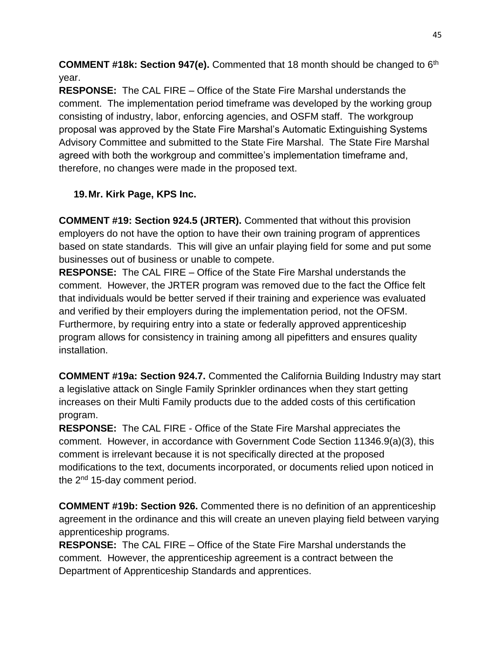**COMMENT #18k: Section 947(e).** Commented that 18 month should be changed to 6<sup>th</sup> year.

**RESPONSE:** The CAL FIRE – Office of the State Fire Marshal understands the comment. The implementation period timeframe was developed by the working group consisting of industry, labor, enforcing agencies, and OSFM staff. The workgroup proposal was approved by the State Fire Marshal's Automatic Extinguishing Systems Advisory Committee and submitted to the State Fire Marshal. The State Fire Marshal agreed with both the workgroup and committee's implementation timeframe and, therefore, no changes were made in the proposed text.

# **19.Mr. Kirk Page, KPS Inc.**

**COMMENT #19: Section 924.5 (JRTER).** Commented that without this provision employers do not have the option to have their own training program of apprentices based on state standards. This will give an unfair playing field for some and put some businesses out of business or unable to compete.

**RESPONSE:** The CAL FIRE – Office of the State Fire Marshal understands the comment. However, the JRTER program was removed due to the fact the Office felt that individuals would be better served if their training and experience was evaluated and verified by their employers during the implementation period, not the OFSM. Furthermore, by requiring entry into a state or federally approved apprenticeship program allows for consistency in training among all pipefitters and ensures quality installation.

**COMMENT #19a: Section 924.7.** Commented the California Building Industry may start a legislative attack on Single Family Sprinkler ordinances when they start getting increases on their Multi Family products due to the added costs of this certification program.

**RESPONSE:** The CAL FIRE - Office of the State Fire Marshal appreciates the comment. However, in accordance with Government Code Section 11346.9(a)(3), this comment is irrelevant because it is not specifically directed at the proposed modifications to the text, documents incorporated, or documents relied upon noticed in the  $2<sup>nd</sup>$  15-day comment period.

**COMMENT #19b: Section 926.** Commented there is no definition of an apprenticeship agreement in the ordinance and this will create an uneven playing field between varying apprenticeship programs.

**RESPONSE:** The CAL FIRE – Office of the State Fire Marshal understands the comment. However, the apprenticeship agreement is a contract between the Department of Apprenticeship Standards and apprentices.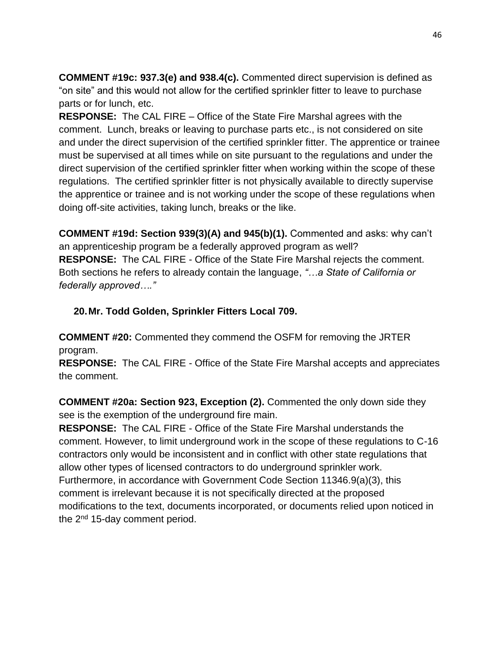**COMMENT #19c: 937.3(e) and 938.4(c).** Commented direct supervision is defined as "on site" and this would not allow for the certified sprinkler fitter to leave to purchase parts or for lunch, etc.

**RESPONSE:** The CAL FIRE – Office of the State Fire Marshal agrees with the comment. Lunch, breaks or leaving to purchase parts etc., is not considered on site and under the direct supervision of the certified sprinkler fitter. The apprentice or trainee must be supervised at all times while on site pursuant to the regulations and under the direct supervision of the certified sprinkler fitter when working within the scope of these regulations. The certified sprinkler fitter is not physically available to directly supervise the apprentice or trainee and is not working under the scope of these regulations when doing off-site activities, taking lunch, breaks or the like.

**COMMENT #19d: Section 939(3)(A) and 945(b)(1).** Commented and asks: why can't an apprenticeship program be a federally approved program as well? **RESPONSE:** The CAL FIRE - Office of the State Fire Marshal rejects the comment. Both sections he refers to already contain the language, *"…a State of California or federally approved…."* 

# **20.Mr. Todd Golden, Sprinkler Fitters Local 709.**

**COMMENT #20:** Commented they commend the OSFM for removing the JRTER program.

**RESPONSE:** The CAL FIRE - Office of the State Fire Marshal accepts and appreciates the comment.

**COMMENT #20a: Section 923, Exception (2).** Commented the only down side they see is the exemption of the underground fire main.

**RESPONSE:** The CAL FIRE - Office of the State Fire Marshal understands the comment. However, to limit underground work in the scope of these regulations to C-16 contractors only would be inconsistent and in conflict with other state regulations that allow other types of licensed contractors to do underground sprinkler work. Furthermore, in accordance with Government Code Section 11346.9(a)(3), this comment is irrelevant because it is not specifically directed at the proposed modifications to the text, documents incorporated, or documents relied upon noticed in the 2<sup>nd</sup> 15-day comment period.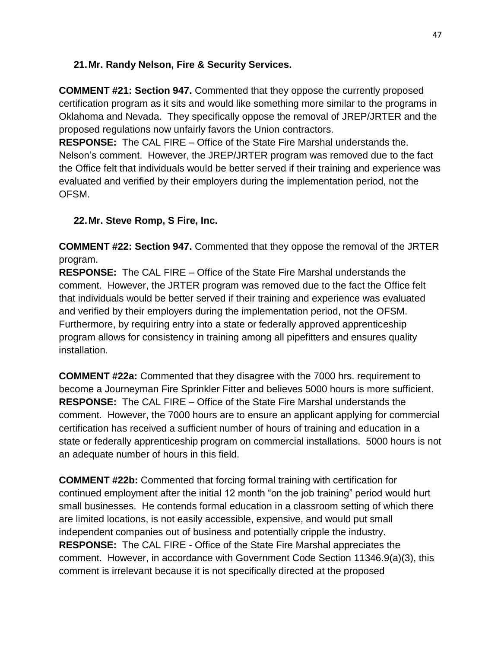## **21.Mr. Randy Nelson, Fire & Security Services.**

**COMMENT #21: Section 947.** Commented that they oppose the currently proposed certification program as it sits and would like something more similar to the programs in Oklahoma and Nevada. They specifically oppose the removal of JREP/JRTER and the proposed regulations now unfairly favors the Union contractors.

**RESPONSE:** The CAL FIRE – Office of the State Fire Marshal understands the. Nelson's comment. However, the JREP/JRTER program was removed due to the fact the Office felt that individuals would be better served if their training and experience was evaluated and verified by their employers during the implementation period, not the OFSM.

# **22.Mr. Steve Romp, S Fire, Inc.**

**COMMENT #22: Section 947.** Commented that they oppose the removal of the JRTER program.

**RESPONSE:** The CAL FIRE – Office of the State Fire Marshal understands the comment. However, the JRTER program was removed due to the fact the Office felt that individuals would be better served if their training and experience was evaluated and verified by their employers during the implementation period, not the OFSM. Furthermore, by requiring entry into a state or federally approved apprenticeship program allows for consistency in training among all pipefitters and ensures quality installation.

**COMMENT #22a:** Commented that they disagree with the 7000 hrs. requirement to become a Journeyman Fire Sprinkler Fitter and believes 5000 hours is more sufficient. **RESPONSE:** The CAL FIRE – Office of the State Fire Marshal understands the comment. However, the 7000 hours are to ensure an applicant applying for commercial certification has received a sufficient number of hours of training and education in a state or federally apprenticeship program on commercial installations. 5000 hours is not an adequate number of hours in this field.

**COMMENT #22b:** Commented that forcing formal training with certification for continued employment after the initial 12 month "on the job training" period would hurt small businesses. He contends formal education in a classroom setting of which there are limited locations, is not easily accessible, expensive, and would put small independent companies out of business and potentially cripple the industry. **RESPONSE:** The CAL FIRE - Office of the State Fire Marshal appreciates the comment. However, in accordance with Government Code Section 11346.9(a)(3), this comment is irrelevant because it is not specifically directed at the proposed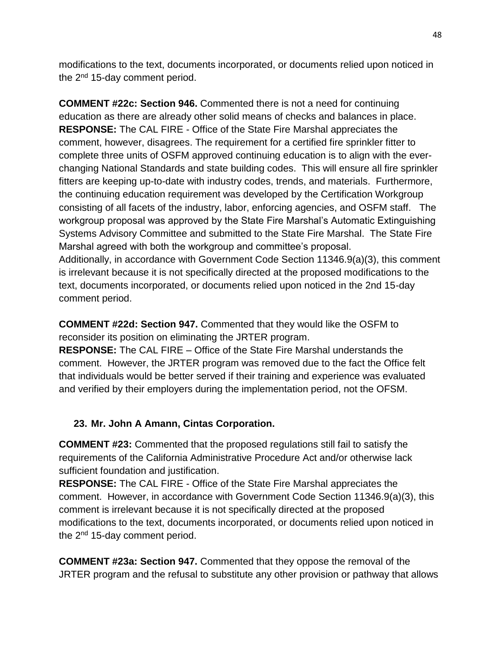modifications to the text, documents incorporated, or documents relied upon noticed in the 2<sup>nd</sup> 15-day comment period.

**COMMENT #22c: Section 946.** Commented there is not a need for continuing education as there are already other solid means of checks and balances in place. **RESPONSE:** The CAL FIRE - Office of the State Fire Marshal appreciates the comment, however, disagrees. The requirement for a certified fire sprinkler fitter to complete three units of OSFM approved continuing education is to align with the everchanging National Standards and state building codes. This will ensure all fire sprinkler fitters are keeping up-to-date with industry codes, trends, and materials. Furthermore, the continuing education requirement was developed by the Certification Workgroup consisting of all facets of the industry, labor, enforcing agencies, and OSFM staff. The workgroup proposal was approved by the State Fire Marshal's Automatic Extinguishing Systems Advisory Committee and submitted to the State Fire Marshal. The State Fire Marshal agreed with both the workgroup and committee's proposal. Additionally, in accordance with Government Code Section 11346.9(a)(3), this comment is irrelevant because it is not specifically directed at the proposed modifications to the text, documents incorporated, or documents relied upon noticed in the 2nd 15-day

comment period.

**COMMENT #22d: Section 947.** Commented that they would like the OSFM to reconsider its position on eliminating the JRTER program.

**RESPONSE:** The CAL FIRE – Office of the State Fire Marshal understands the comment. However, the JRTER program was removed due to the fact the Office felt that individuals would be better served if their training and experience was evaluated and verified by their employers during the implementation period, not the OFSM.

#### **23. Mr. John A Amann, Cintas Corporation.**

**COMMENT #23:** Commented that the proposed regulations still fail to satisfy the requirements of the California Administrative Procedure Act and/or otherwise lack sufficient foundation and justification.

**RESPONSE:** The CAL FIRE - Office of the State Fire Marshal appreciates the comment. However, in accordance with Government Code Section 11346.9(a)(3), this comment is irrelevant because it is not specifically directed at the proposed modifications to the text, documents incorporated, or documents relied upon noticed in the 2<sup>nd</sup> 15-day comment period.

**COMMENT #23a: Section 947.** Commented that they oppose the removal of the JRTER program and the refusal to substitute any other provision or pathway that allows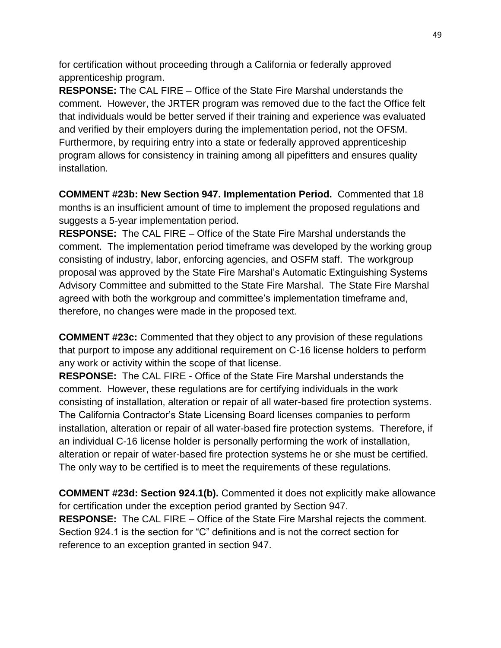for certification without proceeding through a California or federally approved apprenticeship program.

**RESPONSE:** The CAL FIRE – Office of the State Fire Marshal understands the comment. However, the JRTER program was removed due to the fact the Office felt that individuals would be better served if their training and experience was evaluated and verified by their employers during the implementation period, not the OFSM. Furthermore, by requiring entry into a state or federally approved apprenticeship program allows for consistency in training among all pipefitters and ensures quality installation.

**COMMENT #23b: New Section 947. Implementation Period.** Commented that 18 months is an insufficient amount of time to implement the proposed regulations and suggests a 5-year implementation period.

**RESPONSE:** The CAL FIRE – Office of the State Fire Marshal understands the comment. The implementation period timeframe was developed by the working group consisting of industry, labor, enforcing agencies, and OSFM staff. The workgroup proposal was approved by the State Fire Marshal's Automatic Extinguishing Systems Advisory Committee and submitted to the State Fire Marshal. The State Fire Marshal agreed with both the workgroup and committee's implementation timeframe and, therefore, no changes were made in the proposed text.

**COMMENT #23c:** Commented that they object to any provision of these regulations that purport to impose any additional requirement on C-16 license holders to perform any work or activity within the scope of that license.

**RESPONSE:** The CAL FIRE - Office of the State Fire Marshal understands the comment. However, these regulations are for certifying individuals in the work consisting of installation, alteration or repair of all water-based fire protection systems. The California Contractor's State Licensing Board licenses companies to perform installation, alteration or repair of all water-based fire protection systems. Therefore, if an individual C-16 license holder is personally performing the work of installation, alteration or repair of water-based fire protection systems he or she must be certified. The only way to be certified is to meet the requirements of these regulations.

**COMMENT #23d: Section 924.1(b).** Commented it does not explicitly make allowance for certification under the exception period granted by Section 947. **RESPONSE:** The CAL FIRE – Office of the State Fire Marshal rejects the comment. Section 924.1 is the section for "C" definitions and is not the correct section for reference to an exception granted in section 947.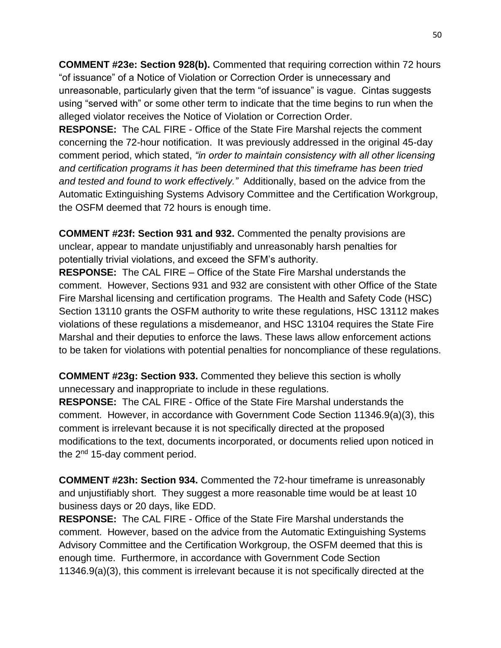**COMMENT #23e: Section 928(b).** Commented that requiring correction within 72 hours "of issuance" of a Notice of Violation or Correction Order is unnecessary and unreasonable, particularly given that the term "of issuance" is vague. Cintas suggests using "served with" or some other term to indicate that the time begins to run when the alleged violator receives the Notice of Violation or Correction Order.

**RESPONSE:** The CAL FIRE - Office of the State Fire Marshal rejects the comment concerning the 72-hour notification. It was previously addressed in the original 45-day comment period, which stated, *"in order to maintain consistency with all other licensing and certification programs it has been determined that this timeframe has been tried and tested and found to work effectively."* Additionally, based on the advice from the Automatic Extinguishing Systems Advisory Committee and the Certification Workgroup, the OSFM deemed that 72 hours is enough time.

**COMMENT #23f: Section 931 and 932.** Commented the penalty provisions are unclear, appear to mandate unjustifiably and unreasonably harsh penalties for potentially trivial violations, and exceed the SFM's authority.

**RESPONSE:** The CAL FIRE – Office of the State Fire Marshal understands the comment. However, Sections 931 and 932 are consistent with other Office of the State Fire Marshal licensing and certification programs. The Health and Safety Code (HSC) Section 13110 grants the OSFM authority to write these regulations, HSC 13112 makes violations of these regulations a misdemeanor, and HSC 13104 requires the State Fire Marshal and their deputies to enforce the laws. These laws allow enforcement actions to be taken for violations with potential penalties for noncompliance of these regulations.

**COMMENT #23g: Section 933.** Commented they believe this section is wholly unnecessary and inappropriate to include in these regulations. **RESPONSE:** The CAL FIRE - Office of the State Fire Marshal understands the comment. However, in accordance with Government Code Section 11346.9(a)(3), this comment is irrelevant because it is not specifically directed at the proposed modifications to the text, documents incorporated, or documents relied upon noticed in the  $2<sup>nd</sup>$  15-day comment period.

**COMMENT #23h: Section 934.** Commented the 72-hour timeframe is unreasonably and unjustifiably short. They suggest a more reasonable time would be at least 10 business days or 20 days, like EDD.

**RESPONSE:** The CAL FIRE - Office of the State Fire Marshal understands the comment. However, based on the advice from the Automatic Extinguishing Systems Advisory Committee and the Certification Workgroup, the OSFM deemed that this is enough time. Furthermore, in accordance with Government Code Section 11346.9(a)(3), this comment is irrelevant because it is not specifically directed at the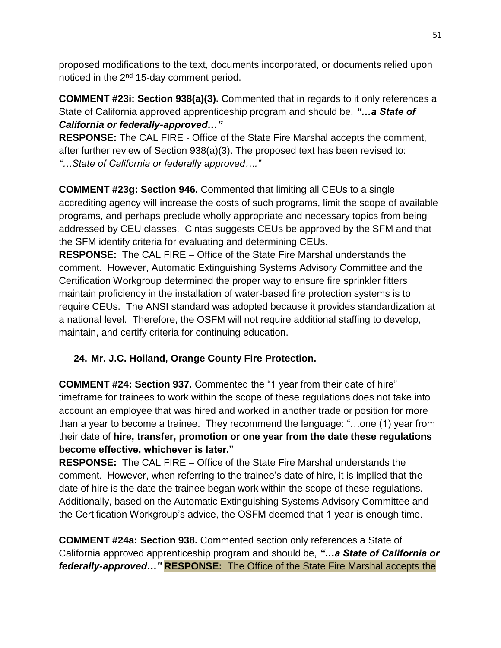proposed modifications to the text, documents incorporated, or documents relied upon noticed in the 2<sup>nd</sup> 15-day comment period.

**COMMENT #23i: Section 938(a)(3).** Commented that in regards to it only references a State of California approved apprenticeship program and should be, *"…a State of California or federally-approved…"*

**RESPONSE:** The CAL FIRE - Office of the State Fire Marshal accepts the comment, after further review of Section 938(a)(3). The proposed text has been revised to: *"…State of California or federally approved…."*

**COMMENT #23g: Section 946.** Commented that limiting all CEUs to a single accrediting agency will increase the costs of such programs, limit the scope of available programs, and perhaps preclude wholly appropriate and necessary topics from being addressed by CEU classes. Cintas suggests CEUs be approved by the SFM and that the SFM identify criteria for evaluating and determining CEUs.

**RESPONSE:** The CAL FIRE – Office of the State Fire Marshal understands the comment. However, Automatic Extinguishing Systems Advisory Committee and the Certification Workgroup determined the proper way to ensure fire sprinkler fitters maintain proficiency in the installation of water-based fire protection systems is to require CEUs. The ANSI standard was adopted because it provides standardization at a national level. Therefore, the OSFM will not require additional staffing to develop, maintain, and certify criteria for continuing education.

# **24. Mr. J.C. Hoiland, Orange County Fire Protection.**

**COMMENT #24: Section 937.** Commented the "1 year from their date of hire" timeframe for trainees to work within the scope of these regulations does not take into account an employee that was hired and worked in another trade or position for more than a year to become a trainee. They recommend the language: "…one (1) year from their date of **hire, transfer, promotion or one year from the date these regulations become effective, whichever is later."** 

**RESPONSE:** The CAL FIRE – Office of the State Fire Marshal understands the comment. However, when referring to the trainee's date of hire, it is implied that the date of hire is the date the trainee began work within the scope of these regulations. Additionally, based on the Automatic Extinguishing Systems Advisory Committee and the Certification Workgroup's advice, the OSFM deemed that 1 year is enough time.

**COMMENT #24a: Section 938.** Commented section only references a State of California approved apprenticeship program and should be, *"…a State of California or federally-approved…"* **RESPONSE:** The Office of the State Fire Marshal accepts the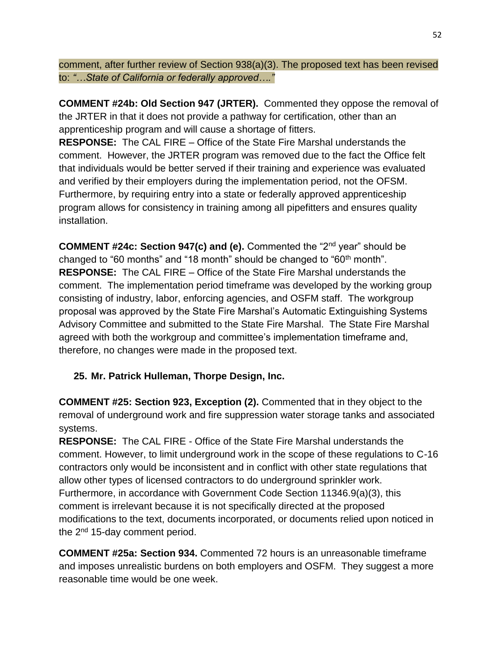comment, after further review of Section 938(a)(3). The proposed text has been revised to: *"…State of California or federally approved…."*

**COMMENT #24b: Old Section 947 (JRTER).** Commented they oppose the removal of the JRTER in that it does not provide a pathway for certification, other than an apprenticeship program and will cause a shortage of fitters.

**RESPONSE:** The CAL FIRE – Office of the State Fire Marshal understands the comment. However, the JRTER program was removed due to the fact the Office felt that individuals would be better served if their training and experience was evaluated and verified by their employers during the implementation period, not the OFSM. Furthermore, by requiring entry into a state or federally approved apprenticeship program allows for consistency in training among all pipefitters and ensures quality installation.

**COMMENT #24c: Section 947(c) and (e).** Commented the "2nd year" should be changed to "60 months" and "18 month" should be changed to "60<sup>th</sup> month". **RESPONSE:** The CAL FIRE – Office of the State Fire Marshal understands the comment. The implementation period timeframe was developed by the working group consisting of industry, labor, enforcing agencies, and OSFM staff. The workgroup proposal was approved by the State Fire Marshal's Automatic Extinguishing Systems Advisory Committee and submitted to the State Fire Marshal. The State Fire Marshal agreed with both the workgroup and committee's implementation timeframe and, therefore, no changes were made in the proposed text.

# **25. Mr. Patrick Hulleman, Thorpe Design, Inc.**

**COMMENT #25: Section 923, Exception (2).** Commented that in they object to the removal of underground work and fire suppression water storage tanks and associated systems.

**RESPONSE:** The CAL FIRE - Office of the State Fire Marshal understands the comment. However, to limit underground work in the scope of these regulations to C-16 contractors only would be inconsistent and in conflict with other state regulations that allow other types of licensed contractors to do underground sprinkler work. Furthermore, in accordance with Government Code Section 11346.9(a)(3), this comment is irrelevant because it is not specifically directed at the proposed modifications to the text, documents incorporated, or documents relied upon noticed in the 2<sup>nd</sup> 15-day comment period.

**COMMENT #25a: Section 934.** Commented 72 hours is an unreasonable timeframe and imposes unrealistic burdens on both employers and OSFM. They suggest a more reasonable time would be one week.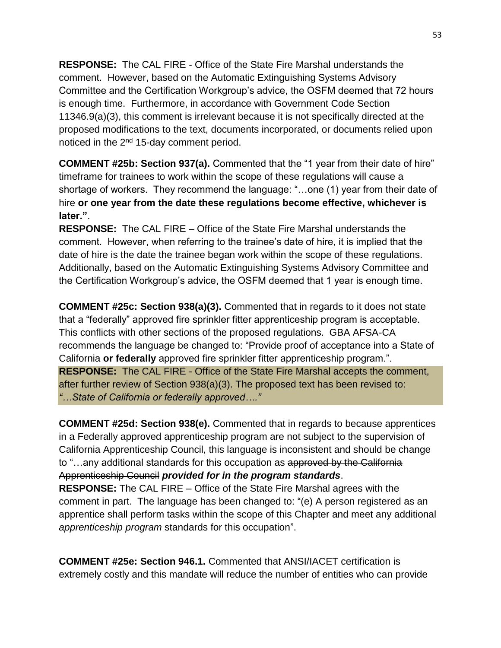**RESPONSE:** The CAL FIRE - Office of the State Fire Marshal understands the comment. However, based on the Automatic Extinguishing Systems Advisory Committee and the Certification Workgroup's advice, the OSFM deemed that 72 hours is enough time. Furthermore, in accordance with Government Code Section 11346.9(a)(3), this comment is irrelevant because it is not specifically directed at the proposed modifications to the text, documents incorporated, or documents relied upon noticed in the 2<sup>nd</sup> 15-day comment period.

**COMMENT #25b: Section 937(a).** Commented that the "1 year from their date of hire" timeframe for trainees to work within the scope of these regulations will cause a shortage of workers. They recommend the language: "…one (1) year from their date of hire **or one year from the date these regulations become effective, whichever is later."**.

**RESPONSE:** The CAL FIRE – Office of the State Fire Marshal understands the comment. However, when referring to the trainee's date of hire, it is implied that the date of hire is the date the trainee began work within the scope of these regulations. Additionally, based on the Automatic Extinguishing Systems Advisory Committee and the Certification Workgroup's advice, the OSFM deemed that 1 year is enough time.

**COMMENT #25c: Section 938(a)(3).** Commented that in regards to it does not state that a "federally" approved fire sprinkler fitter apprenticeship program is acceptable. This conflicts with other sections of the proposed regulations. GBA AFSA-CA recommends the language be changed to: "Provide proof of acceptance into a State of California **or federally** approved fire sprinkler fitter apprenticeship program.". **RESPONSE:** The CAL FIRE - Office of the State Fire Marshal accepts the comment, after further review of Section 938(a)(3). The proposed text has been revised to: *"…State of California or federally approved…."*

**COMMENT #25d: Section 938(e).** Commented that in regards to because apprentices in a Federally approved apprenticeship program are not subject to the supervision of California Apprenticeship Council, this language is inconsistent and should be change to "…any additional standards for this occupation as approved by the California Apprenticeship Council *provided for in the program standards*.

**RESPONSE:** The CAL FIRE – Office of the State Fire Marshal agrees with the comment in part. The language has been changed to: "(e) A person registered as an apprentice shall perform tasks within the scope of this Chapter and meet any additional *apprenticeship program* standards for this occupation".

**COMMENT #25e: Section 946.1.** Commented that ANSI/IACET certification is extremely costly and this mandate will reduce the number of entities who can provide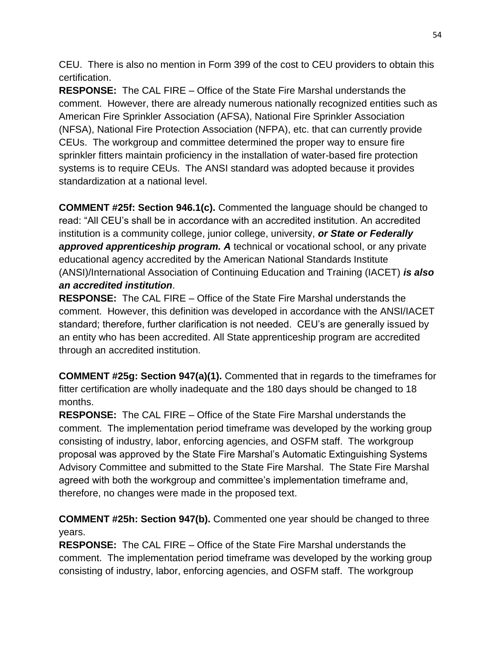CEU. There is also no mention in Form 399 of the cost to CEU providers to obtain this certification.

**RESPONSE:** The CAL FIRE – Office of the State Fire Marshal understands the comment.However, there are already numerous nationally recognized entities such as American Fire Sprinkler Association (AFSA), National Fire Sprinkler Association (NFSA), National Fire Protection Association (NFPA), etc. that can currently provide CEUs.The workgroup and committee determined the proper way to ensure fire sprinkler fitters maintain proficiency in the installation of water-based fire protection systems is to require CEUs. The ANSI standard was adopted because it provides standardization at a national level.

**COMMENT #25f: Section 946.1(c).** Commented the language should be changed to read: "All CEU's shall be in accordance with an accredited institution. An accredited institution is a community college, junior college, university, *or State or Federally approved apprenticeship program. A* technical or vocational school, or any private educational agency accredited by the American National Standards Institute (ANSI)/International Association of Continuing Education and Training (IACET) *is also an accredited institution*.

**RESPONSE:** The CAL FIRE – Office of the State Fire Marshal understands the comment. However, this definition was developed in accordance with the ANSI/IACET standard; therefore, further clarification is not needed. CEU's are generally issued by an entity who has been accredited. All State apprenticeship program are accredited through an accredited institution.

**COMMENT #25g: Section 947(a)(1).** Commented that in regards to the timeframes for fitter certification are wholly inadequate and the 180 days should be changed to 18 months.

**RESPONSE:** The CAL FIRE – Office of the State Fire Marshal understands the comment. The implementation period timeframe was developed by the working group consisting of industry, labor, enforcing agencies, and OSFM staff. The workgroup proposal was approved by the State Fire Marshal's Automatic Extinguishing Systems Advisory Committee and submitted to the State Fire Marshal. The State Fire Marshal agreed with both the workgroup and committee's implementation timeframe and, therefore, no changes were made in the proposed text.

**COMMENT #25h: Section 947(b).** Commented one year should be changed to three years.

**RESPONSE:** The CAL FIRE – Office of the State Fire Marshal understands the comment. The implementation period timeframe was developed by the working group consisting of industry, labor, enforcing agencies, and OSFM staff. The workgroup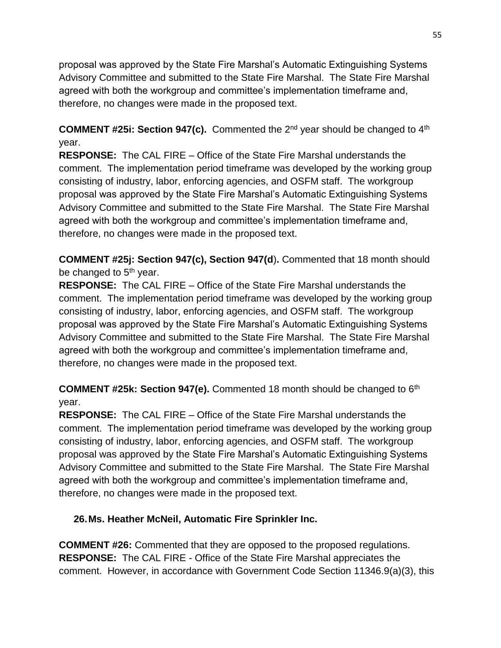proposal was approved by the State Fire Marshal's Automatic Extinguishing Systems Advisory Committee and submitted to the State Fire Marshal. The State Fire Marshal agreed with both the workgroup and committee's implementation timeframe and, therefore, no changes were made in the proposed text.

**COMMENT #25i: Section 947(c).** Commented the 2nd year should be changed to 4th year.

**RESPONSE:** The CAL FIRE – Office of the State Fire Marshal understands the comment. The implementation period timeframe was developed by the working group consisting of industry, labor, enforcing agencies, and OSFM staff. The workgroup proposal was approved by the State Fire Marshal's Automatic Extinguishing Systems Advisory Committee and submitted to the State Fire Marshal. The State Fire Marshal agreed with both the workgroup and committee's implementation timeframe and, therefore, no changes were made in the proposed text.

**COMMENT #25j: Section 947(c), Section 947(d**)**.** Commented that 18 month should be changed to  $5<sup>th</sup>$  year.

**RESPONSE:** The CAL FIRE – Office of the State Fire Marshal understands the comment. The implementation period timeframe was developed by the working group consisting of industry, labor, enforcing agencies, and OSFM staff. The workgroup proposal was approved by the State Fire Marshal's Automatic Extinguishing Systems Advisory Committee and submitted to the State Fire Marshal. The State Fire Marshal agreed with both the workgroup and committee's implementation timeframe and, therefore, no changes were made in the proposed text.

**COMMENT #25k: Section 947(e).** Commented 18 month should be changed to 6th year.

**RESPONSE:** The CAL FIRE – Office of the State Fire Marshal understands the comment. The implementation period timeframe was developed by the working group consisting of industry, labor, enforcing agencies, and OSFM staff. The workgroup proposal was approved by the State Fire Marshal's Automatic Extinguishing Systems Advisory Committee and submitted to the State Fire Marshal. The State Fire Marshal agreed with both the workgroup and committee's implementation timeframe and, therefore, no changes were made in the proposed text.

## **26.Ms. Heather McNeil, Automatic Fire Sprinkler Inc.**

**COMMENT #26:** Commented that they are opposed to the proposed regulations. **RESPONSE:** The CAL FIRE - Office of the State Fire Marshal appreciates the comment. However, in accordance with Government Code Section 11346.9(a)(3), this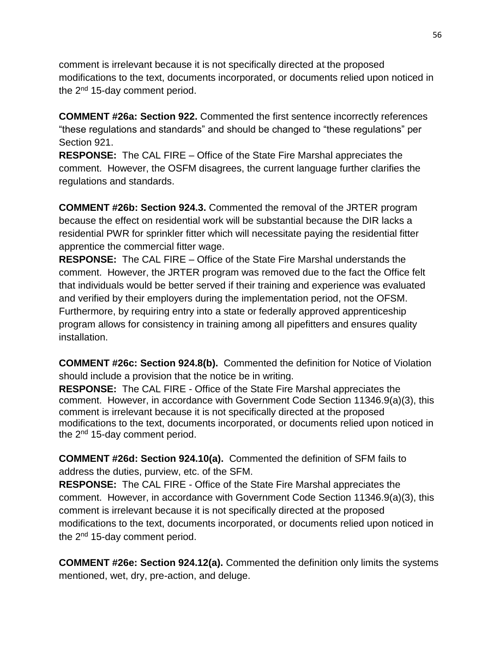comment is irrelevant because it is not specifically directed at the proposed modifications to the text, documents incorporated, or documents relied upon noticed in the 2<sup>nd</sup> 15-day comment period.

**COMMENT #26a: Section 922.** Commented the first sentence incorrectly references "these regulations and standards" and should be changed to "these regulations" per Section 921.

**RESPONSE:** The CAL FIRE – Office of the State Fire Marshal appreciates the comment. However, the OSFM disagrees, the current language further clarifies the regulations and standards.

**COMMENT #26b: Section 924.3.** Commented the removal of the JRTER program because the effect on residential work will be substantial because the DIR lacks a residential PWR for sprinkler fitter which will necessitate paying the residential fitter apprentice the commercial fitter wage.

**RESPONSE:** The CAL FIRE – Office of the State Fire Marshal understands the comment. However, the JRTER program was removed due to the fact the Office felt that individuals would be better served if their training and experience was evaluated and verified by their employers during the implementation period, not the OFSM. Furthermore, by requiring entry into a state or federally approved apprenticeship program allows for consistency in training among all pipefitters and ensures quality installation.

**COMMENT #26c: Section 924.8(b).** Commented the definition for Notice of Violation should include a provision that the notice be in writing.

**RESPONSE:** The CAL FIRE - Office of the State Fire Marshal appreciates the comment. However, in accordance with Government Code Section 11346.9(a)(3), this comment is irrelevant because it is not specifically directed at the proposed modifications to the text, documents incorporated, or documents relied upon noticed in the  $2<sup>nd</sup>$  15-day comment period.

**COMMENT #26d: Section 924.10(a).** Commented the definition of SFM fails to address the duties, purview, etc. of the SFM.

**RESPONSE:** The CAL FIRE - Office of the State Fire Marshal appreciates the comment. However, in accordance with Government Code Section 11346.9(a)(3), this comment is irrelevant because it is not specifically directed at the proposed modifications to the text, documents incorporated, or documents relied upon noticed in the 2<sup>nd</sup> 15-day comment period.

**COMMENT #26e: Section 924.12(a).** Commented the definition only limits the systems mentioned, wet, dry, pre-action, and deluge.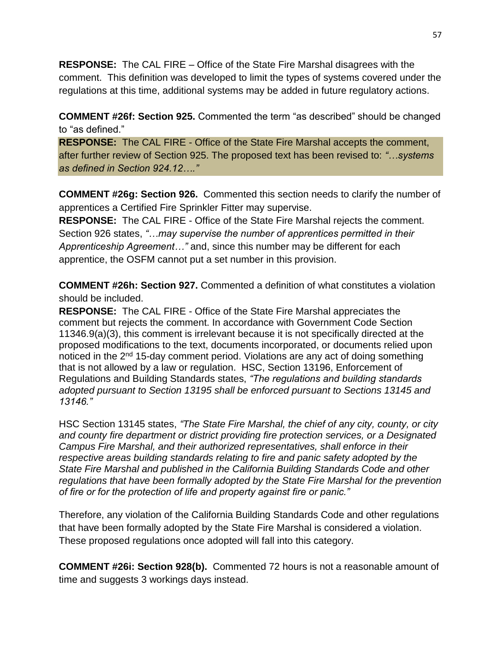**RESPONSE:** The CAL FIRE – Office of the State Fire Marshal disagrees with the comment. This definition was developed to limit the types of systems covered under the regulations at this time, additional systems may be added in future regulatory actions.

**COMMENT #26f: Section 925.** Commented the term "as described" should be changed to "as defined."

**RESPONSE:** The CAL FIRE - Office of the State Fire Marshal accepts the comment, after further review of Section 925. The proposed text has been revised to: *"…systems as defined in Section 924.12…."*

**COMMENT #26g: Section 926.** Commented this section needs to clarify the number of apprentices a Certified Fire Sprinkler Fitter may supervise.

**RESPONSE:** The CAL FIRE - Office of the State Fire Marshal rejects the comment. Section 926 states, *"…may supervise the number of apprentices permitted in their Apprenticeship Agreement…"* and, since this number may be different for each apprentice, the OSFM cannot put a set number in this provision.

**COMMENT #26h: Section 927.** Commented a definition of what constitutes a violation should be included.

**RESPONSE:** The CAL FIRE - Office of the State Fire Marshal appreciates the comment but rejects the comment. In accordance with Government Code Section 11346.9(a)(3), this comment is irrelevant because it is not specifically directed at the proposed modifications to the text, documents incorporated, or documents relied upon noticed in the 2<sup>nd</sup> 15-day comment period. Violations are any act of doing something that is not allowed by a law or regulation. HSC, Section 13196, Enforcement of Regulations and Building Standards states, *"The regulations and building standards adopted pursuant to Section 13195 shall be enforced pursuant to Sections 13145 and 13146."* 

HSC Section 13145 states, *"The State Fire Marshal, the chief of any city, county, or city and county fire department or district providing fire protection services, or a Designated Campus Fire Marshal, and their authorized representatives, shall enforce in their respective areas building standards relating to fire and panic safety adopted by the State Fire Marshal and published in the California Building Standards Code and other regulations that have been formally adopted by the State Fire Marshal for the prevention of fire or for the protection of life and property against fire or panic."*

Therefore, any violation of the California Building Standards Code and other regulations that have been formally adopted by the State Fire Marshal is considered a violation. These proposed regulations once adopted will fall into this category.

**COMMENT #26i: Section 928(b).** Commented 72 hours is not a reasonable amount of time and suggests 3 workings days instead.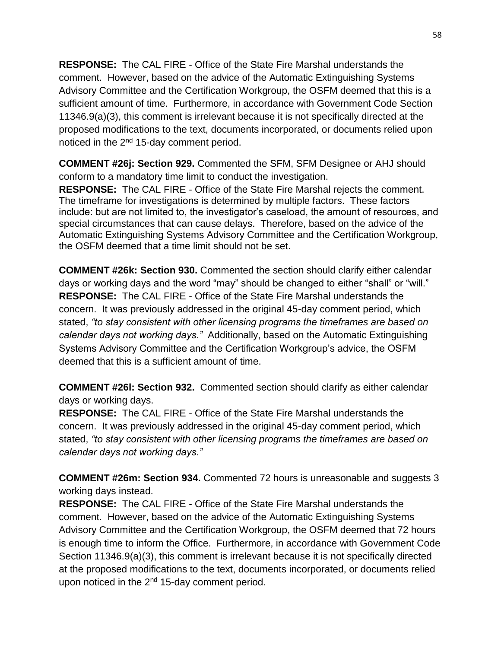**RESPONSE:** The CAL FIRE - Office of the State Fire Marshal understands the comment. However, based on the advice of the Automatic Extinguishing Systems Advisory Committee and the Certification Workgroup, the OSFM deemed that this is a sufficient amount of time. Furthermore, in accordance with Government Code Section 11346.9(a)(3), this comment is irrelevant because it is not specifically directed at the proposed modifications to the text, documents incorporated, or documents relied upon noticed in the 2<sup>nd</sup> 15-day comment period.

**COMMENT #26j: Section 929.** Commented the SFM, SFM Designee or AHJ should conform to a mandatory time limit to conduct the investigation.

**RESPONSE:** The CAL FIRE - Office of the State Fire Marshal rejects the comment. The timeframe for investigations is determined by multiple factors. These factors include: but are not limited to, the investigator's caseload, the amount of resources, and special circumstances that can cause delays. Therefore, based on the advice of the Automatic Extinguishing Systems Advisory Committee and the Certification Workgroup, the OSFM deemed that a time limit should not be set.

**COMMENT #26k: Section 930.** Commented the section should clarify either calendar days or working days and the word "may" should be changed to either "shall" or "will." **RESPONSE:** The CAL FIRE - Office of the State Fire Marshal understands the concern. It was previously addressed in the original 45-day comment period, which stated, *"to stay consistent with other licensing programs the timeframes are based on calendar days not working days."* Additionally, based on the Automatic Extinguishing Systems Advisory Committee and the Certification Workgroup's advice, the OSFM deemed that this is a sufficient amount of time.

**COMMENT #26l: Section 932.** Commented section should clarify as either calendar days or working days.

**RESPONSE:** The CAL FIRE - Office of the State Fire Marshal understands the concern. It was previously addressed in the original 45-day comment period, which stated, *"to stay consistent with other licensing programs the timeframes are based on calendar days not working days."*

**COMMENT #26m: Section 934.** Commented 72 hours is unreasonable and suggests 3 working days instead.

**RESPONSE:** The CAL FIRE - Office of the State Fire Marshal understands the comment. However, based on the advice of the Automatic Extinguishing Systems Advisory Committee and the Certification Workgroup, the OSFM deemed that 72 hours is enough time to inform the Office. Furthermore, in accordance with Government Code Section 11346.9(a)(3), this comment is irrelevant because it is not specifically directed at the proposed modifications to the text, documents incorporated, or documents relied upon noticed in the  $2<sup>nd</sup>$  15-day comment period.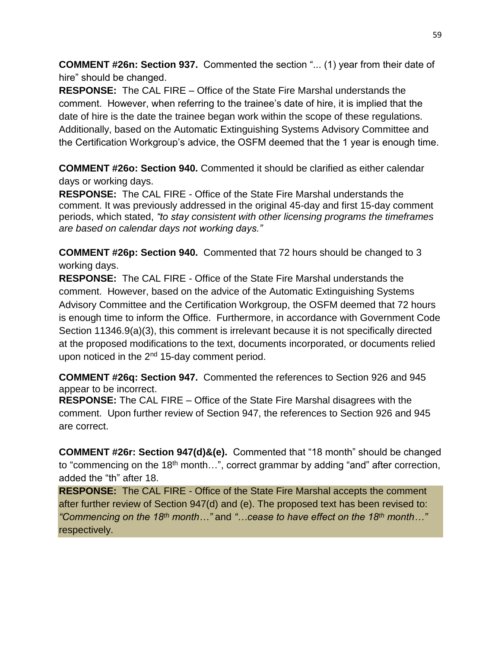**COMMENT #26n: Section 937.** Commented the section "... (1) year from their date of hire" should be changed.

**RESPONSE:** The CAL FIRE – Office of the State Fire Marshal understands the comment. However, when referring to the trainee's date of hire, it is implied that the date of hire is the date the trainee began work within the scope of these regulations. Additionally, based on the Automatic Extinguishing Systems Advisory Committee and the Certification Workgroup's advice, the OSFM deemed that the 1 year is enough time.

**COMMENT #26o: Section 940.** Commented it should be clarified as either calendar days or working days.

**RESPONSE:** The CAL FIRE - Office of the State Fire Marshal understands the comment. It was previously addressed in the original 45-day and first 15-day comment periods, which stated, *"to stay consistent with other licensing programs the timeframes are based on calendar days not working days."* 

**COMMENT #26p: Section 940.** Commented that 72 hours should be changed to 3 working days.

**RESPONSE:** The CAL FIRE - Office of the State Fire Marshal understands the comment. However, based on the advice of the Automatic Extinguishing Systems Advisory Committee and the Certification Workgroup, the OSFM deemed that 72 hours is enough time to inform the Office. Furthermore, in accordance with Government Code Section 11346.9(a)(3), this comment is irrelevant because it is not specifically directed at the proposed modifications to the text, documents incorporated, or documents relied upon noticed in the  $2<sup>nd</sup>$  15-day comment period.

**COMMENT #26q: Section 947.** Commented the references to Section 926 and 945 appear to be incorrect.

**RESPONSE:** The CAL FIRE – Office of the State Fire Marshal disagrees with the comment. Upon further review of Section 947, the references to Section 926 and 945 are correct.

**COMMENT #26r: Section 947(d)&(e).** Commented that "18 month" should be changed to "commencing on the 18<sup>th</sup> month...", correct grammar by adding "and" after correction, added the "th" after 18.

**RESPONSE:** The CAL FIRE - Office of the State Fire Marshal accepts the comment after further review of Section 947(d) and (e). The proposed text has been revised to: *"Commencing on the 18th month…"* and *"…cease to have effect on the 18th month…"*  respectively.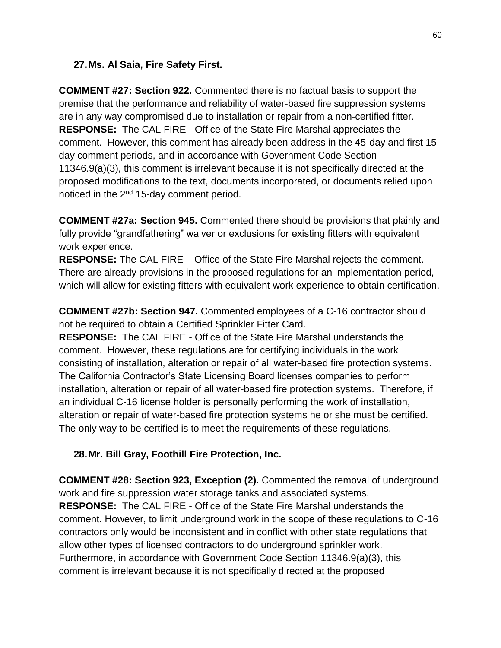#### **27.Ms. Al Saia, Fire Safety First.**

**COMMENT #27: Section 922.** Commented there is no factual basis to support the premise that the performance and reliability of water-based fire suppression systems are in any way compromised due to installation or repair from a non-certified fitter. **RESPONSE:** The CAL FIRE - Office of the State Fire Marshal appreciates the comment. However, this comment has already been address in the 45-day and first 15 day comment periods, and in accordance with Government Code Section 11346.9(a)(3), this comment is irrelevant because it is not specifically directed at the proposed modifications to the text, documents incorporated, or documents relied upon noticed in the 2<sup>nd</sup> 15-day comment period.

**COMMENT #27a: Section 945.** Commented there should be provisions that plainly and fully provide "grandfathering" waiver or exclusions for existing fitters with equivalent work experience.

**RESPONSE:** The CAL FIRE – Office of the State Fire Marshal rejects the comment. There are already provisions in the proposed regulations for an implementation period, which will allow for existing fitters with equivalent work experience to obtain certification.

**COMMENT #27b: Section 947.** Commented employees of a C-16 contractor should not be required to obtain a Certified Sprinkler Fitter Card.

**RESPONSE:** The CAL FIRE - Office of the State Fire Marshal understands the comment. However, these regulations are for certifying individuals in the work consisting of installation, alteration or repair of all water-based fire protection systems. The California Contractor's State Licensing Board licenses companies to perform installation, alteration or repair of all water-based fire protection systems. Therefore, if an individual C-16 license holder is personally performing the work of installation, alteration or repair of water-based fire protection systems he or she must be certified. The only way to be certified is to meet the requirements of these regulations.

**28.Mr. Bill Gray, Foothill Fire Protection, Inc.**

**COMMENT #28: Section 923, Exception (2).** Commented the removal of underground work and fire suppression water storage tanks and associated systems. **RESPONSE:** The CAL FIRE - Office of the State Fire Marshal understands the comment. However, to limit underground work in the scope of these regulations to C-16 contractors only would be inconsistent and in conflict with other state regulations that allow other types of licensed contractors to do underground sprinkler work. Furthermore, in accordance with Government Code Section 11346.9(a)(3), this comment is irrelevant because it is not specifically directed at the proposed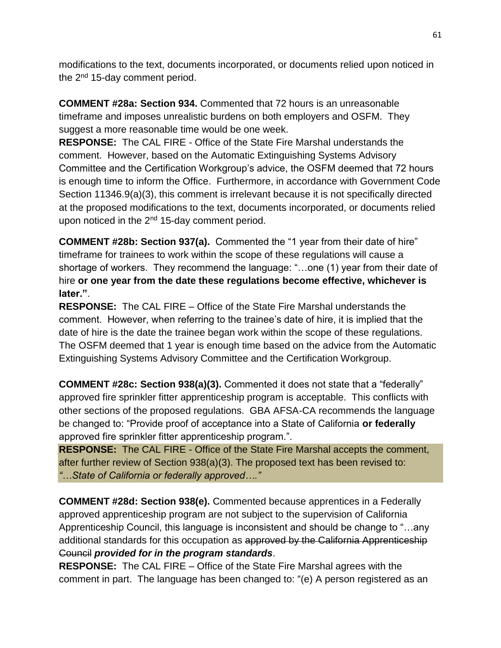modifications to the text, documents incorporated, or documents relied upon noticed in the 2<sup>nd</sup> 15-day comment period.

**COMMENT #28a: Section 934.** Commented that 72 hours is an unreasonable timeframe and imposes unrealistic burdens on both employers and OSFM. They suggest a more reasonable time would be one week.

**RESPONSE:** The CAL FIRE - Office of the State Fire Marshal understands the comment. However, based on the Automatic Extinguishing Systems Advisory Committee and the Certification Workgroup's advice, the OSFM deemed that 72 hours is enough time to inform the Office. Furthermore, in accordance with Government Code Section 11346.9(a)(3), this comment is irrelevant because it is not specifically directed at the proposed modifications to the text, documents incorporated, or documents relied upon noticed in the  $2<sup>nd</sup>$  15-day comment period.

**COMMENT #28b: Section 937(a).** Commented the "1 year from their date of hire" timeframe for trainees to work within the scope of these regulations will cause a shortage of workers. They recommend the language: "…one (1) year from their date of hire **or one year from the date these regulations become effective, whichever is later."**.

**RESPONSE:** The CAL FIRE – Office of the State Fire Marshal understands the comment. However, when referring to the trainee's date of hire, it is implied that the date of hire is the date the trainee began work within the scope of these regulations. The OSFM deemed that 1 year is enough time based on the advice from the Automatic Extinguishing Systems Advisory Committee and the Certification Workgroup.

**COMMENT #28c: Section 938(a)(3).** Commented it does not state that a "federally" approved fire sprinkler fitter apprenticeship program is acceptable. This conflicts with other sections of the proposed regulations. GBA AFSA-CA recommends the language be changed to: "Provide proof of acceptance into a State of California **or federally** approved fire sprinkler fitter apprenticeship program.".

**RESPONSE:** The CAL FIRE - Office of the State Fire Marshal accepts the comment, after further review of Section 938(a)(3). The proposed text has been revised to: *"…State of California or federally approved…."*

**COMMENT #28d: Section 938(e).** Commented because apprentices in a Federally approved apprenticeship program are not subject to the supervision of California Apprenticeship Council, this language is inconsistent and should be change to "…any additional standards for this occupation as approved by the California Apprenticeship Council *provided for in the program standards*.

**RESPONSE:** The CAL FIRE – Office of the State Fire Marshal agrees with the comment in part. The language has been changed to: "(e) A person registered as an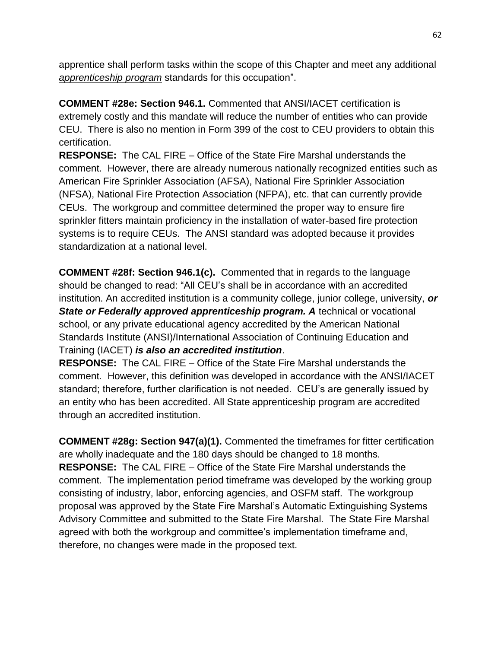apprentice shall perform tasks within the scope of this Chapter and meet any additional *apprenticeship program* standards for this occupation".

**COMMENT #28e: Section 946.1.** Commented that ANSI/IACET certification is extremely costly and this mandate will reduce the number of entities who can provide CEU. There is also no mention in Form 399 of the cost to CEU providers to obtain this certification.

**RESPONSE:** The CAL FIRE – Office of the State Fire Marshal understands the comment.However, there are already numerous nationally recognized entities such as American Fire Sprinkler Association (AFSA), National Fire Sprinkler Association (NFSA), National Fire Protection Association (NFPA), etc. that can currently provide CEUs.The workgroup and committee determined the proper way to ensure fire sprinkler fitters maintain proficiency in the installation of water-based fire protection systems is to require CEUs. The ANSI standard was adopted because it provides standardization at a national level.

**COMMENT #28f: Section 946.1(c).** Commented that in regards to the language should be changed to read: "All CEU's shall be in accordance with an accredited institution. An accredited institution is a community college, junior college, university, *or State or Federally approved apprenticeship program. A* technical or vocational school, or any private educational agency accredited by the American National Standards Institute (ANSI)/International Association of Continuing Education and Training (IACET) *is also an accredited institution*.

**RESPONSE:** The CAL FIRE – Office of the State Fire Marshal understands the comment. However, this definition was developed in accordance with the ANSI/IACET standard; therefore, further clarification is not needed. CEU's are generally issued by an entity who has been accredited. All State apprenticeship program are accredited through an accredited institution.

**COMMENT #28g: Section 947(a)(1).** Commented the timeframes for fitter certification are wholly inadequate and the 180 days should be changed to 18 months. **RESPONSE:** The CAL FIRE – Office of the State Fire Marshal understands the comment. The implementation period timeframe was developed by the working group consisting of industry, labor, enforcing agencies, and OSFM staff. The workgroup proposal was approved by the State Fire Marshal's Automatic Extinguishing Systems Advisory Committee and submitted to the State Fire Marshal. The State Fire Marshal agreed with both the workgroup and committee's implementation timeframe and, therefore, no changes were made in the proposed text.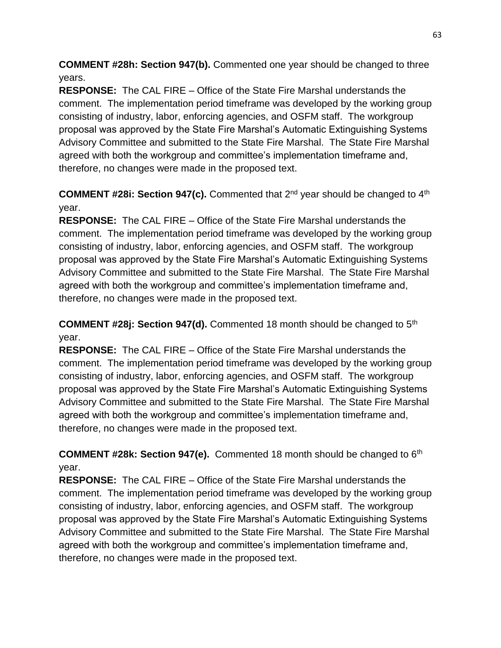**COMMENT #28h: Section 947(b).** Commented one year should be changed to three years.

**RESPONSE:** The CAL FIRE – Office of the State Fire Marshal understands the comment. The implementation period timeframe was developed by the working group consisting of industry, labor, enforcing agencies, and OSFM staff. The workgroup proposal was approved by the State Fire Marshal's Automatic Extinguishing Systems Advisory Committee and submitted to the State Fire Marshal. The State Fire Marshal agreed with both the workgroup and committee's implementation timeframe and, therefore, no changes were made in the proposed text.

**COMMENT #28i: Section 947(c).** Commented that 2nd year should be changed to 4th year.

**RESPONSE:** The CAL FIRE – Office of the State Fire Marshal understands the comment. The implementation period timeframe was developed by the working group consisting of industry, labor, enforcing agencies, and OSFM staff. The workgroup proposal was approved by the State Fire Marshal's Automatic Extinguishing Systems Advisory Committee and submitted to the State Fire Marshal. The State Fire Marshal agreed with both the workgroup and committee's implementation timeframe and, therefore, no changes were made in the proposed text.

**COMMENT #28j: Section 947(d).** Commented 18 month should be changed to 5th year.

**RESPONSE:** The CAL FIRE – Office of the State Fire Marshal understands the comment. The implementation period timeframe was developed by the working group consisting of industry, labor, enforcing agencies, and OSFM staff. The workgroup proposal was approved by the State Fire Marshal's Automatic Extinguishing Systems Advisory Committee and submitted to the State Fire Marshal. The State Fire Marshal agreed with both the workgroup and committee's implementation timeframe and, therefore, no changes were made in the proposed text.

**COMMENT #28k: Section 947(e).** Commented 18 month should be changed to 6th year.

**RESPONSE:** The CAL FIRE – Office of the State Fire Marshal understands the comment. The implementation period timeframe was developed by the working group consisting of industry, labor, enforcing agencies, and OSFM staff. The workgroup proposal was approved by the State Fire Marshal's Automatic Extinguishing Systems Advisory Committee and submitted to the State Fire Marshal. The State Fire Marshal agreed with both the workgroup and committee's implementation timeframe and, therefore, no changes were made in the proposed text.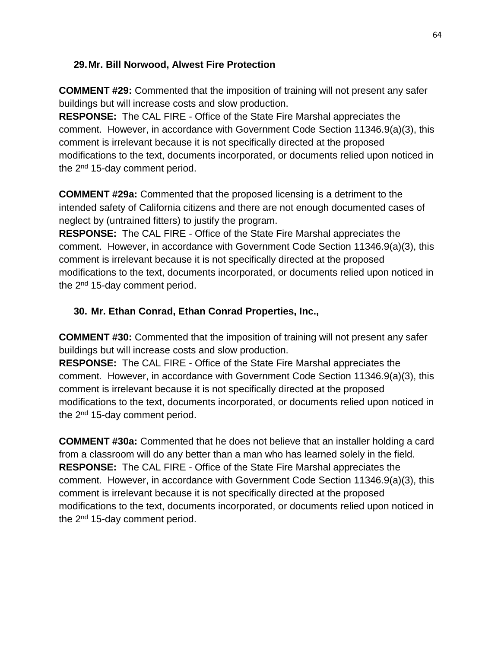### **29.Mr. Bill Norwood, Alwest Fire Protection**

**COMMENT #29:** Commented that the imposition of training will not present any safer buildings but will increase costs and slow production.

**RESPONSE:** The CAL FIRE - Office of the State Fire Marshal appreciates the comment. However, in accordance with Government Code Section 11346.9(a)(3), this comment is irrelevant because it is not specifically directed at the proposed modifications to the text, documents incorporated, or documents relied upon noticed in the 2<sup>nd</sup> 15-day comment period.

**COMMENT #29a:** Commented that the proposed licensing is a detriment to the intended safety of California citizens and there are not enough documented cases of neglect by (untrained fitters) to justify the program.

**RESPONSE:** The CAL FIRE - Office of the State Fire Marshal appreciates the comment. However, in accordance with Government Code Section 11346.9(a)(3), this comment is irrelevant because it is not specifically directed at the proposed modifications to the text, documents incorporated, or documents relied upon noticed in the  $2<sup>nd</sup>$  15-day comment period.

## **30. Mr. Ethan Conrad, Ethan Conrad Properties, Inc.,**

**COMMENT #30:** Commented that the imposition of training will not present any safer buildings but will increase costs and slow production.

**RESPONSE:** The CAL FIRE - Office of the State Fire Marshal appreciates the comment. However, in accordance with Government Code Section 11346.9(a)(3), this comment is irrelevant because it is not specifically directed at the proposed modifications to the text, documents incorporated, or documents relied upon noticed in the 2<sup>nd</sup> 15-day comment period.

**COMMENT #30a:** Commented that he does not believe that an installer holding a card from a classroom will do any better than a man who has learned solely in the field. **RESPONSE:** The CAL FIRE - Office of the State Fire Marshal appreciates the comment. However, in accordance with Government Code Section 11346.9(a)(3), this comment is irrelevant because it is not specifically directed at the proposed modifications to the text, documents incorporated, or documents relied upon noticed in the 2<sup>nd</sup> 15-day comment period.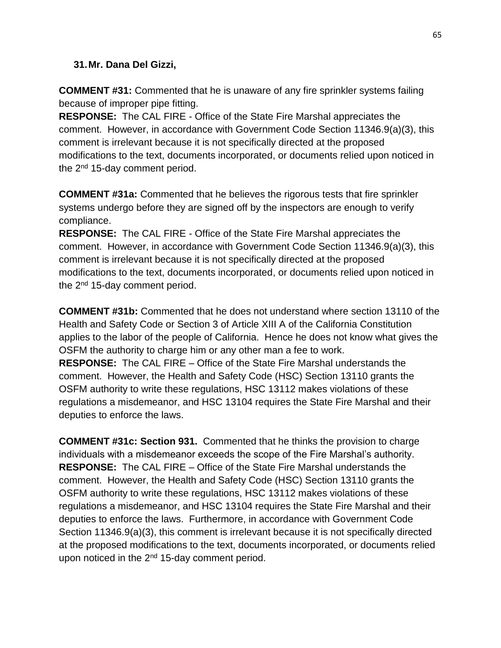#### **31.Mr. Dana Del Gizzi,**

**COMMENT #31:** Commented that he is unaware of any fire sprinkler systems failing because of improper pipe fitting.

**RESPONSE:** The CAL FIRE - Office of the State Fire Marshal appreciates the comment. However, in accordance with Government Code Section 11346.9(a)(3), this comment is irrelevant because it is not specifically directed at the proposed modifications to the text, documents incorporated, or documents relied upon noticed in the 2<sup>nd</sup> 15-day comment period.

**COMMENT #31a:** Commented that he believes the rigorous tests that fire sprinkler systems undergo before they are signed off by the inspectors are enough to verify compliance.

**RESPONSE:** The CAL FIRE - Office of the State Fire Marshal appreciates the comment. However, in accordance with Government Code Section 11346.9(a)(3), this comment is irrelevant because it is not specifically directed at the proposed modifications to the text, documents incorporated, or documents relied upon noticed in the  $2<sup>nd</sup>$  15-day comment period.

**COMMENT #31b:** Commented that he does not understand where section 13110 of the Health and Safety Code or Section 3 of Article XIII A of the California Constitution applies to the labor of the people of California. Hence he does not know what gives the OSFM the authority to charge him or any other man a fee to work.

**RESPONSE:** The CAL FIRE – Office of the State Fire Marshal understands the comment. However, the Health and Safety Code (HSC) Section 13110 grants the OSFM authority to write these regulations, HSC 13112 makes violations of these regulations a misdemeanor, and HSC 13104 requires the State Fire Marshal and their deputies to enforce the laws.

**COMMENT #31c: Section 931.** Commented that he thinks the provision to charge individuals with a misdemeanor exceeds the scope of the Fire Marshal's authority. **RESPONSE:** The CAL FIRE – Office of the State Fire Marshal understands the comment. However, the Health and Safety Code (HSC) Section 13110 grants the OSFM authority to write these regulations, HSC 13112 makes violations of these regulations a misdemeanor, and HSC 13104 requires the State Fire Marshal and their deputies to enforce the laws. Furthermore, in accordance with Government Code Section 11346.9(a)(3), this comment is irrelevant because it is not specifically directed at the proposed modifications to the text, documents incorporated, or documents relied upon noticed in the  $2<sup>nd</sup>$  15-day comment period.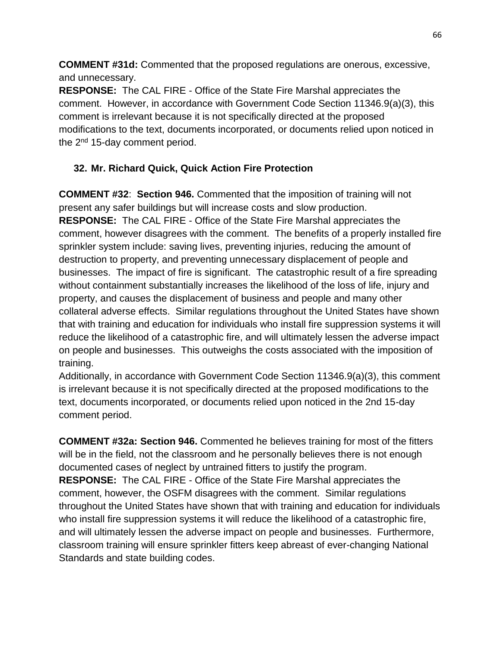**COMMENT #31d:** Commented that the proposed regulations are onerous, excessive, and unnecessary.

**RESPONSE:** The CAL FIRE - Office of the State Fire Marshal appreciates the comment. However, in accordance with Government Code Section 11346.9(a)(3), this comment is irrelevant because it is not specifically directed at the proposed modifications to the text, documents incorporated, or documents relied upon noticed in the 2<sup>nd</sup> 15-day comment period.

# **32. Mr. Richard Quick, Quick Action Fire Protection**

**COMMENT #32**: **Section 946.** Commented that the imposition of training will not present any safer buildings but will increase costs and slow production. **RESPONSE:** The CAL FIRE - Office of the State Fire Marshal appreciates the comment, however disagrees with the comment. The benefits of a properly installed fire sprinkler system include: saving lives, preventing injuries, reducing the amount of destruction to property, and preventing unnecessary displacement of people and businesses. The impact of fire is significant. The catastrophic result of a fire spreading without containment substantially increases the likelihood of the loss of life, injury and property, and causes the displacement of business and people and many other collateral adverse effects. Similar regulations throughout the United States have shown that with training and education for individuals who install fire suppression systems it will reduce the likelihood of a catastrophic fire, and will ultimately lessen the adverse impact on people and businesses. This outweighs the costs associated with the imposition of training.

Additionally, in accordance with Government Code Section 11346.9(a)(3), this comment is irrelevant because it is not specifically directed at the proposed modifications to the text, documents incorporated, or documents relied upon noticed in the 2nd 15-day comment period.

**COMMENT #32a: Section 946.** Commented he believes training for most of the fitters will be in the field, not the classroom and he personally believes there is not enough documented cases of neglect by untrained fitters to justify the program. **RESPONSE:** The CAL FIRE - Office of the State Fire Marshal appreciates the comment, however, the OSFM disagrees with the comment. Similar regulations throughout the United States have shown that with training and education for individuals who install fire suppression systems it will reduce the likelihood of a catastrophic fire, and will ultimately lessen the adverse impact on people and businesses. Furthermore, classroom training will ensure sprinkler fitters keep abreast of ever-changing National Standards and state building codes.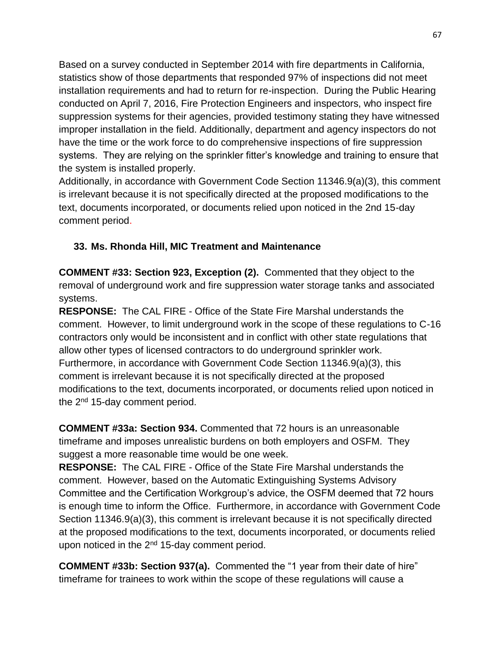Based on a survey conducted in September 2014 with fire departments in California, statistics show of those departments that responded 97% of inspections did not meet installation requirements and had to return for re-inspection. During the Public Hearing conducted on April 7, 2016, Fire Protection Engineers and inspectors, who inspect fire suppression systems for their agencies, provided testimony stating they have witnessed improper installation in the field. Additionally, department and agency inspectors do not have the time or the work force to do comprehensive inspections of fire suppression systems. They are relying on the sprinkler fitter's knowledge and training to ensure that the system is installed properly.

Additionally, in accordance with Government Code Section 11346.9(a)(3), this comment is irrelevant because it is not specifically directed at the proposed modifications to the text, documents incorporated, or documents relied upon noticed in the 2nd 15-day comment period.

# **33. Ms. Rhonda Hill, MIC Treatment and Maintenance**

**COMMENT #33: Section 923, Exception (2).** Commented that they object to the removal of underground work and fire suppression water storage tanks and associated systems.

**RESPONSE:** The CAL FIRE - Office of the State Fire Marshal understands the comment. However, to limit underground work in the scope of these regulations to C-16 contractors only would be inconsistent and in conflict with other state regulations that allow other types of licensed contractors to do underground sprinkler work. Furthermore, in accordance with Government Code Section 11346.9(a)(3), this comment is irrelevant because it is not specifically directed at the proposed modifications to the text, documents incorporated, or documents relied upon noticed in the 2<sup>nd</sup> 15-day comment period.

**COMMENT #33a: Section 934.** Commented that 72 hours is an unreasonable timeframe and imposes unrealistic burdens on both employers and OSFM. They suggest a more reasonable time would be one week.

**RESPONSE:** The CAL FIRE - Office of the State Fire Marshal understands the comment. However, based on the Automatic Extinguishing Systems Advisory Committee and the Certification Workgroup's advice, the OSFM deemed that 72 hours is enough time to inform the Office. Furthermore, in accordance with Government Code Section 11346.9(a)(3), this comment is irrelevant because it is not specifically directed at the proposed modifications to the text, documents incorporated, or documents relied upon noticed in the  $2<sup>nd</sup>$  15-day comment period.

**COMMENT #33b: Section 937(a).** Commented the "1 year from their date of hire" timeframe for trainees to work within the scope of these regulations will cause a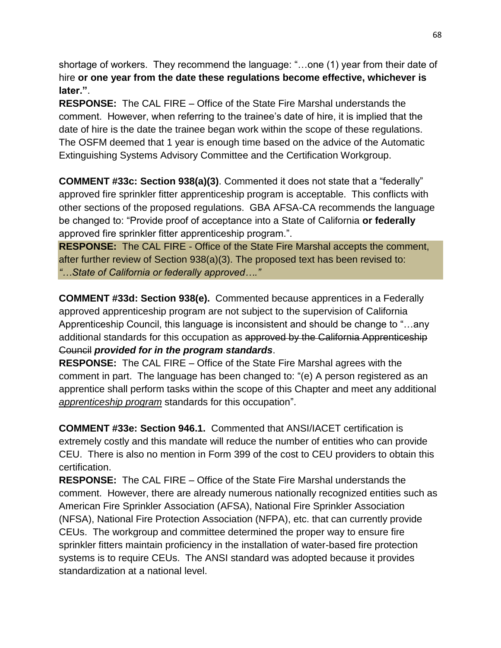shortage of workers. They recommend the language: "…one (1) year from their date of hire **or one year from the date these regulations become effective, whichever is later."**.

**RESPONSE:** The CAL FIRE – Office of the State Fire Marshal understands the comment. However, when referring to the trainee's date of hire, it is implied that the date of hire is the date the trainee began work within the scope of these regulations. The OSFM deemed that 1 year is enough time based on the advice of the Automatic Extinguishing Systems Advisory Committee and the Certification Workgroup.

**COMMENT #33c: Section 938(a)(3)**. Commented it does not state that a "federally" approved fire sprinkler fitter apprenticeship program is acceptable. This conflicts with other sections of the proposed regulations. GBA AFSA-CA recommends the language be changed to: "Provide proof of acceptance into a State of California **or federally** approved fire sprinkler fitter apprenticeship program.".

**RESPONSE:** The CAL FIRE - Office of the State Fire Marshal accepts the comment, after further review of Section 938(a)(3). The proposed text has been revised to: *"…State of California or federally approved…."*

**COMMENT #33d: Section 938(e).** Commented because apprentices in a Federally approved apprenticeship program are not subject to the supervision of California Apprenticeship Council, this language is inconsistent and should be change to "…any additional standards for this occupation as approved by the California Apprenticeship Council *provided for in the program standards*.

**RESPONSE:** The CAL FIRE – Office of the State Fire Marshal agrees with the comment in part. The language has been changed to: "(e) A person registered as an apprentice shall perform tasks within the scope of this Chapter and meet any additional *apprenticeship program* standards for this occupation".

**COMMENT #33e: Section 946.1.** Commented that ANSI/IACET certification is extremely costly and this mandate will reduce the number of entities who can provide CEU. There is also no mention in Form 399 of the cost to CEU providers to obtain this certification.

**RESPONSE:** The CAL FIRE – Office of the State Fire Marshal understands the comment.However, there are already numerous nationally recognized entities such as American Fire Sprinkler Association (AFSA), National Fire Sprinkler Association (NFSA), National Fire Protection Association (NFPA), etc. that can currently provide CEUs.The workgroup and committee determined the proper way to ensure fire sprinkler fitters maintain proficiency in the installation of water-based fire protection systems is to require CEUs. The ANSI standard was adopted because it provides standardization at a national level.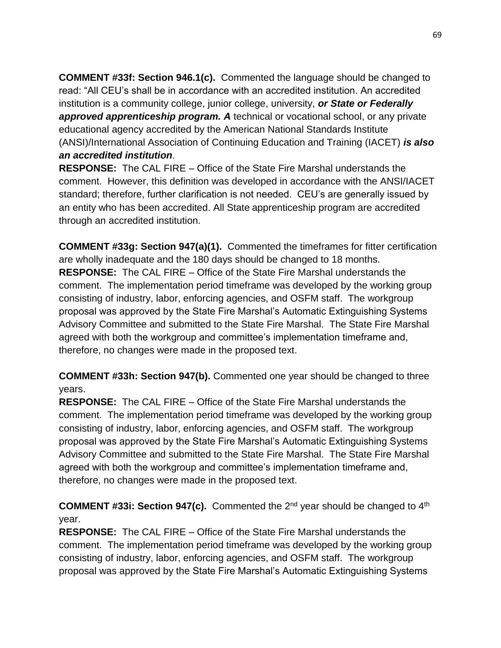**COMMENT #33f: Section 946.1(c).** Commented the language should be changed to read: "All CEU's shall be in accordance with an accredited institution. An accredited institution is a community college, junior college, university, *or State or Federally approved apprenticeship program. A* technical or vocational school, or any private educational agency accredited by the American National Standards Institute (ANSI)/International Association of Continuing Education and Training (IACET) *is also an accredited institution*.

**RESPONSE:** The CAL FIRE – Office of the State Fire Marshal understands the comment. However, this definition was developed in accordance with the ANSI/IACET standard; therefore, further clarification is not needed. CEU's are generally issued by an entity who has been accredited. All State apprenticeship program are accredited through an accredited institution.

**COMMENT #33g: Section 947(a)(1).** Commented the timeframes for fitter certification are wholly inadequate and the 180 days should be changed to 18 months. **RESPONSE:** The CAL FIRE – Office of the State Fire Marshal understands the comment. The implementation period timeframe was developed by the working group consisting of industry, labor, enforcing agencies, and OSFM staff. The workgroup proposal was approved by the State Fire Marshal's Automatic Extinguishing Systems Advisory Committee and submitted to the State Fire Marshal. The State Fire Marshal agreed with both the workgroup and committee's implementation timeframe and, therefore, no changes were made in the proposed text.

**COMMENT #33h: Section 947(b).** Commented one year should be changed to three years.

**RESPONSE:** The CAL FIRE – Office of the State Fire Marshal understands the comment. The implementation period timeframe was developed by the working group consisting of industry, labor, enforcing agencies, and OSFM staff. The workgroup proposal was approved by the State Fire Marshal's Automatic Extinguishing Systems Advisory Committee and submitted to the State Fire Marshal. The State Fire Marshal agreed with both the workgroup and committee's implementation timeframe and, therefore, no changes were made in the proposed text.

**COMMENT #33i: Section 947(c).** Commented the 2nd year should be changed to 4th year.

**RESPONSE:** The CAL FIRE – Office of the State Fire Marshal understands the comment. The implementation period timeframe was developed by the working group consisting of industry, labor, enforcing agencies, and OSFM staff. The workgroup proposal was approved by the State Fire Marshal's Automatic Extinguishing Systems